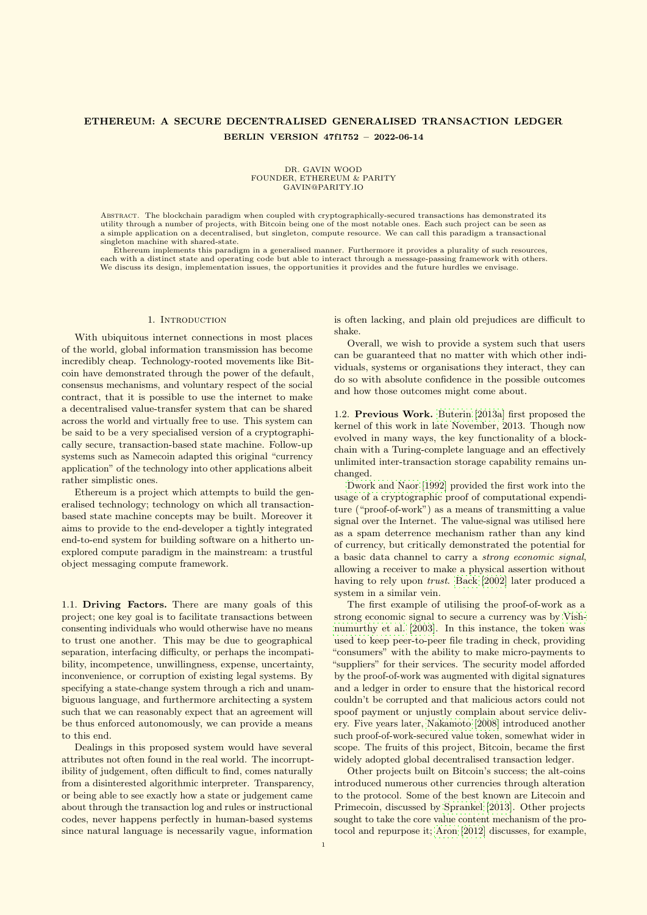# ETHEREUM: A SECURE DECENTRALISED GENERALISED TRANSACTION LEDGER BERLIN VERSION 47f1752 – 2022-06-14

#### DR. GAVIN WOOD FOUNDER, ETHEREUM & PARITY GAVIN@PARITY.IO

Abstract. The blockchain paradigm when coupled with cryptographically-secured transactions has demonstrated its utility through a number of projects, with Bitcoin being one of the most notable ones. Each such project can be seen as a simple application on a decentralised, but singleton, compute resource. We can call this paradigm a transactional singleton machine with shared-state.

Ethereum implements this paradigm in a generalised manner. Furthermore it provides a plurality of such resources, each with a distinct state and operating code but able to interact through a message-passing framework with others. We discuss its design, implementation issues, the opportunities it provides and the future hurdles we envisage.

#### 1. INTRODUCTION

With ubiquitous internet connections in most places of the world, global information transmission has become incredibly cheap. Technology-rooted movements like Bitcoin have demonstrated through the power of the default, consensus mechanisms, and voluntary respect of the social contract, that it is possible to use the internet to make a decentralised value-transfer system that can be shared across the world and virtually free to use. This system can be said to be a very specialised version of a cryptographically secure, transaction-based state machine. Follow-up systems such as Namecoin adapted this original "currency application" of the technology into other applications albeit rather simplistic ones.

Ethereum is a project which attempts to build the generalised technology; technology on which all transactionbased state machine concepts may be built. Moreover it aims to provide to the end-developer a tightly integrated end-to-end system for building software on a hitherto unexplored compute paradigm in the mainstream: a trustful object messaging compute framework.

1.1. Driving Factors. There are many goals of this project; one key goal is to facilitate transactions between consenting individuals who would otherwise have no means to trust one another. This may be due to geographical separation, interfacing difficulty, or perhaps the incompatibility, incompetence, unwillingness, expense, uncertainty, inconvenience, or corruption of existing legal systems. By specifying a state-change system through a rich and unambiguous language, and furthermore architecting a system such that we can reasonably expect that an agreement will be thus enforced autonomously, we can provide a means to this end.

Dealings in this proposed system would have several attributes not often found in the real world. The incorruptibility of judgement, often difficult to find, comes naturally from a disinterested algorithmic interpreter. Transparency, or being able to see exactly how a state or judgement came about through the transaction log and rules or instructional codes, never happens perfectly in human-based systems since natural language is necessarily vague, information

is often lacking, and plain old prejudices are difficult to shake.

Overall, we wish to provide a system such that users can be guaranteed that no matter with which other individuals, systems or organisations they interact, they can do so with absolute confidence in the possible outcomes and how those outcomes might come about.

1.2. Previous Work. [Buterin \[2013a\]](#page-16-0) first proposed the kernel of this work in late November, 2013. Though now evolved in many ways, the key functionality of a blockchain with a Turing-complete language and an effectively unlimited inter-transaction storage capability remains unchanged.

[Dwork and Naor \[1992\]](#page-17-0) provided the first work into the usage of a cryptographic proof of computational expenditure ("proof-of-work") as a means of transmitting a value signal over the Internet. The value-signal was utilised here as a spam deterrence mechanism rather than any kind of currency, but critically demonstrated the potential for a basic data channel to carry a strong economic signal, allowing a receiver to make a physical assertion without having to rely upon *trust*. [Back \[2002\]](#page-16-1) later produced a system in a similar vein.

The first example of utilising the proof-of-work as a strong economic signal to secure a currency was by [Vish](#page-17-1)[numurthy et al. \[2003\]](#page-17-1). In this instance, the token was used to keep peer-to-peer file trading in check, providing "consumers" with the ability to make micro-payments to "suppliers" for their services. The security model afforded by the proof-of-work was augmented with digital signatures and a ledger in order to ensure that the historical record couldn't be corrupted and that malicious actors could not spoof payment or unjustly complain about service delivery. Five years later, [Nakamoto \[2008\]](#page-17-2) introduced another such proof-of-work-secured value token, somewhat wider in scope. The fruits of this project, Bitcoin, became the first widely adopted global decentralised transaction ledger.

Other projects built on Bitcoin's success; the alt-coins introduced numerous other currencies through alteration to the protocol. Some of the best known are Litecoin and Primecoin, discussed by [Sprankel \[2013\]](#page-17-3). Other projects sought to take the core value content mechanism of the protocol and repurpose it; [Aron \[2012\]](#page-16-2) discusses, for example,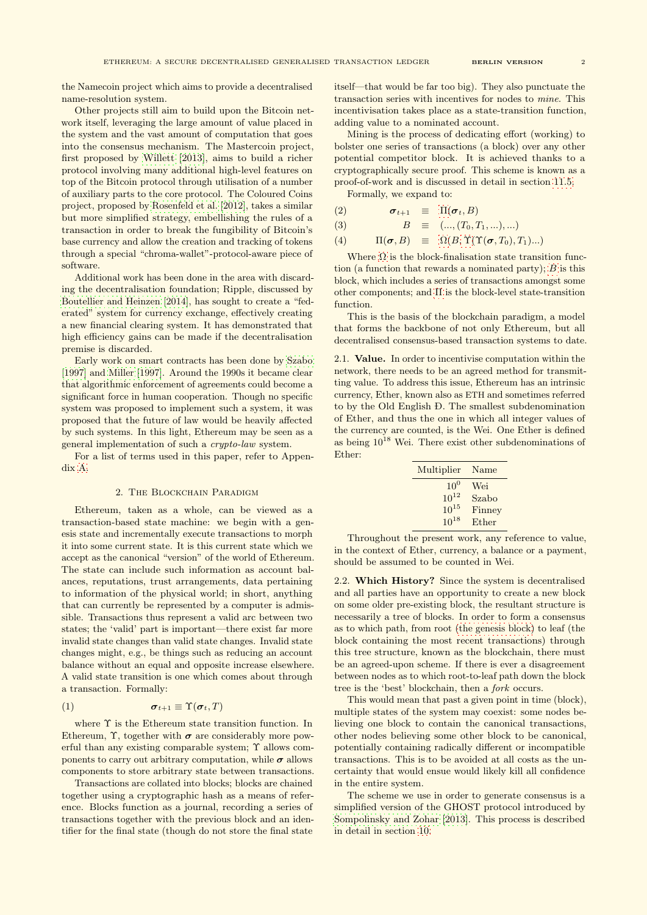the Namecoin project which aims to provide a decentralised name-resolution system.

Other projects still aim to build upon the Bitcoin network itself, leveraging the large amount of value placed in the system and the vast amount of computation that goes into the consensus mechanism. The Mastercoin project, first proposed by [Willett \[2013\]](#page-17-4), aims to build a richer protocol involving many additional high-level features on top of the Bitcoin protocol through utilisation of a number of auxiliary parts to the core protocol. The Coloured Coins project, proposed by [Rosenfeld et al. \[2012\]](#page-17-5), takes a similar but more simplified strategy, embellishing the rules of a transaction in order to break the fungibility of Bitcoin's base currency and allow the creation and tracking of tokens through a special "chroma-wallet"-protocol-aware piece of software.

Additional work has been done in the area with discarding the decentralisation foundation; Ripple, discussed by [Boutellier and Heinzen \[2014\]](#page-16-3), has sought to create a "federated" system for currency exchange, effectively creating a new financial clearing system. It has demonstrated that high efficiency gains can be made if the decentralisation premise is discarded.

Early work on smart contracts has been done by [Szabo](#page-17-6) [\[1997\]](#page-17-6) and [Miller \[1997\]](#page-17-7). Around the 1990s it became clear that algorithmic enforcement of agreements could become a significant force in human cooperation. Though no specific system was proposed to implement such a system, it was proposed that the future of law would be heavily affected by such systems. In this light, Ethereum may be seen as a general implementation of such a crypto-law system.

For a list of terms used in this paper, refer to Appendix [A.](#page-17-8)

## 2. The Blockchain Paradigm

Ethereum, taken as a whole, can be viewed as a transaction-based state machine: we begin with a genesis state and incrementally execute transactions to morph it into some current state. It is this current state which we accept as the canonical "version" of the world of Ethereum. The state can include such information as account balances, reputations, trust arrangements, data pertaining to information of the physical world; in short, anything that can currently be represented by a computer is admissible. Transactions thus represent a valid arc between two states; the 'valid' part is important—there exist far more invalid state changes than valid state changes. Invalid state changes might, e.g., be things such as reducing an account balance without an equal and opposite increase elsewhere. A valid state transition is one which comes about through a transaction. Formally:

<span id="page-1-0"></span>
$$
(1) \t\t \sigma_{t+1} \equiv \Upsilon(\sigma_t, T)
$$

where Υ is the Ethereum state transition function. In Ethereum,  $\Upsilon$ , together with  $\sigma$  are considerably more powerful than any existing comparable system; Υ allows components to carry out arbitrary computation, while  $\sigma$  allows components to store arbitrary state between transactions.

Transactions are collated into blocks; blocks are chained together using a cryptographic hash as a means of reference. Blocks function as a journal, recording a series of transactions together with the previous block and an identifier for the final state (though do not store the final state

itself—that would be far too big). They also punctuate the transaction series with incentives for nodes to mine. This incentivisation takes place as a state-transition function, adding value to a nominated account.

Mining is the process of dedicating effort (working) to bolster one series of transactions (a block) over any other potential competitor block. It is achieved thanks to a cryptographically secure proof. This scheme is known as a proof-of-work and is discussed in detail in section [11.5.](#page-15-0)

Formally, we expand to:

$$
(2) \qquad \qquad \boldsymbol{\sigma}_{t+1} \quad \equiv \quad \Pi(\boldsymbol{\sigma}_t, B)
$$

(3) 
$$
B \equiv (\dots, (T_0, T_1, \dots), \dots)
$$

(4) 
$$
\Pi(\boldsymbol{\sigma},B) \equiv \Omega(B,\Upsilon(\Upsilon(\boldsymbol{\sigma},T_0),T_1)...)
$$

Where  $\Omega$  is the block-finalisation state transition function (a function that rewards a nominated party);  $B$  is this block, which includes a series of transactions amongst some other components; and [Π](#page-15-1) is the block-level state-transition function.

This is the basis of the blockchain paradigm, a model that forms the backbone of not only Ethereum, but all decentralised consensus-based transaction systems to date.

2.1. Value. In order to incentivise computation within the network, there needs to be an agreed method for transmitting value. To address this issue, Ethereum has an intrinsic currency, Ether, known also as ETH and sometimes referred to by the Old English Đ. The smallest subdenomination of Ether, and thus the one in which all integer values of the currency are counted, is the Wei. One Ether is defined as being  $10^{18}$  Wei. There exist other subdenominations of Ether:

| Multiplier | Name   |
|------------|--------|
| $10^{0}$   | Wei    |
| $10^{12}$  | Szabo  |
| $10^{15}$  | Finney |
| $10^{18}$  | Ether  |

Throughout the present work, any reference to value, in the context of Ether, currency, a balance or a payment, should be assumed to be counted in Wei.

2.2. Which History? Since the system is decentralised and all parties have an opportunity to create a new block on some older pre-existing block, the resultant structure is necessarily a tree of blocks. In order to form a consensus as to which path, from root [\(the genesis block\)](#page-37-0) to leaf (the block containing the most recent transactions) through this tree structure, known as the blockchain, there must be an agreed-upon scheme. If there is ever a disagreement between nodes as to which root-to-leaf path down the block tree is the 'best' blockchain, then a fork occurs.

This would mean that past a given point in time (block), multiple states of the system may coexist: some nodes believing one block to contain the canonical transactions, other nodes believing some other block to be canonical, potentially containing radically different or incompatible transactions. This is to be avoided at all costs as the uncertainty that would ensue would likely kill all confidence in the entire system.

The scheme we use in order to generate consensus is a simplified version of the GHOST protocol introduced by [Sompolinsky and Zohar \[2013\]](#page-17-9). This process is described in detail in section [10.](#page-13-0)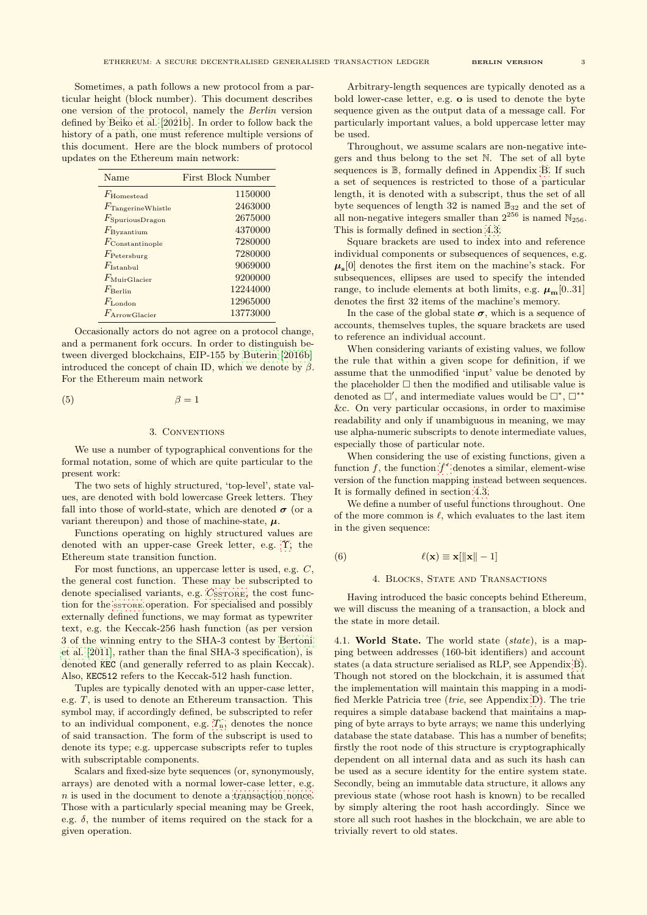Sometimes, a path follows a new protocol from a particular height (block number). This document describes one version of the protocol, namely the Berlin version defined by [Beiko et al. \[2021b\]](#page-16-4). In order to follow back the history of a path, one must reference multiple versions of this document. Here are the block numbers of protocol updates on the Ethereum main network:

| Name                          | <b>First Block Number</b> |
|-------------------------------|---------------------------|
| $F_{\text{Homested}}$         | 1150000                   |
| $F_{\text{TangerineWhistle}}$ | 2463000                   |
| $F_{\text{SpuriousDragon}}$   | 2675000                   |
| $F_{\rm Byzantium}$           | 4370000                   |
| $F_{\text{Constantinople}}$   | 7280000                   |
| $F_{\text{Petersburg}}$       | 7280000                   |
| $F_{\text{Istanhul}}$         | 9069000                   |
| $F_{\rm MuirGlacier}$         | 9200000                   |
| $F_{\rm Berlin}$              | 12244000                  |
| $F_{\text{London}}$           | 12965000                  |
| $F_{\text{ArrowGlacier}}$     | 13773000                  |

Occasionally actors do not agree on a protocol change, and a permanent fork occurs. In order to distinguish between diverged blockchains, EIP-155 by [Buterin \[2016b\]](#page-16-5) introduced the concept of chain ID, which we denote by  $\beta$ . For the Ethereum main network

(5)  $\beta = 1$ 

#### <span id="page-2-0"></span>3. CONVENTIONS

We use a number of typographical conventions for the formal notation, some of which are quite particular to the present work:

The two sets of highly structured, 'top-level', state values, are denoted with bold lowercase Greek letters. They fall into those of world-state, which are denoted  $\sigma$  (or a variant thereupon) and those of machine-state,  $\mu$ .

Functions operating on highly structured values are denoted with an upper-case Greek letter, e.g. [Υ,](#page-1-0) the Ethereum state transition function.

For most functions, an uppercase letter is used, e.g. C, the general cost function. These may be subscripted to denote specialised variants, e.g.  $C_{\text{SSTORE}}$  $C_{\text{SSTORE}}$  $C_{\text{SSTORE}}$ , the cost func-tion for the [SSTORE](#page-33-1) operation. For specialised and possibly externally defined functions, we may format as typewriter text, e.g. the Keccak-256 hash function (as per version 3 of the winning entry to the SHA-3 contest by [Bertoni](#page-16-6) [et al. \[2011\]](#page-16-6), rather than the final SHA-3 specification), is denoted KEC (and generally referred to as plain Keccak). Also, KEC512 refers to the Keccak-512 hash function.

Tuples are typically denoted with an upper-case letter, e.g. T, is used to denote an Ethereum transaction. This symbol may, if accordingly defined, be subscripted to refer to an individual component, e.g.  $T_n$  $T_n$ , denotes the nonce of said transaction. The form of the subscript is used to denote its type; e.g. uppercase subscripts refer to tuples with subscriptable components.

Scalars and fixed-size byte sequences (or, synonymously, arrays) are denoted with a normal lower-case letter, e.g. n is used in the document to denote a [transaction nonce.](#page-8-0) Those with a particularly special meaning may be Greek, e.g.  $\delta$ , the number of items required on the stack for a given operation.

Arbitrary-length sequences are typically denoted as a bold lower-case letter, e.g. o is used to denote the byte sequence given as the output data of a message call. For particularly important values, a bold uppercase letter may be used.

Throughout, we assume scalars are non-negative integers and thus belong to the set N. The set of all byte sequences is  $\mathbb{B}$ , formally defined in Appendix [B.](#page-18-0) If such a set of sequences is restricted to those of a particular length, it is denoted with a subscript, thus the set of all byte sequences of length  $32$  is named  $\mathbb{B}_{32}$  and the set of all non-negative integers smaller than  $2^{256}$  is named  $N_{256}$ . This is formally defined in section [4.3.](#page-4-0)

Square brackets are used to index into and reference individual components or subsequences of sequences, e.g.  $\mu_{\rm s}[0]$  denotes the first item on the machine's stack. For subsequences, ellipses are used to specify the intended range, to include elements at both limits, e.g.  $\mu_{\rm m}[0..31]$ denotes the first 32 items of the machine's memory.

In the case of the global state  $\sigma$ , which is a sequence of accounts, themselves tuples, the square brackets are used to reference an individual account.

When considering variants of existing values, we follow the rule that within a given scope for definition, if we assume that the unmodified 'input' value be denoted by the placeholder  $\Box$  then the modified and utilisable value is denoted as  $\square'$ , and intermediate values would be  $\square^*$ ,  $\square^{**}$ &c. On very particular occasions, in order to maximise readability and only if unambiguous in meaning, we may use alpha-numeric subscripts to denote intermediate values, especially those of particular note.

When considering the use of existing functions, given a [f](#page-5-0)unction  $f$ , the function  $f^*$  denotes a similar, element-wise version of the function mapping instead between sequences. It is formally defined in section [4.3.](#page-4-0)

We define a number of useful functions throughout. One of the more common is  $\ell$ , which evaluates to the last item in the given sequence:

(6) 
$$
\ell(\mathbf{x}) \equiv \mathbf{x}[\|\mathbf{x}\| - 1]
$$

## <span id="page-2-1"></span>4. Blocks, State and Transactions

Having introduced the basic concepts behind Ethereum, we will discuss the meaning of a transaction, a block and the state in more detail.

4.1. World State. The world state *(state)*, is a mapping between addresses (160-bit identifiers) and account states (a data structure serialised as RLP, see Appendix [B\)](#page-18-0). Though not stored on the blockchain, it is assumed that the implementation will maintain this mapping in a modified Merkle Patricia tree (trie, see Appendix [D\)](#page-20-0). The trie requires a simple database backend that maintains a mapping of byte arrays to byte arrays; we name this underlying database the state database. This has a number of benefits; firstly the root node of this structure is cryptographically dependent on all internal data and as such its hash can be used as a secure identity for the entire system state. Secondly, being an immutable data structure, it allows any previous state (whose root hash is known) to be recalled by simply altering the root hash accordingly. Since we store all such root hashes in the blockchain, we are able to trivially revert to old states.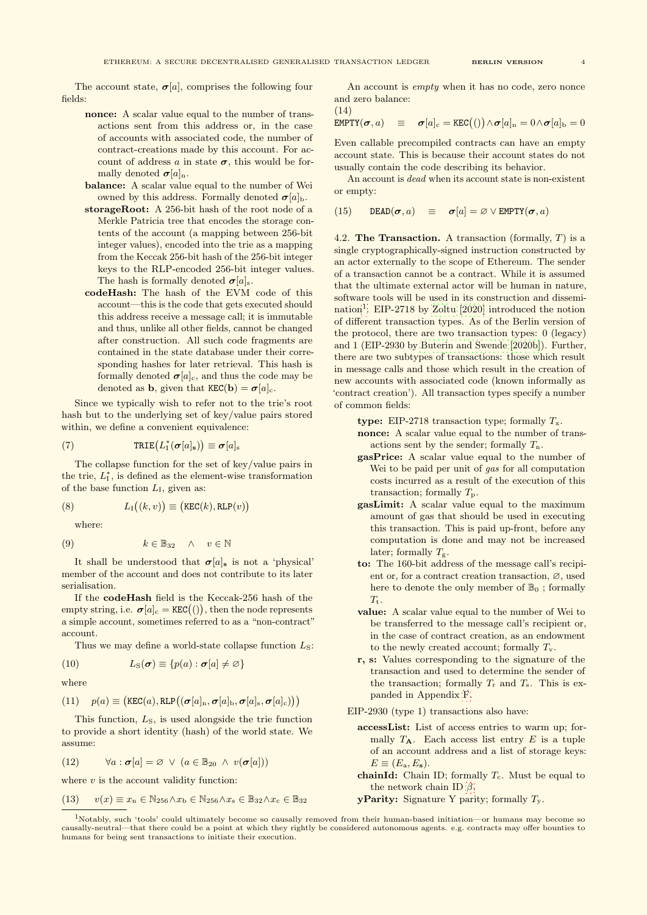<span id="page-3-2"></span>The account state,  $\sigma[a]$ , comprises the following four fields:

- nonce: A scalar value equal to the number of transactions sent from this address or, in the case of accounts with associated code, the number of contract-creations made by this account. For account of address  $a$  in state  $\sigma$ , this would be formally denoted  $\sigma[a]_n$ .
- balance: A scalar value equal to the number of Wei owned by this address. Formally denoted  $\sigma[a]_b$ .
- storageRoot: A 256-bit hash of the root node of a Merkle Patricia tree that encodes the storage contents of the account (a mapping between 256-bit integer values), encoded into the trie as a mapping from the Keccak 256-bit hash of the 256-bit integer keys to the RLP-encoded 256-bit integer values. The hash is formally denoted  $\sigma[a]_s$ .
- codeHash: The hash of the EVM code of this account—this is the code that gets executed should this address receive a message call; it is immutable and thus, unlike all other fields, cannot be changed after construction. All such code fragments are contained in the state database under their corresponding hashes for later retrieval. This hash is formally denoted  $\sigma[a]_c$ , and thus the code may be denoted as **b**, given that  $KEC(\mathbf{b}) = \sigma[a]_c$ .

Since we typically wish to refer not to the trie's root hash but to the underlying set of key/value pairs stored within, we define a convenient equivalence:

(7) 
$$
\text{TRUE}\big(L_1^*(\boldsymbol{\sigma}[a]_{\mathbf{s}})\big) \equiv \boldsymbol{\sigma}[a]_{\mathbf{s}}
$$

The collapse function for the set of key/value pairs in the trie,  $L_1^*$ , is defined as the element-wise transformation of the base function  $L<sub>I</sub>$ , given as:

(8) 
$$
L_{\mathcal{I}}((k, v)) \equiv (\mathtt{KEC}(k), \mathtt{RLP}(v))
$$

where:

$$
(9) \qquad k \in \mathbb{B}_{32} \quad \wedge \quad v \in \mathbb{N}
$$

It shall be understood that  $\sigma[a]$ <sub>s</sub> is not a 'physical' member of the account and does not contribute to its later serialisation.

If the codeHash field is the Keccak-256 hash of the empty string, i.e.  $\sigma[a]_c = \texttt{KEC}((b))$ , then the node represents a simple account, sometimes referred to as a "non-contract" account.

Thus we may define a world-state collapse function  $L<sub>S</sub>$ :

(10) 
$$
L_{\rm S}(\sigma) \equiv \{p(a) : \sigma[a] \neq \varnothing\}
$$

where

(11) 
$$
p(a) \equiv (\text{KEC}(a), \text{RLP}((\sigma[a]_n, \sigma[a]_b, \sigma[a]_s, \sigma[a]_c)))
$$

This function, LS, is used alongside the trie function to provide a short identity (hash) of the world state. We assume:

(12) 
$$
\forall a : \sigma[a] = \varnothing \ \lor \ (a \in \mathbb{B}_{20} \ \land \ v(\sigma[a]))
$$

where  $v$  is the account validity function:

(13) 
$$
v(x) \equiv x_n \in \mathbb{N}_{256} \land x_b \in \mathbb{N}_{256} \land x_s \in \mathbb{B}_{32} \land x_c \in \mathbb{B}_{32}
$$

An account is empty when it has no code, zero nonce and zero balance:  $(14)$ 

$$
\text{EMPTY}(\boldsymbol{\sigma}, a) \quad \equiv \quad \boldsymbol{\sigma}[a]_{c} = \text{KEC}((1)) \wedge \boldsymbol{\sigma}[a]_{n} = 0 \wedge \boldsymbol{\sigma}[a]_{b} = 0
$$

Even callable precompiled contracts can have an empty account state. This is because their account states do not usually contain the code describing its behavior.

An account is dead when its account state is non-existent or empty:

(15) 
$$
DEAD(\sigma, a) \equiv \sigma[a] = \varnothing \vee EMPTY(\sigma, a)
$$

4.2. The Transaction. A transaction (formally,  $T$ ) is a single cryptographically-signed instruction constructed by an actor externally to the scope of Ethereum. The sender of a transaction cannot be a contract. While it is assumed that the ultimate external actor will be human in nature, software tools will be used in its construction and dissemi-nation<sup>[1](#page-3-0)</sup>. EIP-2718 by [Zoltu \[2020\]](#page-17-10) introduced the notion of different transaction types. As of the Berlin version of the protocol, there are two transaction types: 0 (legacy) and 1 (EIP-2930 by [Buterin and Swende \[2020b\]](#page-16-7)). Further, there are two subtypes of transactions: those which result in message calls and those which result in the creation of new accounts with associated code (known informally as 'contract creation'). All transaction types specify a number of common fields:

<span id="page-3-1"></span>type: EIP-2718 transaction type; formally  $T_x$ .

- nonce: A scalar value equal to the number of transactions sent by the sender; formally  $T_n$ .
- <span id="page-3-4"></span>gasPrice: A scalar value equal to the number of Wei to be paid per unit of gas for all computation costs incurred as a result of the execution of this transaction; formally  $T_{p}$ .
- <span id="page-3-3"></span>gasLimit: A scalar value equal to the maximum amount of gas that should be used in executing this transaction. This is paid up-front, before any computation is done and may not be increased later; formally  $T_{\varphi}$ .
- to: The 160-bit address of the message call's recipient or, for a contract creation transaction, ∅, used here to denote the only member of  $\mathbb{B}_0$ ; formally  $T_{\rm t}$ .
- <span id="page-3-5"></span>value: A scalar value equal to the number of Wei to be transferred to the message call's recipient or, in the case of contract creation, as an endowment to the newly created account; formally  $T_{v}$ .
- <span id="page-3-7"></span>r, s: Values corresponding to the signature of the transaction and used to determine the sender of the transaction; formally  $T_r$  and  $T_s$ . This is expanded in Appendix [F.](#page-25-0)

EIP-2930 (type 1) transactions also have:

- <span id="page-3-6"></span>accessList: List of access entries to warm up; formally  $T_A$ . Each access list entry  $E$  is a tuple of an account address and a list of storage keys:  $E \equiv (E_{\rm a}, E_{\rm s}).$
- chainId: Chain ID; formally  $T_c$ . Must be equal to the network chain ID  $\beta$ .
- **yParity:** Signature Y parity; formally  $T_v$ .

<span id="page-3-0"></span><sup>1</sup>Notably, such 'tools' could ultimately become so causally removed from their human-based initiation—or humans may become so causally-neutral—that there could be a point at which they rightly be considered autonomous agents. e.g. contracts may offer bounties to humans for being sent transactions to initiate their execution.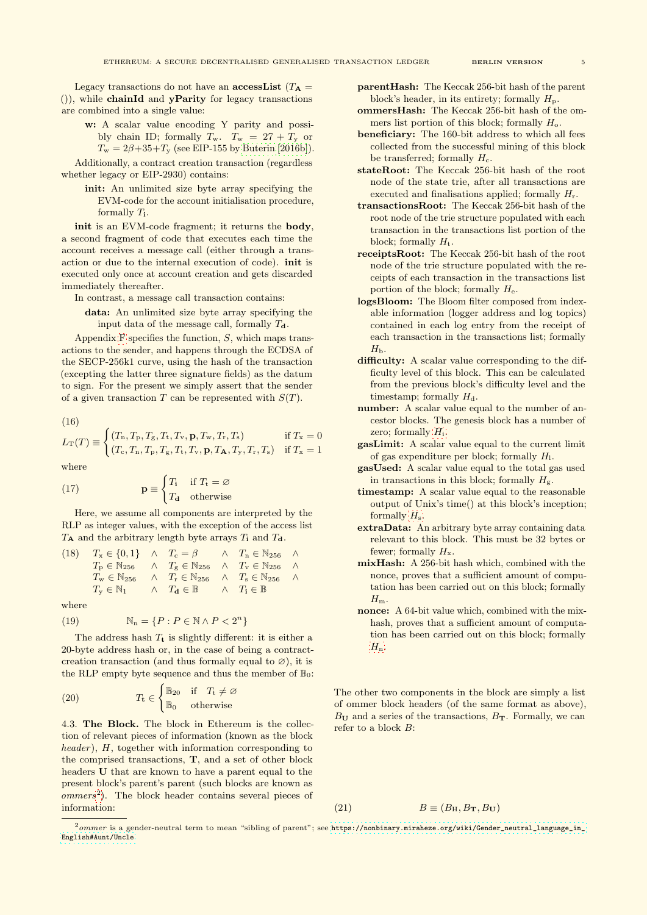Legacy transactions do not have an **accessList** ( $T_A$  = ()), while chainId and yParity for legacy transactions are combined into a single value:

<span id="page-4-9"></span>w: A scalar value encoding Y parity and possibly chain ID; formally  $T_w$ .  $T_w = 27 + T_y$  or  $T_{\rm w} = 2\beta + 35 + T_{\rm y}$  (see EIP-155 by [Buterin \[2016b\]](#page-16-5)).

Additionally, a contract creation transaction (regardless whether legacy or EIP-2930) contains:

init: An unlimited size byte array specifying the EVM-code for the account initialisation procedure, formally Ti.

init is an EVM-code fragment; it returns the body, a second fragment of code that executes each time the account receives a message call (either through a transaction or due to the internal execution of code). init is executed only once at account creation and gets discarded immediately thereafter.

In contrast, a message call transaction contains:

data: An unlimited size byte array specifying the input data of the message call, formally  $T_d$ .

Appendix  $F$  specifies the function,  $S$ , which maps transactions to the sender, and happens through the ECDSA of the SECP-256k1 curve, using the hash of the transaction (excepting the latter three signature fields) as the datum to sign. For the present we simply assert that the sender of a given transaction  $T$  can be represented with  $S(T)$ .

$$
(16)
$$

<span id="page-4-2"></span>
$$
L_{\rm T}(T) \equiv \begin{cases} (T_{\rm n}, T_{\rm p}, T_{\rm g}, T_{\rm t}, T_{\rm v}, \mathbf{p}, T_{\rm w}, T_{\rm r}, T_{\rm s}) \\ (T_{\rm e}, T_{\rm n}, T_{\rm e}, T_{\rm t}, T_{\rm t}, T_{\rm v}, \mathbf{p}, T_{\rm A}, T_{\rm r}, T_{\rm s}) \end{cases}
$$

where

 $(17)$ 

$$
\mathbf{p} \equiv \begin{cases} T_{\mathbf{i}} & \text{if } T_{\mathbf{t}} = \varnothing \\ T_{\mathbf{d}} & \text{otherwise} \end{cases}
$$

Here, we assume all components are interpreted by the RLP as integer values, with the exception of the access list  $T_A$  and the arbitrary length byte arrays  $T_i$  and  $T_d$ .

| $(T_8)$ $T_x \in \{0,1\}$ $\wedge$ $T_c = \beta$ $\wedge$ $T_n \in \mathbb{N}_{256}$ $\wedge$                                         |  |  |  |
|---------------------------------------------------------------------------------------------------------------------------------------|--|--|--|
| $T_{\rm p} \in \mathbb{N}_{256}$ $\wedge$ $T_{\rm g} \in \mathbb{N}_{256}$ $\wedge$ $T_{\rm v} \in \mathbb{N}_{256}$ $\wedge$         |  |  |  |
| $T_{\rm w} \in \mathbb{N}_{256}$ $\wedge$ $T_{\rm r} \in \mathbb{N}_{256}$ $\wedge$ $T_{\rm s} \in \mathbb{N}_{256}$ $\wedge$         |  |  |  |
| $T_{\mathbf{v}} \in \mathbb{N}_1 \qquad \wedge \quad T_{\mathbf{d}} \in \mathbb{B} \qquad \wedge \quad T_{\mathbf{i}} \in \mathbb{B}$ |  |  |  |

where

$$
(19) \qquad \mathbb{N}_n = \{ P : P \in \mathbb{N} \land P < 2^n \}
$$

The address hash  $T_t$  is slightly different: it is either a 20-byte address hash or, in the case of being a contractcreation transaction (and thus formally equal to  $\varnothing$ ), it is the RLP empty byte sequence and thus the member of  $\mathbb{B}_0$ :

(20) 
$$
T_{\mathbf{t}} \in \begin{cases} \mathbb{B}_{20} & \text{if } T_{\mathbf{t}} \neq \varnothing \\ \mathbb{B}_{0} & \text{otherwise} \end{cases}
$$

<span id="page-4-0"></span>4.3. The Block. The block in Ethereum is the collection of relevant pieces of information (known as the block  $header$ ,  $H$ , together with information corresponding to the comprised transactions, T, and a set of other block headers U that are known to have a parent equal to the present block's parent's parent (such blocks are known as  $ommers<sup>2</sup>$  $ommers<sup>2</sup>$  $ommers<sup>2</sup>$ ). The block header contains several pieces of information:

- <span id="page-4-4"></span>parentHash: The Keccak 256-bit hash of the parent block's header, in its entirety; formally  $H<sub>p</sub>$ .
- ommersHash: The Keccak 256-bit hash of the ommers list portion of this block; formally  $H_0$ .
- beneficiary: The 160-bit address to which all fees collected from the successful mining of this block be transferred; formally  $H_c$ .
- stateRoot: The Keccak 256-bit hash of the root node of the state trie, after all transactions are executed and finalisations applied; formally  $H_r$ .
- transactionsRoot: The Keccak 256-bit hash of the root node of the trie structure populated with each transaction in the transactions list portion of the block; formally  $H_t$ .
- receiptsRoot: The Keccak 256-bit hash of the root node of the trie structure populated with the receipts of each transaction in the transactions list portion of the block; formally  $H_e$ .
- logsBloom: The Bloom filter composed from indexable information (logger address and log topics) contained in each log entry from the receipt of each transaction in the transactions list; formally  $H_{\rm b}$ .
- difficulty: A scalar value corresponding to the difficulty level of this block. This can be calculated from the previous block's difficulty level and the timestamp; formally  $H_d$ .
- number: A scalar value equal to the number of ancestor blocks. The genesis block has a number of zero; formally  $H_i$  $H_i$ .
- gasLimit: A scalar value equal to the current limit of gas expenditure per block; formally  $H_1$ .
- <span id="page-4-7"></span>gasUsed: A scalar value equal to the total gas used in transactions in this block; formally  $H_g$ .
- timestamp: A scalar value equal to the reasonable output of Unix's time() at this block's inception; formally  $H_s$  $H_s$ .
- <span id="page-4-5"></span>extraData: An arbitrary byte array containing data relevant to this block. This must be 32 bytes or fewer: formally  $H_{\rm x}$ .
- <span id="page-4-8"></span>mixHash: A 256-bit hash which, combined with the nonce, proves that a sufficient amount of computation has been carried out on this block; formally  $H_{\rm m}$ .
- <span id="page-4-6"></span>nonce: A 64-bit value which, combined with the mixhash, proves that a sufficient amount of computation has been carried out on this block; formally  $H_{\rm n}$  $H_{\rm n}$ .

<span id="page-4-3"></span>The other two components in the block are simply a list of ommer block headers (of the same format as above),  $B_{\mathbf{U}}$  and a series of the transactions,  $B_{\mathbf{T}}$ . Formally, we can refer to a block B:

$$
(21) \t\t B \equiv (B_{\rm H}, B_{\rm T}, B_{\rm U})
$$

if  $T_x = 0$  $(T<sub>s</sub>)$  if  $T<sub>x</sub> = 1$ 

<span id="page-4-1"></span> $2$ <sub>ommer</sub> is a gender-neutral term to mean "sibling of parent"; see [https://nonbinary.miraheze.org/wiki/Gender\\_neutral\\_language\\_in\\_](https://nonbinary.miraheze.org/wiki/Gender_neutral_language_in_English#Aunt/Uncle) [English#Aunt/Uncle](https://nonbinary.miraheze.org/wiki/Gender_neutral_language_in_English#Aunt/Uncle)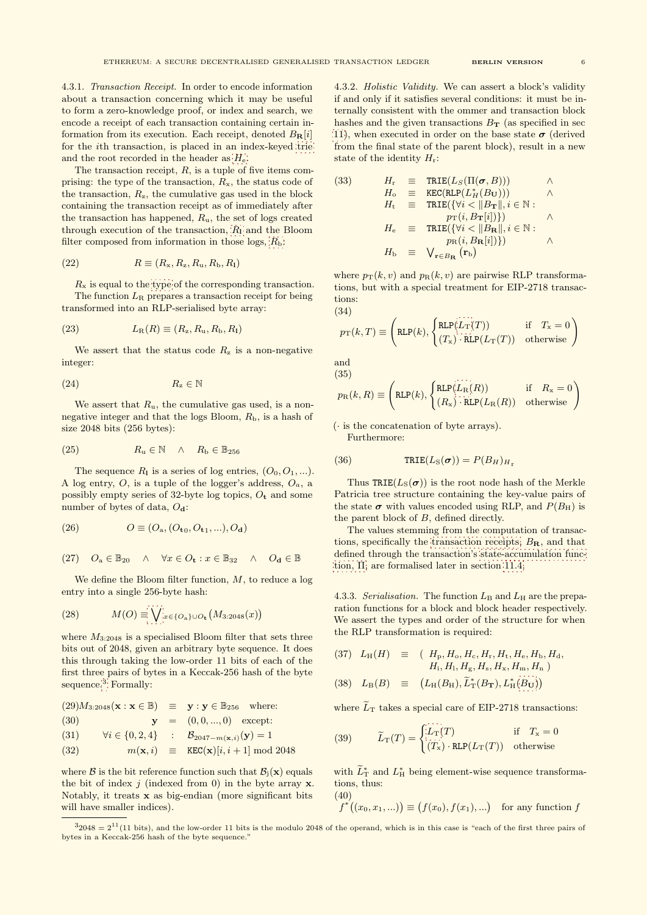<span id="page-5-4"></span>4.3.1. Transaction Receipt. In order to encode information about a transaction concerning which it may be useful to form a zero-knowledge proof, or index and search, we encode a receipt of each transaction containing certain information from its execution. Each receipt, denoted  $B_R[i]$ for the ith transaction, is placed in an index-keyed [trie](#page-20-1) and the root recorded in the header as  $H<sub>e</sub>$  $H<sub>e</sub>$ .

<span id="page-5-7"></span>The transaction receipt,  $R$ , is a tuple of five items comprising: the type of the transaction,  $R_x$ , the status code of the transaction,  $R_z$ , the cumulative gas used in the block containing the transaction receipt as of immediately after the transaction has happened,  $R<sub>u</sub>$ , the set of logs created through execution of the transaction,  $R_1$  $R_1$  and the Bloom filter composed from information in those logs,  $R<sub>b</sub>$  $R<sub>b</sub>$ :

$$
(22) \t\t R \equiv (R_x, R_z, R_u, R_b, R_l)
$$

<span id="page-5-3"></span> $R<sub>x</sub>$  is equal to the [type](#page-3-1) of the corresponding transaction. The function  $L_R$  prepares a transaction receipt for being transformed into an RLP-serialised byte array:

(23) 
$$
L_{\rm R}(R) \equiv (R_{\rm z}, R_{\rm u}, R_{\rm b}, R_{\rm l})
$$

We assert that the status code  $R_z$  is a non-negative integer:

$$
(24) \t\t R_z \in \mathbb{N}
$$

We assert that  $R_u$ , the cumulative gas used, is a nonnegative integer and that the logs Bloom,  $R<sub>b</sub>$ , is a hash of size 2048 bits (256 bytes):

(25) 
$$
R_{\mathrm{u}} \in \mathbb{N} \quad \wedge \quad R_{\mathrm{b}} \in \mathbb{B}_{256}
$$

The sequence  $R_1$  is a series of log entries,  $(O_0, O_1, \ldots)$ . A log entry,  $O$ , is a tuple of the logger's address,  $O_a$ , a possibly empty series of 32-byte log topics,  $O_t$  and some number of bytes of data,  $O_d$ :

(26) 
$$
O \equiv (O_{\mathbf{a}}, (O_{\mathbf{t}_0}, O_{\mathbf{t}_1}, \ldots), O_{\mathbf{d}})
$$

(27) 
$$
O_a \in \mathbb{B}_{20} \quad \wedge \quad \forall x \in O_{\mathbf{t}} : x \in \mathbb{B}_{32} \quad \wedge \quad O_{\mathbf{d}} \in \mathbb{B}
$$

We define the Bloom filter function,  $M$ , to reduce a log entry into a single 256-byte hash:

(28) 
$$
M(O) \equiv \bigvee_{x \in \{O_a\} \cup O_{\mathbf{t}}}\left(M_{3:2048}(x)\right)
$$

where  $M_{3:2048}$  is a specialised Bloom filter that sets three bits out of 2048, given an arbitrary byte sequence. It does this through taking the low-order 11 bits of each of the first three pairs of bytes in a Keccak-256 hash of the byte sequence.<sup>[3](#page-5-2)</sup> Formally:

(29)
$$
M_{3:2048}(\mathbf{x} : \mathbf{x} \in \mathbb{B}) \equiv \mathbf{y} : \mathbf{y} \in \mathbb{B}_{256}
$$
 where:  
\n(30)  $\mathbf{y} = (0, 0, ..., 0)$  except:  
\n(31)  $\forall i \in \{0, 2, 4\}$  :  $B_{2047-m(\mathbf{x}, i)}(\mathbf{y}) = 1$   
\n(32)  $m(\mathbf{x}, i) \equiv \text{KEC}(\mathbf{x})[i, i + 1] \bmod 2048$ 

where  $\beta$  is the bit reference function such that  $\beta_i(\mathbf{x})$  equals the bit of index  $j$  (indexed from 0) in the byte array  $x$ . Notably, it treats x as big-endian (more significant bits will have smaller indices).

4.3.2. Holistic Validity. We can assert a block's validity if and only if it satisfies several conditions: it must be internally consistent with the ommer and transaction block hashes and the given transactions  $B_T$  (as specified in sec [11\)](#page-14-1), when executed in order on the base state  $\sigma$  (derived from the final state of the parent block), result in a new state of the identity  $H_{\rm r}$ :

<span id="page-5-5"></span>(33) 
$$
H_{\rm r} \equiv \text{TRUE}(L_{S}(\Pi(\sigma, B))) \wedge
$$

$$
H_{\rm o} \equiv \text{KEC}(\text{RLP}(L_{H}^{*}(B_{\rm U}))) \wedge
$$

$$
H_{\rm t} \equiv \text{TRUE}(\{\forall i < ||B_{\rm T}||, i \in \mathbb{N} :
$$

$$
p_{\rm T}(i, B_{\rm T}[i])\}) \wedge
$$

$$
H_{\rm e} \equiv \text{TRUE}(\{\forall i < ||B_{\rm R}||, i \in \mathbb{N} :
$$

$$
p_{\rm R}(i, B_{\rm R}[i])\}) \wedge
$$

$$
H_{\rm b} \equiv \bigvee_{\mathbf{r} \in B_{\rm R}} (\mathbf{r}_{\rm b})
$$

<span id="page-5-6"></span><span id="page-5-1"></span>where  $p_T(k, v)$  and  $p_R(k, v)$  are pairwise RLP transformations, but with a special treatment for EIP-2718 transactions: (34)

$$
p_{\rm T}(k,T) \equiv \Bigg({\rm RLP}(k), \begin{cases} {\rm RLP}(L_{\rm T}(T)) & \text{if} \quad T_{\rm x}=0 \\ (T_{\rm x}) \cdot {\rm RLP}(L_{\rm T}(T)) & \text{otherwise} \end{cases} \Bigg)
$$

and (35)

$$
p_{\rm R}(k,R) \equiv \left(\text{RLP}(k), \begin{cases} \text{RLP}(L_{\rm R}(R)) & \text{if} \quad R_{\rm x}=0\\ (R_{\rm x}) \cdot \text{RLP}(L_{\rm R}(R)) & \text{otherwise} \end{cases}\right)
$$

(· is the concatenation of byte arrays). Furthermore:

(36) 
$$
TRIE(L_S(\sigma)) = P(B_H)_{H_T}
$$

Thus  $\texttt{TRUE}(L_\text{S}(\sigma))$  is the root node hash of the Merkle Patricia tree structure containing the key-value pairs of the state  $\sigma$  with values encoded using RLP, and  $P(B_H)$  is the parent block of B, defined directly.

The values stemming from the computation of transactions, specifically the [transaction receipts,](#page-5-4)  $B_{\rm R}$ , and that defined through the transaction's [state-accumulation func](#page-15-1)[tion, Π,](#page-15-1) are formalised later in section [11.4.](#page-14-2)

4.3.3. Serialisation. The function  $L_{\text{B}}$  and  $L_{\text{H}}$  are the preparation functions for a block and block header respectively. We assert the types and order of the structure for when the RLP transformation is required:

(37) 
$$
L_{\rm H}(H) \equiv (H_{\rm p}, H_{\rm o}, H_{\rm c}, H_{\rm r}, H_{\rm t}, H_{\rm e}, H_{\rm b}, H_{\rm d}, H_{\rm i}, H_{\rm i}, H_{\rm g}, H_{\rm s}, H_{\rm x}, H_{\rm m}, H_{\rm n})
$$

(38) 
$$
L_B(B) \equiv (L_H(B_H), \widetilde{L}_T^*(B_T), L_H^*(B_U))
$$

where  $\widetilde{L}_T$  takes a special care of EIP-2718 transactions:

(39) 
$$
\widetilde{L}_{\mathrm{T}}(T) = \begin{cases} L_{\mathrm{T}}(T) & \text{if } T_{\mathrm{x}} = 0\\ (T_{\mathrm{x}}) \cdot \text{RLP}(L_{\mathrm{T}}(T)) & \text{otherwise} \end{cases}
$$

<span id="page-5-0"></span>with  $\widetilde{L}_{\rm T}^*$  and  $L_{\rm H}^*$  being element-wise sequence transformations, thus: (40)

$$
f^*((x_0, x_1,...)) \equiv (f(x_0), f(x_1),...)
$$
 for any function f

<span id="page-5-2"></span> $32048 = 2^{11}(11 \text{ bits})$ , and the low-order 11 bits is the modulo 2048 of the operand, which is in this case is "each of the first three pairs of bytes in a Keccak-256 hash of the byte sequence."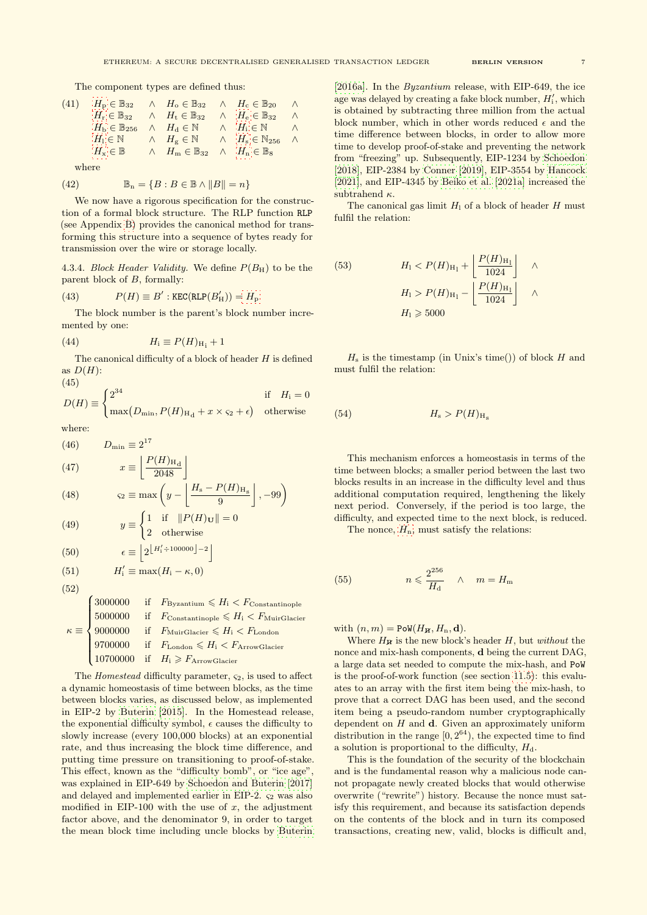The component types are defined thus:

(41) 
$$
H_P \in \mathbb{B}_{32}
$$
  $\wedge$   $H_o \in \mathbb{B}_{32}$   $\wedge$   $H_c \in \mathbb{B}_{20}$   $\wedge$   
\n $H_r \in \mathbb{B}_{32}$   $\wedge$   $H_t \in \mathbb{B}_{32}$   $\wedge$   $H_e \in \mathbb{B}_{32}$   $\wedge$   
\n $H_b \in \mathbb{B}_{256}$   $\wedge$   $H_d \in \mathbb{N}$   $\wedge$   $H_i \in \mathbb{N}$   $\wedge$   
\n $H_1 \in \mathbb{N}$   $\wedge$   $H_g \in \mathbb{N}$   $\wedge$   $H_s \in \mathbb{N}_{256}$   $\wedge$   
\n $H_x \in \mathbb{B}$   $\wedge$   $H_m \in \mathbb{B}_{32}$   $\wedge$   $H_n \in \mathbb{B}_8$ 

where

(42) 
$$
\mathbb{B}_n = \{B : B \in \mathbb{B} \land ||B|| = n\}
$$

We now have a rigorous specification for the construction of a formal block structure. The RLP function RLP (see Appendix [B\)](#page-18-0) provides the canonical method for transforming this structure into a sequence of bytes ready for transmission over the wire or storage locally.

4.3.4. Block Header Validity. We define  $P(B_H)$  to be the parent block of B, formally:

(43) 
$$
P(H) \equiv B' : \text{KEC}(\text{RLP}(B'_{\text{H}})) = H_{\text{p}}
$$

<span id="page-6-0"></span>The block number is the parent's block number incremented by one:

$$
(44) \t\t\t H_i \equiv P(H)_{H_i} + 1
$$

<span id="page-6-4"></span>The canonical difficulty of a block of header  $H$  is defined as  $D(H)$ :  $(45)$ 

(43)  

$$
D(H) \equiv \begin{cases} 2^{34} & \text{if } H_i = 0\\ \max(D_{\min}, P(H)_{H_d} + x \times \varsigma_2 + \epsilon) & \text{otherwise} \end{cases}
$$

where:

(46) 
$$
D_{\min} \equiv 2^{17}
$$

$$
x \equiv \left[ \frac{P(H)_{\text{H}_{\text{d}}}}{2048} \right]
$$

(48) 
$$
\varsigma_2 \equiv \max \left( y - \left\lfloor \frac{H_s - P(H)_{\mathrm{H_s}}}{9} \right\rfloor, -99 \right)
$$

(49) 
$$
y \equiv \begin{cases} 1 & \text{if } ||P(H)_{\mathbf{U}}|| = 0\\ 2 & \text{otherwise} \end{cases}
$$

$$
(50) \qquad \epsilon \equiv \left| 2^{\left\lfloor H'_{i} \div 100000 \right\rfloor - 2} \right|
$$

(51) 
$$
H'_i \equiv \max(H_i - \kappa, 0)
$$

$$
(52)
$$

 $\kappa$  =  $\sqrt{ }$  $\int$  $\overline{\mathcal{L}}$ 3000000 if  $F_{\text{Byzantium}} \leq H_i < F_{\text{Constantinople}}$ 5000000 if  $F_{\text{Constantinople}} \leq H_i < F_{\text{MuirGlacier}}$ 9000000 if  $F_{\text{MuirGlacier}} \leqslant H_i < F_{\text{London}}$ 9700000 if  $F_{\text{London}} \leq H_i < F_{\text{ArrowGlacier}}$ 10700000 if  $H_i \geqslant F_{\text{ArrowGlacier}}$ 

The *Homestead* difficulty parameter,  $\zeta_2$ , is used to affect a dynamic homeostasis of time between blocks, as the time between blocks varies, as discussed below, as implemented in EIP-2 by [Buterin \[2015\]](#page-16-8). In the Homestead release, the exponential difficulty symbol,  $\epsilon$  causes the difficulty to slowly increase (every 100,000 blocks) at an exponential rate, and thus increasing the block time difference, and putting time pressure on transitioning to proof-of-stake. This effect, known as the "difficulty bomb", or "ice age" was explained in EIP-649 by [Schoedon and Buterin \[2017\]](#page-17-11) and delayed and implemented earlier in EIP-2.  $\varsigma_2$  was also modified in EIP-100 with the use of  $x$ , the adjustment factor above, and the denominator 9, in order to target the mean block time including uncle blocks by [Buterin](#page-16-9)

[\[2016a\]](#page-16-9). In the Byzantium release, with EIP-649, the ice age was delayed by creating a fake block number,  $H'_{i}$ , which is obtained by subtracting three million from the actual block number, which in other words reduced  $\epsilon$  and the time difference between blocks, in order to allow more time to develop proof-of-stake and preventing the network from "freezing" up. Subsequently, EIP-1234 by [Schoedon](#page-17-12) [\[2018\]](#page-17-12), EIP-2384 by [Conner \[2019\]](#page-17-13), EIP-3554 by [Hancock](#page-17-14) [\[2021\]](#page-17-14), and EIP-4345 by [Beiko et al. \[2021a\]](#page-16-10) increased the subtrahend  $\kappa$ .

<span id="page-6-3"></span>The canonical gas limit  $H_1$  of a block of header  $H$  must fulfil the relation:

(53) 
$$
H_1 < P(H)_{H_1} + \left[ \frac{P(H)_{H_1}}{1024} \right] \quad \land
$$
\n
$$
H_1 > P(H)_{H_1} - \left[ \frac{P(H)_{H_1}}{1024} \right] \quad \land
$$
\n
$$
H_1 \geq 5000
$$

<span id="page-6-1"></span> $H<sub>s</sub>$  is the timestamp (in Unix's time()) of block H and must fulfil the relation:

$$
(54) \t\t Hs > P(H)Hs
$$

This mechanism enforces a homeostasis in terms of the time between blocks; a smaller period between the last two blocks results in an increase in the difficulty level and thus additional computation required, lengthening the likely next period. Conversely, if the period is too large, the difficulty, and expected time to the next block, is reduced.

<span id="page-6-2"></span>The nonce,  $H_n$  $H_n$ , must satisfy the relations:

(55) 
$$
n \leqslant \frac{2^{256}}{H_d} \quad \wedge \quad m = H_m
$$

with  $(n, m) = \text{PoW}(H_{\mathbb{R}}, H_{\mathbb{R}}, \mathbf{d}).$ 

<span id="page-6-5"></span>Where  $H<sub>M</sub>$  is the new block's header H, but without the nonce and mix-hash components, d being the current DAG, a large data set needed to compute the mix-hash, and PoW is the proof-of-work function (see section [11.5\)](#page-15-0): this evaluates to an array with the first item being the mix-hash, to prove that a correct DAG has been used, and the second item being a pseudo-random number cryptographically dependent on  $H$  and  $d$ . Given an approximately uniform distribution in the range  $[0, 2^{64})$ , the expected time to find a solution is proportional to the difficulty,  $H_d$ .

This is the foundation of the security of the blockchain and is the fundamental reason why a malicious node cannot propagate newly created blocks that would otherwise overwrite ("rewrite") history. Because the nonce must satisfy this requirement, and because its satisfaction depends on the contents of the block and in turn its composed transactions, creating new, valid, blocks is difficult and,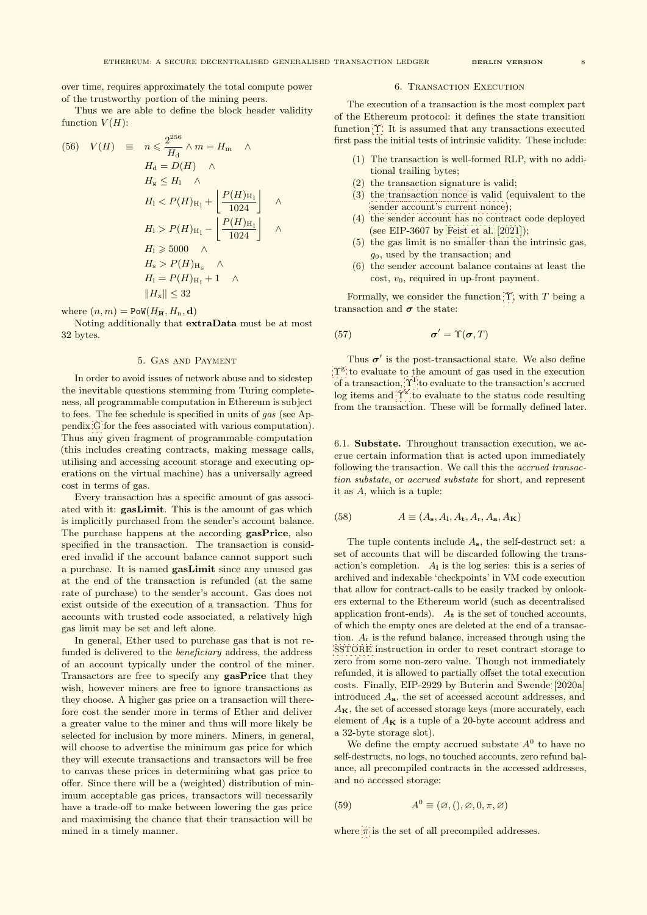over time, requires approximately the total compute power of the trustworthy portion of the mining peers.

<span id="page-7-3"></span>Thus we are able to define the block header validity function  $V(H)$ :

$$
(56) \quad V(H) \equiv n \leqslant \frac{2^{256}}{H_d} \land m = H_m \quad \land
$$
\n
$$
H_d = D(H) \quad \land
$$
\n
$$
H_g \leq H_1 \quad \land
$$
\n
$$
H_1 < P(H)_{H_1} + \left\lfloor \frac{P(H)_{H_1}}{1024} \right\rfloor \quad \land
$$
\n
$$
H_1 > P(H)_{H_1} - \left\lfloor \frac{P(H)_{H_1}}{1024} \right\rfloor \quad \land
$$
\n
$$
H_1 \geqslant 5000 \quad \land
$$
\n
$$
H_s > P(H)_{H_s} \quad \land
$$
\n
$$
H_i = P(H)_{H_1} + 1 \quad \land
$$
\n
$$
||H_x|| \leq 32
$$

where  $(n, m) = \text{PoW}(H_{\mathbf{W}}, H_{\mathbf{n}}, \mathbf{d})$ 

Noting additionally that extraData must be at most 32 bytes.

#### 5. Gas and Payment

In order to avoid issues of network abuse and to sidestep the inevitable questions stemming from Turing completeness, all programmable computation in Ethereum is subject to fees. The fee schedule is specified in units of gas (see Appendix [G](#page-26-0) for the fees associated with various computation). Thus any given fragment of programmable computation (this includes creating contracts, making message calls, utilising and accessing account storage and executing operations on the virtual machine) has a universally agreed cost in terms of gas.

Every transaction has a specific amount of gas associated with it: gasLimit. This is the amount of gas which is implicitly purchased from the sender's account balance. The purchase happens at the according gasPrice, also specified in the transaction. The transaction is considered invalid if the account balance cannot support such a purchase. It is named gasLimit since any unused gas at the end of the transaction is refunded (at the same rate of purchase) to the sender's account. Gas does not exist outside of the execution of a transaction. Thus for accounts with trusted code associated, a relatively high gas limit may be set and left alone.

In general, Ether used to purchase gas that is not refunded is delivered to the beneficiary address, the address of an account typically under the control of the miner. Transactors are free to specify any gasPrice that they wish, however miners are free to ignore transactions as they choose. A higher gas price on a transaction will therefore cost the sender more in terms of Ether and deliver a greater value to the miner and thus will more likely be selected for inclusion by more miners. Miners, in general, will choose to advertise the minimum gas price for which they will execute transactions and transactors will be free to canvas these prices in determining what gas price to offer. Since there will be a (weighted) distribution of minimum acceptable gas prices, transactors will necessarily have a trade-off to make between lowering the gas price and maximising the chance that their transaction will be mined in a timely manner.

#### 6. Transaction Execution

The execution of a transaction is the most complex part of the Ethereum protocol: it defines the state transition function [Υ.](#page-1-0) It is assumed that any transactions executed first pass the initial tests of intrinsic validity. These include:

- (1) The transaction is well-formed RLP, with no additional trailing bytes;
- (2) the transaction signature is valid;
- (3) the [transaction nonce](#page-8-0) is valid (equivalent to the [sender account's current nonce\)](#page-3-2);
- (4) the sender account has no contract code deployed (see EIP-3607 by [Feist et al. \[2021\]](#page-17-15));
- (5) the gas limit is no smaller than the intrinsic gas, g0, used by the transaction; and
- (6) the sender account balance contains at least the  $\cos t$ ,  $v_0$ , required in up-front payment.

Formally, we consider the function  $\Upsilon$ , with T being a transaction and  $\sigma$  the state:

(57) 
$$
\boldsymbol{\sigma}' = \boldsymbol{\Upsilon}(\boldsymbol{\sigma}, T)
$$

Thus  $\sigma'$  is the post-transactional state. We also define [Υ](#page-8-1) g to evaluate to the amount of gas used in the execution of a transaction,  $\Upsilon^1$  to evaluate to the transaction's accrued  $\log$  items and  $\Upsilon^z$  to evaluate to the status code resulting from the transaction. These will be formally defined later.

<span id="page-7-2"></span>6.1. Substate. Throughout transaction execution, we accrue certain information that is acted upon immediately following the transaction. We call this the accrued transaction substate, or accrued substate for short, and represent it as A, which is a tuple:

(58) 
$$
A \equiv (A_{\mathbf{s}}, A_{\mathbf{l}}, A_{\mathbf{t}}, A_{\mathbf{r}}, A_{\mathbf{a}}, A_{\mathbf{K}})
$$

<span id="page-7-1"></span>The tuple contents include  $A_s$ , the self-destruct set: a set of accounts that will be discarded following the transaction's completion.  $A<sub>1</sub>$  is the log series: this is a series of archived and indexable 'checkpoints' in VM code execution that allow for contract-calls to be easily tracked by onlookers external to the Ethereum world (such as decentralised application front-ends).  $A_t$  is the set of touched accounts, of which the empty ones are deleted at the end of a transaction.  $A_r$  is the refund balance, increased through using the [SSTORE](#page-33-1) instruction in order to reset contract storage to zero from some non-zero value. Though not immediately refunded, it is allowed to partially offset the total execution costs. Finally, EIP-2929 by [Buterin and Swende \[2020a\]](#page-16-11) introduced Aa, the set of accessed account addresses, and  $A_{\mathbf{K}}$ , the set of accessed storage keys (more accurately, each element of  $A_K$  is a tuple of a 20-byte account address and a 32-byte storage slot).

<span id="page-7-4"></span><span id="page-7-0"></span>We define the empty accrued substate  $A^0$  to have no self-destructs, no logs, no touched accounts, zero refund balance, all precompiled contracts in the accessed addresses, and no accessed storage:

(59) 
$$
A^0 \equiv (\varnothing,(),\varnothing,0,\pi,\varnothing)
$$

where  $\pi$  is the set of all precompiled addresses.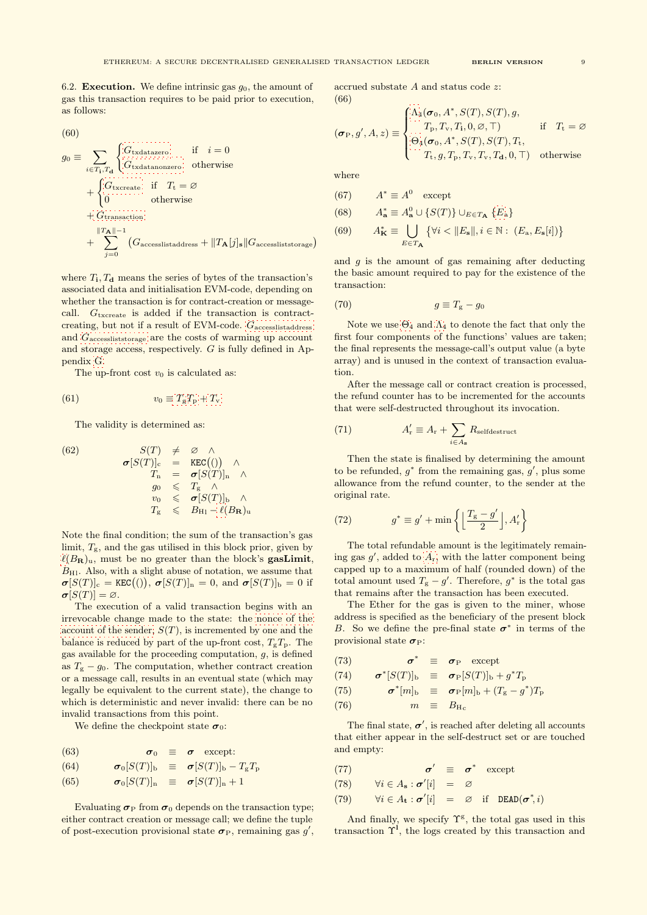6.2. Execution. We define intrinsic gas  $g_0$ , the amount of gas this transaction requires to be paid prior to execution, as follows:

(60)  
\n
$$
g_0 \equiv \sum_{i \in T_1, T_d} \begin{cases} G_{\text{txdatazero}} & \text{if } i = 0 \\ G_{\text{txdataanozero}} & \text{otherwise} \end{cases} + \begin{cases} G_{\text{txcata}} & \text{if } T_t = \varnothing \\ 0 & \text{otherwise} \end{cases} + G_{\text{transaction}} + \sum_{j=0}^{\|T_{\mathbf{A}}\| - 1} (G_{\text{accesslistaddress}} + \|T_{\mathbf{A}}[j]_{\mathbf{s}} \| G_{\text{accessliststorage}})
$$

where  $T_i$ ,  $T_d$  means the series of bytes of the transaction's associated data and initialisation EVM-code, depending on whether the transaction is for contract-creation or messagecall.  $G_{\text{txcreate}}$  is added if the transaction is contractcreating, but not if a result of EVM-code. G[accesslistaddress](#page-26-5) and G[accessliststorage](#page-26-6) are the costs of warming up account and storage access, respectively. G is fully defined in Appendix [G.](#page-26-0)

The up-front cost  $v_0$  is calculated as:

$$
(61) \t v_0 \equiv T_{\rm g} T_{\rm p} + T_{\rm v}
$$

<span id="page-8-0"></span>The validity is determined as:

(62) 
$$
S(T) \neq \emptyset \wedge
$$

$$
\sigma[S(T)]_{c} = \text{KEC}((1)) \wedge
$$

$$
T_{n} = \sigma[S(T)]_{n} \wedge
$$

$$
g_{0} \leqslant T_{g} \wedge
$$

$$
v_{0} \leqslant \sigma[S(T)]_{b} \wedge
$$

$$
T_{g} \leqslant B_{H1} - \ell(B_{R})_{u}
$$

Note the final condition; the sum of the transaction's gas limit,  $T_{\rm g}$ , and the gas utilised in this block prior, given by  $\ell(B_{\mathbf{R}})_u$ , must be no greater than the block's gasLimit,  $B_{\text{H1}}$ . Also, with a slight abuse of notation, we assume that  $\sigma[S(T)]_c = \text{KEC}((0), \sigma[S(T)]_n = 0, \text{ and } \sigma[S(T)]_b = 0 \text{ if }$  $\sigma[S(T)] = \varnothing$ .

The execution of a valid transaction begins with an irrevocable change made to the state: the [nonce of the](#page-3-2) [account of the sender,](#page-3-2)  $S(T)$ , is incremented by one and the balance is reduced by part of the up-front cost,  $T_{\rm g}T_{\rm p}$ . The gas available for the proceeding computation,  $g$ , is defined as  $T_g - g_0$ . The computation, whether contract creation or a message call, results in an eventual state (which may legally be equivalent to the current state), the change to which is deterministic and never invalid: there can be no invalid transactions from this point.

<span id="page-8-2"></span>We define the checkpoint state  $\sigma_0$ :

(63) 
$$
\sigma_0 \equiv \sigma \quad \text{except:}
$$

(64) 
$$
\boldsymbol{\sigma}_0[S(T)]_{\mathrm{b}} \equiv \boldsymbol{\sigma}[S(T)]_{\mathrm{b}} - T_{\mathrm{g}}T_{\mathrm{p}}
$$

(65) 
$$
\boldsymbol{\sigma}_0[S(T)]_n \equiv \boldsymbol{\sigma}[S(T)]_n + 1
$$

Evaluating  $\sigma_P$  from  $\sigma_0$  depends on the transaction type; either contract creation or message call; we define the tuple of post-execution provisional state  $\sigma_{\rm P}$ , remaining gas  $g'$ ,

accrued substate  $A$  and status code  $z$ : (66)

$$
(\sigma_{P}, g', A, z) \equiv \begin{cases} \Lambda_4(\sigma_0, A^*, S(T), S(T), g, \\ T_p, T_v, T_i, 0, \varnothing, \top) & \text{if } T_t = \varnothing \\ \Theta_4(\sigma_0, A^*, S(T), S(T), T_t, \\ T_t, g, T_p, T_v, T_v, T_d, 0, \top) & \text{otherwise} \end{cases}
$$

where

(67) 
$$
A^* \equiv A^0 \quad \text{except}
$$
  
(68) 
$$
A^*_{\mathbf{a}} \equiv A^0_{\mathbf{a}} \cup \{S(T)\} \cup_{E \in T_{\mathbf{A}}} \{E_{\mathbf{a}}\}
$$
  
(69) 
$$
A^*_{\mathbf{K}} \equiv \bigcup_{E \in T_{\mathbf{A}}} \{ \forall i < ||E_{\mathbf{s}}||, i \in \mathbb{N} : (E_{\mathbf{a}}, E_{\mathbf{s}}[i]) \}
$$

and g is the amount of gas remaining after deducting the basic amount required to pay for the existence of the transaction:

$$
(70) \t\t\t g \equiv T_{\rm g} - g_0
$$

Note we use  $\Theta_4$  and  $\Lambda_4$  to denote the fact that only the first four components of the functions' values are taken; the final represents the message-call's output value (a byte array) and is unused in the context of transaction evaluation.

After the message call or contract creation is processed, the refund counter has to be incremented for the accounts that were self-destructed throughout its invocation.

(71) 
$$
A'_{\rm r} \equiv A_{\rm r} + \sum_{i \in A_{\rm s}} R_{\rm selfdestruct}
$$

Then the state is finalised by determining the amount to be refunded,  $g^*$  from the remaining gas,  $g'$ , plus some allowance from the refund counter, to the sender at the original rate.

(72) 
$$
g^* \equiv g' + \min\left\{ \left\lfloor \frac{T_g - g'}{2} \right\rfloor, A'_r \right\}
$$

The total refundable amount is the legitimately remaining gas  $g'$ , added to  $A_r$  $A_r$ , with the latter component being capped up to a maximum of half (rounded down) of the total amount used  $T_g - g'$ . Therefore,  $g^*$  is the total gas that remains after the transaction has been executed.

The Ether for the gas is given to the miner, whose address is specified as the beneficiary of the present block B. So we define the pre-final state  $\sigma^*$  in terms of the provisional state  $\sigma_P$ :

(73) 
$$
\boldsymbol{\sigma}^* \equiv \boldsymbol{\sigma}_{\text{P}} \text{ except} \n(74) \qquad \boldsymbol{\sigma}^*[S(T)]_{\text{b}} \equiv \boldsymbol{\sigma}_{\text{P}}[S(T)]_{\text{b}} + g^*T_{\text{p}} \n(75) \qquad \boldsymbol{\sigma}^*[m]_{\text{b}} \equiv \boldsymbol{\sigma}_{\text{P}}[m]_{\text{b}} + (T_{\text{g}} - g^*)T_{\text{p}} \n(76) \qquad m \equiv B_{\text{Hc}}.
$$

The final state,  $\sigma'$ , is reached after deleting all accounts that either appear in the self-destruct set or are touched and empty:

$$
\sigma' \equiv \sigma^* \quad \text{except}
$$

(78) 
$$
\forall i \in A_{\mathbf{s}} : \boldsymbol{\sigma}'[i] = \emptyset
$$

(79) 
$$
\forall i \in A_{\mathbf{t}} : \sigma'[i] = \emptyset \text{ if } \text{DEAD}(\sigma^*, i)
$$

<span id="page-8-1"></span>And finally, we specify  $\Upsilon^g$ , the total gas used in this transaction  $\Upsilon^1$ , the logs created by this transaction and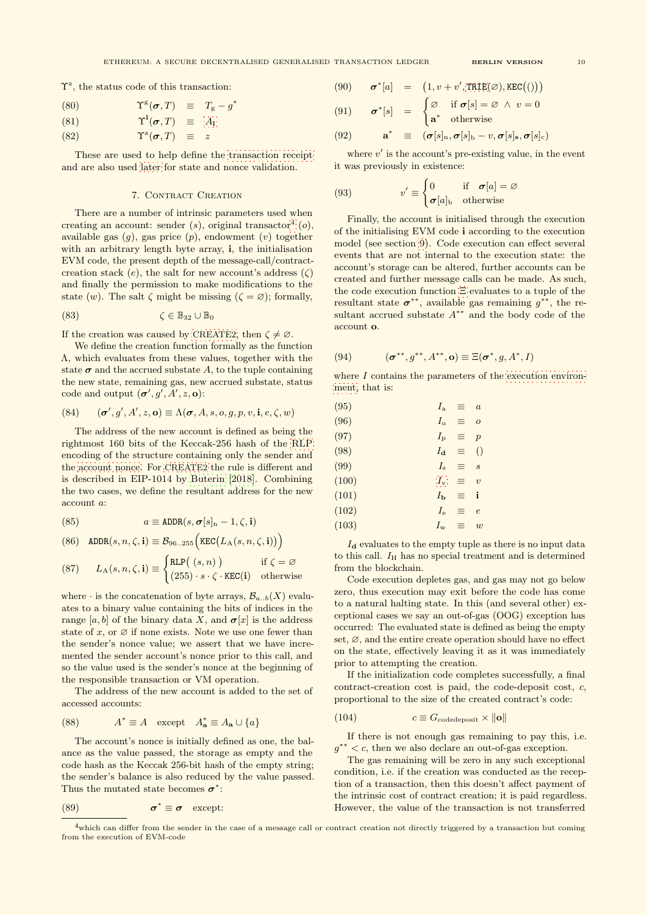∗

Υ z , the status code of this transaction:

(80) 
$$
\Upsilon^{\rm g}(\boldsymbol{\sigma},T) \equiv T_{\rm g}-g
$$

$$
(81) \t\t T1(\boldsymbol{\sigma},T) \equiv A_1
$$

(82) 
$$
\Upsilon^z(\sigma, T) \equiv z
$$

These are used to help define the [transaction receipt](#page-5-4) and are also used [later](#page-14-3) for state and nonce validation.

# 7. CONTRACT CREATION

There are a number of intrinsic parameters used when creating an account: sender  $(s)$ , original transactor<sup>[4](#page-9-1)</sup>  $(o)$ , available gas (g), gas price (p), endowment (v) together with an arbitrary length byte array, *i*, the initialisation EVM code, the present depth of the message-call/contractcreation stack (e), the salt for new account's address  $(\zeta)$ and finally the permission to make modifications to the state (w). The salt  $\zeta$  might be missing  $(\zeta = \varnothing)$ ; formally,

<span id="page-9-2"></span>
$$
(83) \qquad \zeta \in \mathbb{B}_{32} \cup \mathbb{B}_0
$$

If the creation was caused by [CREATE2](#page-37-1), then  $\zeta \neq \emptyset$ .

<span id="page-9-0"></span>We define the creation function formally as the function Λ, which evaluates from these values, together with the state  $\sigma$  and the accrued substate A, to the tuple containing the new state, remaining gas, new accrued substate, status code and output  $(\sigma', g', A', z, o)$ :

(84) 
$$
(\boldsymbol{\sigma}', g', A', z, \mathbf{o}) \equiv \Lambda(\boldsymbol{\sigma}, A, s, o, g, p, v, \mathbf{i}, e, \zeta, w)
$$

The address of the new account is defined as being the rightmost 160 bits of the Keccak-256 hash of the [RLP](#page-18-1) encoding of the structure containing only the sender and the [account nonce.](#page-3-2) For [CREATE2](#page-37-1) the rule is different and is described in EIP-1014 by [Buterin \[2018\]](#page-16-12). Combining the two cases, we define the resultant address for the new account a:

(85) 
$$
a \equiv \text{ADDR}(s, \sigma[s]_n - 1, \zeta, \mathbf{i})
$$

<span id="page-9-3"></span>(86) 
$$
ADDR(s, n, \zeta, \mathbf{i}) \equiv \mathcal{B}_{96..255} \big( \text{KEC} (L_A(s, n, \zeta, \mathbf{i})) \big)
$$

(87) 
$$
L_{A}(s, n, \zeta, \mathbf{i}) \equiv \begin{cases} RLP((s, n)) & \text{if } \zeta = \varnothing \\ (255) \cdot s \cdot \zeta \cdot \text{KEC}(\mathbf{i}) & \text{otherwise} \end{cases}
$$

where  $\cdot$  is the concatenation of byte arrays,  $\mathcal{B}_{a..b}(X)$  evaluates to a binary value containing the bits of indices in the range [a, b] of the binary data X, and  $\sigma[x]$  is the address state of x, or  $\emptyset$  if none exists. Note we use one fewer than the sender's nonce value; we assert that we have incremented the sender account's nonce prior to this call, and so the value used is the sender's nonce at the beginning of the responsible transaction or VM operation.

The address of the new account is added to the set of accessed accounts:

(88) 
$$
A^* \equiv A \quad \text{except} \quad A^* \equiv A_\mathbf{a} \cup \{a\}
$$

The account's nonce is initially defined as one, the balance as the value passed, the storage as empty and the code hash as the Keccak 256-bit hash of the empty string; the sender's balance is also reduced by the value passed. Thus the mutated state becomes  $\sigma^*$ :

(89) 
$$
\boldsymbol{\sigma}^* \equiv \boldsymbol{\sigma} \quad \text{except:}
$$

(90) 
$$
\boldsymbol{\sigma}^*[a] = (1, v + v', \text{TRUE}(\varnothing), \text{KEC}(())
$$
  
\n(91) 
$$
\boldsymbol{\sigma}^*[s] = \begin{cases} \varnothing & \text{if } \boldsymbol{\sigma}[s] = \varnothing \ \wedge \ v = 0 \\ \mathbf{a}^* & \text{otherwise} \end{cases}
$$
  
\n(92) 
$$
\mathbf{a}^* \equiv (\boldsymbol{\sigma}[s]_n, \boldsymbol{\sigma}[s]_b - v, \boldsymbol{\sigma}[s]_s, \boldsymbol{\sigma}[s]_c)
$$

where  $v'$  is the account's pre-existing value, in the event it was previously in existence:

(93) 
$$
v' \equiv \begin{cases} 0 & \text{if } \sigma[a] = \varnothing \\ \sigma[a]_{\text{b}} & \text{otherwise} \end{cases}
$$

Finally, the account is initialised through the execution of the initialising EVM code i according to the execution model (see section [9\)](#page-11-1). Code execution can effect several events that are not internal to the execution state: the account's storage can be altered, further accounts can be created and further message calls can be made. As such, the code execution function [Ξ](#page-12-0) evaluates to a tuple of the resultant state  $\sigma^{**}$ , available gas remaining  $g^{**}$ , the resultant accrued substate  $A^{**}$  and the body code of the account o.

(94) 
$$
(\sigma^{**}, g^{**}, A^{**}, \mathbf{o}) \equiv \Xi(\sigma^*, g, A^*, I)
$$

where I contains the parameters of the [execution environ](#page-12-1)[ment,](#page-12-1) that is:

| (95)  | $I_a \equiv a$  |
|-------|-----------------|
| (96)  | $I_o \equiv o$  |
| (97)  | $I_p \equiv p$  |
| (98)  | $I_d \equiv ()$ |
| (99)  | $I_s \equiv s$  |
| (100) | $I_v \equiv v$  |
| (101) | $I_b \equiv i$  |
| (102) | $I_e \equiv e$  |
| (103) | $I_w \equiv w$  |

 $I_d$  evaluates to the empty tuple as there is no input data to this call.  $I<sub>H</sub>$  has no special treatment and is determined from the blockchain.

Code execution depletes gas, and gas may not go below zero, thus execution may exit before the code has come to a natural halting state. In this (and several other) exceptional cases we say an out-of-gas (OOG) exception has occurred: The evaluated state is defined as being the empty set,  $\emptyset$ , and the entire create operation should have no effect on the state, effectively leaving it as it was immediately prior to attempting the creation.

If the initialization code completes successfully, a final contract-creation cost is paid, the code-deposit cost, c, proportional to the size of the created contract's code:

$$
(104) \t c \equiv G_{\text{codedeposit}} \times ||\mathbf{o}||
$$

If there is not enough gas remaining to pay this, i.e.  $g^{**} < c$ , then we also declare an out-of-gas exception.

The gas remaining will be zero in any such exceptional condition, i.e. if the creation was conducted as the reception of a transaction, then this doesn't affect payment of the intrinsic cost of contract creation; it is paid regardless. However, the value of the transaction is not transferred

<span id="page-9-1"></span><sup>&</sup>lt;sup>4</sup>which can differ from the sender in the case of a message call or contract creation not directly triggered by a transaction but coming from the execution of EVM-code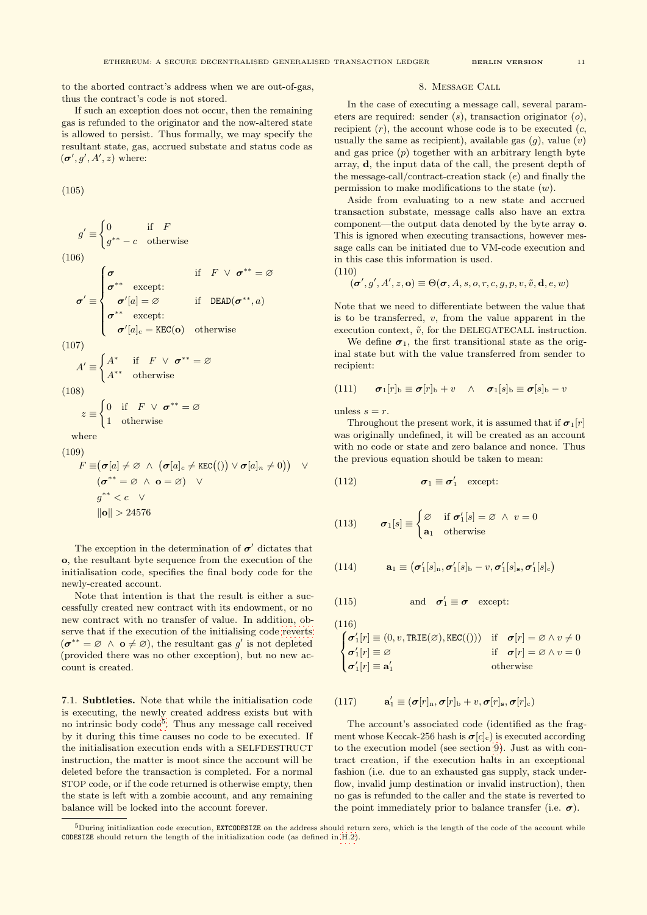to the aborted contract's address when we are out-of-gas, thus the contract's code is not stored.

If such an exception does not occur, then the remaining gas is refunded to the originator and the now-altered state is allowed to persist. Thus formally, we may specify the resultant state, gas, accrued substate and status code as  $(\sigma', g', A', z)$  where:

$$
(105)
$$

$$
g' \equiv \begin{cases} 0 & \text{if } F \\ g^{**} - c & \text{otherwise} \end{cases}
$$
  
(106)  

$$
\sigma' \equiv \begin{cases} \sigma & \text{if } F \lor \sigma^{**} = \varnothing \\ \sigma^{**} & \text{except:} \\ \sigma^{**} & \text{except:} \end{cases}
$$
  

$$
A' = \begin{cases} A^* & \text{if } F \lor \sigma^{**} = \varnothing \\ A^{**} & \text{otherwise} \end{cases}
$$
  
(107)  

$$
A' \equiv \begin{cases} A^* & \text{if } F \lor \sigma^{**} = \varnothing \\ A^{**} & \text{otherwise} \end{cases}
$$
  
(108)  

$$
z \equiv \begin{cases} 0 & \text{if } F \lor \sigma^{**} = \varnothing \\ 1 & \text{otherwise} \end{cases}
$$
  
where  
(109)  

$$
F \equiv (\sigma[a] \neq \varnothing \land (\sigma[a]_c \neq \text{KEC}(()) \lor \sigma[a]_n \neq 0])
$$

$$
F \equiv (\sigma[a] \neq \emptyset \land (\sigma[a]_c \neq \text{KEC}((0) \lor \sigma[a]_n \neq 0)) \lor
$$
  
\n
$$
(\sigma^{**} = \emptyset \land \mathbf{o} = \emptyset) \lor
$$
  
\n
$$
g^{**} < c \lor
$$
  
\n
$$
\|\mathbf{o}\| > 24576
$$

<span id="page-10-2"></span>The exception in the determination of  $\sigma'$  dictates that o, the resultant byte sequence from the execution of the initialisation code, specifies the final body code for the newly-created account.

Note that intention is that the result is either a successfully created new contract with its endowment, or no new contract with no transfer of value. In addition, observe that if the execution of the initialising code [reverts](#page-37-2)  $(\sigma^{**} = \emptyset \land \mathbf{o} \neq \emptyset)$ , the resultant gas g' is not depleted (provided there was no other exception), but no new account is created.

7.1. Subtleties. Note that while the initialisation code is executing, the newly created address exists but with no intrinsic body code<sup>[5](#page-10-1)</sup>. Thus any message call received by it during this time causes no code to be executed. If the initialisation execution ends with a SELFDESTRUCT instruction, the matter is moot since the account will be deleted before the transaction is completed. For a normal STOP code, or if the code returned is otherwise empty, then the state is left with a zombie account, and any remaining balance will be locked into the account forever.

#### 8. Message Call

In the case of executing a message call, several parameters are required: sender  $(s)$ , transaction originator  $(o)$ , recipient  $(r)$ , the account whose code is to be executed  $(c,$ usually the same as recipient), available gas  $(a)$ , value  $(v)$ and gas price  $(p)$  together with an arbitrary length byte array, d, the input data of the call, the present depth of the message-call/contract-creation stack (e) and finally the permission to make modifications to the state  $(w)$ .

Aside from evaluating to a new state and accrued transaction substate, message calls also have an extra component—the output data denoted by the byte array o. This is ignored when executing transactions, however message calls can be initiated due to VM-code execution and in this case this information is used.

$$
(110)
$$

<span id="page-10-0"></span>
$$
(\boldsymbol{\sigma}', g', A', z, \mathbf{o}) \equiv \Theta(\boldsymbol{\sigma}, A, s, o, r, c, g, p, v, \tilde{v}, \mathbf{d}, e, w)
$$

Note that we need to differentiate between the value that is to be transferred,  $v$ , from the value apparent in the execution context,  $\tilde{v}$ , for the DELEGATECALL instruction.

We define  $\sigma_1$ , the first transitional state as the original state but with the value transferred from sender to recipient:

(111) 
$$
\boldsymbol{\sigma}_1[r]_b \equiv \boldsymbol{\sigma}[r]_b + v \quad \wedge \quad \boldsymbol{\sigma}_1[s]_b \equiv \boldsymbol{\sigma}[s]_b - v
$$

unless  $s = r$ .

Throughout the present work, it is assumed that if  $\sigma_1[r]$ was originally undefined, it will be created as an account with no code or state and zero balance and nonce. Thus the previous equation should be taken to mean:

(112) 
$$
\boldsymbol{\sigma}_1 \equiv \boldsymbol{\sigma}'_1 \quad \text{except:}
$$

(113) 
$$
\boldsymbol{\sigma}_1[s] \equiv \begin{cases} \varnothing & \text{if } \boldsymbol{\sigma}_1'[s] = \varnothing \ \wedge \ v = 0 \\ \mathbf{a}_1 & \text{otherwise} \end{cases}
$$

(114) 
$$
\mathbf{a}_1 \equiv (\boldsymbol{\sigma}_1'[s]_n, \boldsymbol{\sigma}_1'[s]_b - v, \boldsymbol{\sigma}_1'[s]_s, \boldsymbol{\sigma}_1'[s]_c)
$$

(115) and 
$$
\sigma'_1 \equiv \sigma
$$
 except:

$$
(116)
$$

$$
\begin{cases}\n\sigma'_1[r] \equiv (0, v, \text{TRUE}(\varnothing), \text{KEC}(())) & \text{if} \quad \sigma[r] = \varnothing \land v \neq 0 \\
\sigma'_1[r] \equiv \varnothing & \text{if} \quad \sigma[r] = \varnothing \land v = 0 \\
\sigma'_1[r] \equiv \mathbf{a}'_1 & \text{otherwise}\n\end{cases}
$$

(117) 
$$
\mathbf{a}'_1 \equiv (\boldsymbol{\sigma}[r]_{\rm n}, \boldsymbol{\sigma}[r]_{\rm b} + v, \boldsymbol{\sigma}[r]_{\rm s}, \boldsymbol{\sigma}[r]_{\rm c})
$$

The account's associated code (identified as the fragment whose Keccak-256 hash is  $\sigma[c]_c$  is executed according to the execution model (see section [9\)](#page-11-1). Just as with contract creation, if the execution halts in an exceptional fashion (i.e. due to an exhausted gas supply, stack underflow, invalid jump destination or invalid instruction), then no gas is refunded to the caller and the state is reverted to the point immediately prior to balance transfer (i.e.  $\sigma$ ).

<span id="page-10-1"></span> $5$ During initialization code execution, EXTCODESIZE on the address should return zero, which is the length of the code of the account while CODESIZE should return the length of the initialization code (as defined in [H.2\)](#page-28-0).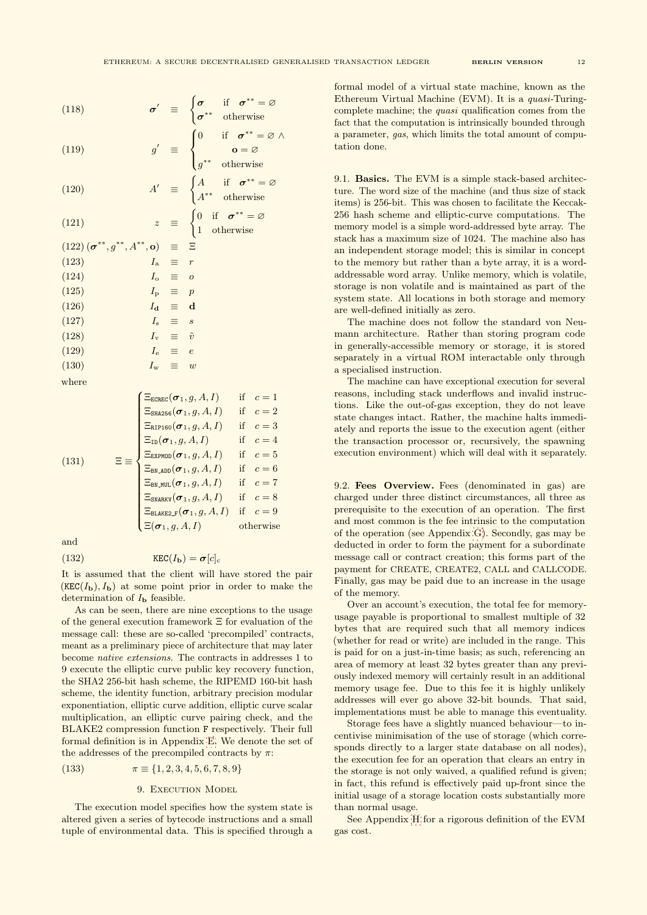$=$  ⊘

 $\varnothing$ 

0 if  $\sigma^{**} = \emptyset \wedge$  $\Omega = \varnothing$ 

(118) 
$$
\boldsymbol{\sigma}' \equiv \begin{cases} \boldsymbol{\sigma} & \text{if } \boldsymbol{\sigma}^{**} = \varnothing \\ \boldsymbol{\sigma}^{**} & \text{otherwise} \end{cases}
$$

 $\sqrt{ }$  $\int$ 

$$
(119) \t\t g' \equiv
$$

(120)  
\n
$$
A' \equiv \begin{cases} A & \text{if } \sigma^{**} = A \\ A^{**} & \text{otherwise} \end{cases}
$$
\n
$$
z \equiv \begin{cases} 0 & \text{if } \sigma^{**} = A \\ 1 & \text{otherwise} \end{cases}
$$
\n
$$
(121)
$$
\n
$$
z = \begin{cases} 0 & \text{if } \sigma^{**} = A \\ 1 & \text{otherwise} \end{cases}
$$
\n
$$
(122)
$$
\n
$$
(\sigma^{**}, g^{**}, A^{**}, \mathbf{0}) \equiv \Xi
$$

<span id="page-11-2"></span>(123)  
\n
$$
I_a \equiv r
$$
  
\n(124)  
\n $I_o \equiv o$   
\n(125)  
\n $I_p \equiv p$   
\n(126)  
\n $I_d \equiv d$   
\n(127)  
\n $I_s \equiv s$   
\n(128)  
\n $I_v \equiv \tilde{v}$   
\n(129)  
\n $I_e \equiv e$   
\n(130)  
\n $I_w \equiv w$ 

where

(131)  
\n
$$
\Xi = \begin{cases}\n\Xi_{\text{EXERC}}(\sigma_1, g, A, I) & \text{if } c = 1 \\
\Xi_{\text{SHA256}}(\sigma_1, g, A, I) & \text{if } c = 2 \\
\Xi_{\text{RIP160}}(\sigma_1, g, A, I) & \text{if } c = 3 \\
\Xi_{\text{ID}}(\sigma_1, g, A, I) & \text{if } c = 4 \\
\Xi_{\text{EXPMOD}}(\sigma_1, g, A, I) & \text{if } c = 5 \\
\Xi_{\text{BNAMD}}(\sigma_1, g, A, I) & \text{if } c = 6 \\
\Xi_{\text{BNAMD}}(\sigma_1, g, A, I) & \text{if } c = 7 \\
\Xi_{\text{SNARKV}}(\sigma_1, g, A, I) & \text{if } c = 8 \\
\Xi_{\text{BLAKEY}}(\sigma_1, g, A, I) & \text{if } c = 9 \\
\Xi(\sigma_1, g, A, I) & \text{otherwise}\n\end{cases}
$$

and

(132) 
$$
KEC(I_{\mathbf{b}}) = \boldsymbol{\sigma}[c]_{c}
$$

It is assumed that the client will have stored the pair  $(KEC(I_{\mathbf{b}}), I_{\mathbf{b}})$  at some point prior in order to make the determination of  $I<sub>b</sub>$  feasible.

As can be seen, there are nine exceptions to the usage of the general execution framework Ξ for evaluation of the message call: these are so-called 'precompiled' contracts, meant as a preliminary piece of architecture that may later become native extensions. The contracts in addresses 1 to 9 execute the elliptic curve public key recovery function, the SHA2 256-bit hash scheme, the RIPEMD 160-bit hash scheme, the identity function, arbitrary precision modular exponentiation, elliptic curve addition, elliptic curve scalar multiplication, an elliptic curve pairing check, and the BLAKE2 compression function F respectively. Their full formal definition is in Appendix [E.](#page-21-0) We denote the set of the addresses of the precompiled contracts by  $\pi$ :

<span id="page-11-1"></span>(133) 
$$
\pi \equiv \{1, 2, 3, 4, 5, 6, 7, 8, 9\}
$$

# <span id="page-11-0"></span>9. EXECUTION MODEL

The execution model specifies how the system state is altered given a series of bytecode instructions and a small tuple of environmental data. This is specified through a formal model of a virtual state machine, known as the Ethereum Virtual Machine (EVM). It is a quasi-Turingcomplete machine; the quasi qualification comes from the fact that the computation is intrinsically bounded through a parameter, gas, which limits the total amount of computation done.

9.1. Basics. The EVM is a simple stack-based architecture. The word size of the machine (and thus size of stack items) is 256-bit. This was chosen to facilitate the Keccak-256 hash scheme and elliptic-curve computations. The memory model is a simple word-addressed byte array. The stack has a maximum size of 1024. The machine also has an independent storage model; this is similar in concept to the memory but rather than a byte array, it is a wordaddressable word array. Unlike memory, which is volatile, storage is non volatile and is maintained as part of the system state. All locations in both storage and memory are well-defined initially as zero.

The machine does not follow the standard von Neumann architecture. Rather than storing program code in generally-accessible memory or storage, it is stored separately in a virtual ROM interactable only through a specialised instruction.

The machine can have exceptional execution for several reasons, including stack underflows and invalid instructions. Like the out-of-gas exception, they do not leave state changes intact. Rather, the machine halts immediately and reports the issue to the execution agent (either the transaction processor or, recursively, the spawning execution environment) which will deal with it separately.

9.2. Fees Overview. Fees (denominated in gas) are charged under three distinct circumstances, all three as prerequisite to the execution of an operation. The first and most common is the fee intrinsic to the computation of the operation (see Appendix [G\)](#page-26-0). Secondly, gas may be deducted in order to form the payment for a subordinate message call or contract creation; this forms part of the payment for CREATE, CREATE2, CALL and CALLCODE. Finally, gas may be paid due to an increase in the usage of the memory.

Over an account's execution, the total fee for memoryusage payable is proportional to smallest multiple of 32 bytes that are required such that all memory indices (whether for read or write) are included in the range. This is paid for on a just-in-time basis; as such, referencing an area of memory at least 32 bytes greater than any previously indexed memory will certainly result in an additional memory usage fee. Due to this fee it is highly unlikely addresses will ever go above 32-bit bounds. That said, implementations must be able to manage this eventuality.

Storage fees have a slightly nuanced behaviour—to incentivise minimisation of the use of storage (which corresponds directly to a larger state database on all nodes), the execution fee for an operation that clears an entry in the storage is not only waived, a qualified refund is given; in fact, this refund is effectively paid up-front since the initial usage of a storage location costs substantially more than normal usage.

See Appendix [H](#page-26-7) for a rigorous definition of the EVM gas cost.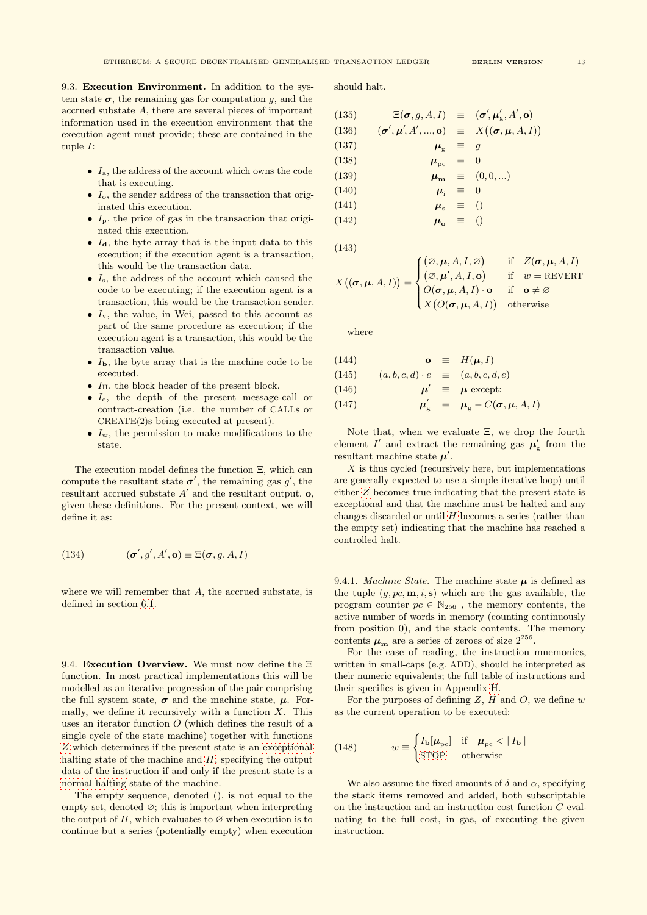- <span id="page-12-1"></span> $\bullet$   $I_{\rm a}$ , the address of the account which owns the code that is executing.
- $\bullet$   $I_o$ , the sender address of the transaction that originated this execution.
- $\bullet$   $I_p$ , the price of gas in the transaction that originated this execution.
- <span id="page-12-4"></span>•  $I_d$ , the byte array that is the input data to this execution; if the execution agent is a transaction, this would be the transaction data.
- $\bullet$  I<sub>s</sub>, the address of the account which caused the code to be executing; if the execution agent is a transaction, this would be the transaction sender.
- <span id="page-12-2"></span>•  $I_v$ , the value, in Wei, passed to this account as part of the same procedure as execution; if the execution agent is a transaction, this would be the transaction value.
- $\bullet$   $I_{\rm b}$ , the byte array that is the machine code to be executed.
- $\bullet$   $I_{\rm H}$ , the block header of the present block.
- $\bullet$   $I_e$ , the depth of the present message-call or contract-creation (i.e. the number of CALLs or CREATE(2)s being executed at present).
- $I_{\rm w}$ , the permission to make modifications to the state.

The execution model defines the function Ξ, which can compute the resultant state  $\sigma'$ , the remaining gas  $g'$ , the resultant accrued substate  $A'$  and the resultant output,  $o$ , given these definitions. For the present context, we will define it as:

(134) 
$$
(\boldsymbol{\sigma}', g', A', \mathbf{o}) \equiv \Xi(\boldsymbol{\sigma}, g, A, I)
$$

where we will remember that A, the accrued substate, is defined in section [6.1.](#page-7-2)

<span id="page-12-0"></span>9.4. Execution Overview. We must now define the Ξ function. In most practical implementations this will be modelled as an iterative progression of the pair comprising the full system state,  $\sigma$  and the machine state,  $\mu$ . Formally, we define it recursively with a function  $X$ . This uses an iterator function O (which defines the result of a single cycle of the state machine) together with functions [Z](#page-13-1) which determines if the present state is an [exceptional](#page-13-1) [halting](#page-13-1) state of the machine and  $H$ , specifying the output data of the instruction if and only if the present state is a [normal halting](#page-13-2) state of the machine.

<span id="page-12-3"></span>The empty sequence, denoted (), is not equal to the empty set, denoted  $\varnothing$ ; this is important when interpreting the output of H, which evaluates to  $\varnothing$  when execution is to continue but a series (potentially empty) when execution should halt.

(135) 
$$
\Xi(\sigma, g, A, I) \equiv (\sigma', \mu'_g, A', \mathbf{o})
$$
  
\n(136) 
$$
(\sigma', \mu', A', \dots, \mathbf{o}) \equiv X((\sigma, \mu, A, I))
$$
  
\n(137) 
$$
\mu_g \equiv g
$$
  
\n(138) 
$$
\mu_{pc} \equiv 0
$$
  
\n(139) 
$$
\mu_m \equiv (0, 0, \dots)
$$
  
\n(140) 
$$
\mu_i \equiv 0
$$
  
\n(141) 
$$
\mu_s \equiv ()
$$
  
\n(142) 
$$
\mu_o \equiv ()
$$

$$
(143)
$$

<span id="page-12-5"></span>
$$
X((\sigma, \mu, A, I)) \equiv \begin{cases} (\varnothing, \mu, A, I, \varnothing) & \text{if } Z(\sigma, \mu, A, I) \\ (\varnothing, \mu', A, I, o) & \text{if } w = \text{REVERT} \\ O(\sigma, \mu, A, I) \cdot o & \text{if } o \neq \varnothing \\ X(O(\sigma, \mu, A, I)) & \text{otherwise} \end{cases}
$$

where

(144)   
**o** 
$$
\equiv
$$
  $H(\mu, I)$   
(145)  $(a, b, c, d) \cdot e \equiv (a, b, c, d, e)$ 

$$
(a, b, c, a) \cdot e = (a, b, c, a, e)
$$

(146) 
$$
\mu' \equiv \mu \text{ except:}
$$

(147) 
$$
\mu'_{\rm g} \equiv \mu_{\rm g} - C(\boldsymbol{\sigma}, \boldsymbol{\mu}, A, I)
$$

Note that, when we evaluate Ξ, we drop the fourth element I' and extract the remaining gas  $\mu'_{g}$  from the resultant machine state  $\mu'$ .

 $X$  is thus cycled (recursively here, but implementations) are generally expected to use a simple iterative loop) until either [Z](#page-13-1) becomes true indicating that the present state is exceptional and that the machine must be halted and any changes discarded or until  $H$  becomes a series (rather than the empty set) indicating that the machine has reached a controlled halt.

9.4.1. Machine State. The machine state  $\mu$  is defined as the tuple  $(g, pc, m, i, s)$  which are the gas available, the program counter  $pc \in \mathbb{N}_{256}$ , the memory contents, the active number of words in memory (counting continuously from position 0), and the stack contents. The memory contents  $\mu_{\rm m}$  are a series of zeroes of size  $2^{256}$ .

For the ease of reading, the instruction mnemonics, written in small-caps (e.g. ADD), should be interpreted as their numeric equivalents; the full table of instructions and their specifics is given in Appendix [H.](#page-26-7)

For the purposes of defining  $Z$ ,  $H$  and  $O$ , we define  $w$ as the current operation to be executed:

(148) 
$$
w \equiv \begin{cases} I_{\mathbf{b}}[\mu_{\text{pc}}] & \text{if } \mu_{\text{pc}} < ||I_{\mathbf{b}}|| \\ \text{STOP} & \text{otherwise} \end{cases}
$$

We also assume the fixed amounts of  $\delta$  and  $\alpha$ , specifying the stack items removed and added, both subscriptable on the instruction and an instruction cost function C evaluating to the full cost, in gas, of executing the given instruction.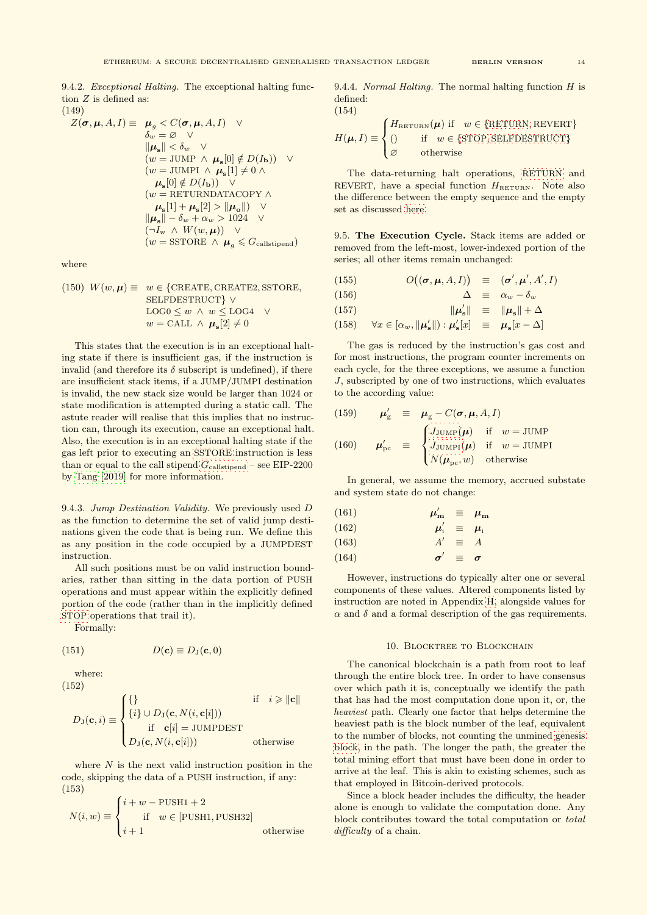<span id="page-13-1"></span>9.4.2. Exceptional Halting. The exceptional halting function Z is defined as:  $(149)$ 

$$
Z(\sigma, \mu, A, I) \equiv \mu_g < C(\sigma, \mu, A, I) \quad \lor
$$
\n
$$
\delta_w = \varnothing \quad \lor
$$
\n
$$
||\mu_s|| < \delta_w \quad \lor
$$
\n
$$
(w = \text{JUMP} \land \mu_s[0] \notin D(I_b)) \quad \lor
$$
\n
$$
(w = \text{JUMP} \land \mu_s[1] \neq 0 \land
$$
\n
$$
\mu_s[0] \notin D(I_b) \quad \lor
$$
\n
$$
(w = \text{RETURNDATACOPY} \land
$$
\n
$$
\mu_s[1] + \mu_s[2] > ||\mu_o||) \quad \lor
$$
\n
$$
||\mu_s|| - \delta_w + \alpha_w > 1024 \quad \lor
$$
\n
$$
(\neg I_w \land W(w, \mu)) \quad \lor
$$
\n
$$
(w = \text{SSTORE} \land \mu_g \leq \text{Callstipend})
$$

where

(150) 
$$
W(w, \mu) \equiv w \in \{ \text{CREATE, CREATE2, SSTORE,} \}
$$

$$
\text{SELFDESTRUCT} \} \lor \text{LOG0} \leq w \land w \leq \text{LOG4} \quad \lor \quad w = \text{CALL} \land \mu_s[2] \neq 0
$$

This states that the execution is in an exceptional halting state if there is insufficient gas, if the instruction is invalid (and therefore its  $\delta$  subscript is undefined), if there are insufficient stack items, if a JUMP/JUMPI destination is invalid, the new stack size would be larger than 1024 or state modification is attempted during a static call. The astute reader will realise that this implies that no instruction can, through its execution, cause an exceptional halt. Also, the execution is in an exceptional halting state if the gas left prior to executing an [SSTORE](#page-33-1) instruction is less than or equal to the call stipend  $G_{\text{callstipend}}$  $G_{\text{callstipend}}$  $G_{\text{callstipend}}$  – see EIP-2200 by [Tang \[2019\]](#page-17-16) for more information.

9.4.3. Jump Destination Validity. We previously used D as the function to determine the set of valid jump destinations given the code that is being run. We define this as any position in the code occupied by a JUMPDEST instruction.

All such positions must be on valid instruction boundaries, rather than sitting in the data portion of PUSH operations and must appear within the explicitly defined portion of the code (rather than in the implicitly defined [STOP](#page-29-0) operations that trail it).

Formally:

(151) 
$$
D(\mathbf{c}) \equiv D_{\mathbf{J}}(\mathbf{c},0)
$$

where:

(152)

$$
D_{\mathbf{J}}(\mathbf{c},i) \equiv \begin{cases} \begin{cases} \n\end{cases} & \text{if } i \geq \|\mathbf{c}\| \\ \n\begin{cases} \n\{i\} \cup D_{\mathbf{J}}(\mathbf{c}, N(i, \mathbf{c}[i])) \\ \n\text{if } \mathbf{c}[i] = \text{JUMPDEST} \\ \nD_{\mathbf{J}}(\mathbf{c}, N(i, \mathbf{c}[i])) \n\end{cases} & \text{otherwise} \end{cases}
$$

where  $N$  is the next valid instruction position in the code, skipping the data of a PUSH instruction, if any: (153)

$$
N(i, w) \equiv \begin{cases} i + w - \text{PUSH1} + 2 \\ \text{if} \quad w \in [\text{PUSH1, PUSH32}] \\ i + 1 \end{cases} \text{otherwise}
$$

<span id="page-13-2"></span>9.4.4. Normal Halting. The normal halting function  $H$  is defined:  $(154)$ 

$$
H(\boldsymbol{\mu}, I) \equiv \begin{cases} H_{\text{RETURN}}(\boldsymbol{\mu}) & \text{if } w \in \{\text{RETURN}, \text{REVERT}\} \\ () & \text{if } w \in \{\text{STOP}, \text{SELFDESTRUCT}\} \\ \varnothing & \text{otherwise} \end{cases}
$$

The data-returning halt operations, [RETURN](#page-36-0) and REVERT, have a special function  $H_{\text{RETURN}}$ . Note also the difference between the empty sequence and the empty set as discussed [here.](#page-12-3)

9.5. The Execution Cycle. Stack items are added or removed from the left-most, lower-indexed portion of the series; all other items remain unchanged:

(155) 
$$
O((\boldsymbol{\sigma}, \boldsymbol{\mu}, A, I)) \equiv (\boldsymbol{\sigma}', \boldsymbol{\mu}', A', I)
$$

$$
\Delta \equiv \alpha_w - \delta_w
$$

$$
||\mu'_{\mathbf{s}}|| = ||\mu_{\mathbf{s}}|| + \Delta
$$

(158)  $\forall x \in [\alpha_w, ||\mu'_s||) : \mu'_s[x] \equiv \mu_s[x - \Delta]$ 

The gas is reduced by the instruction's gas cost and for most instructions, the program counter increments on each cycle, for the three exceptions, we assume a function J, subscripted by one of two instructions, which evaluates to the according value:

(159) 
$$
\mu'_{g} \equiv \mu_{g} - C(\sigma, \mu, A, I)
$$
  
(160) 
$$
\mu'_{pc} \equiv \begin{cases} J_{\text{JUMP}}(\mu) & \text{if } w = \text{JUMP} \\ J_{\text{JUMPI}}(\mu) & \text{if } w = \text{JUMP} \\ N(\mu_{pc}, w) & \text{otherwise} \end{cases}
$$

In general, we assume the memory, accrued substate and system state do not change:

$$
\mu'_{\mathbf{m}} \equiv \mu_{\mathbf{m}}
$$

 $\mu$  $\overline{a}$  $\mu_{\rm i}$   $\equiv$   $\mu_{\rm i}$  $(162)$ 

$$
(163) \t\t A' \equiv A
$$

 $\boldsymbol{\sigma}'$ (164)  $\sigma' \equiv \sigma$ 

However, instructions do typically alter one or several components of these values. Altered components listed by instruction are noted in Appendix [H,](#page-26-7) alongside values for  $\alpha$  and  $\delta$  and a formal description of the gas requirements.

# 10. BLOCKTREE TO BLOCKCHAIN

<span id="page-13-0"></span>The canonical blockchain is a path from root to leaf through the entire block tree. In order to have consensus over which path it is, conceptually we identify the path that has had the most computation done upon it, or, the heaviest path. Clearly one factor that helps determine the heaviest path is the block number of the leaf, equivalent to the number of blocks, not counting the unmined [genesis](#page-37-0) [block,](#page-37-0) in the path. The longer the path, the greater the total mining effort that must have been done in order to arrive at the leaf. This is akin to existing schemes, such as that employed in Bitcoin-derived protocols.

Since a block header includes the difficulty, the header alone is enough to validate the computation done. Any block contributes toward the total computation or total difficulty of a chain.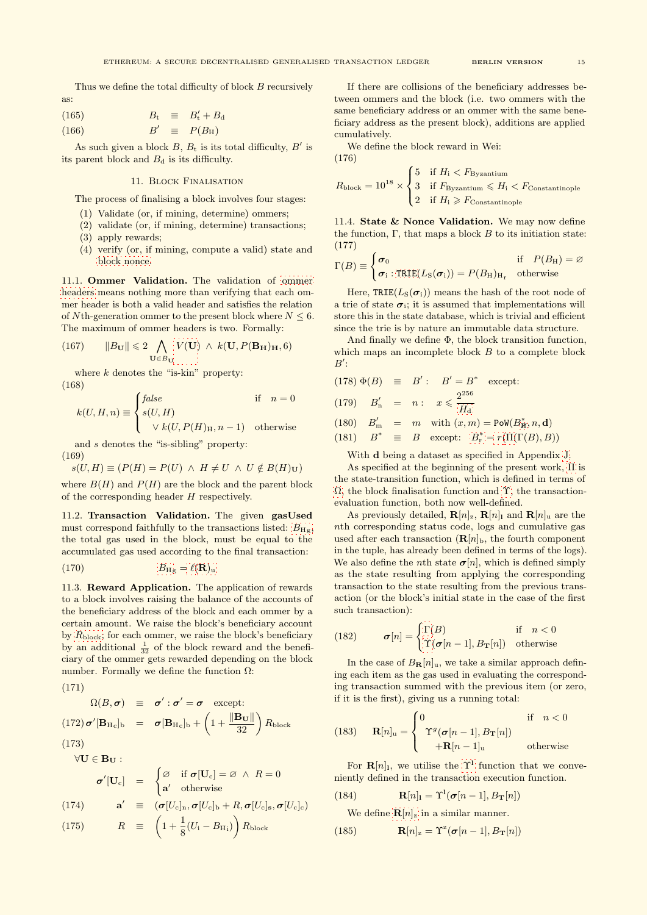Thus we define the total difficulty of block B recursively as:

$$
(165) \t Bt \equiv B't + Bd
$$

$$
(166) \tB' \equiv P(B_{\text{H}})
$$

As such given a block  $B$ ,  $B_t$  is its total difficulty,  $B'$  is its parent block and  $B_d$  is its difficulty.

## 11. Block Finalisation

<span id="page-14-1"></span>The process of finalising a block involves four stages:

- (1) Validate (or, if mining, determine) ommers;
- (2) validate (or, if mining, determine) transactions;
- (3) apply rewards;
- (4) verify (or, if mining, compute a valid) state and [block nonce.](#page-4-6)

11.1. Ommer Validation. The validation of [ommer](#page-4-3) [headers](#page-4-3) means nothing more than verifying that each ommer header is both a valid header and satisfies the relation of Nth-generation ommer to the present block where  $N \leq 6$ . The maximum of ommer headers is two. Formally:

(167) 
$$
\|B_{\mathbf{U}}\| \leq 2 \bigwedge_{\mathbf{U} \in B_{\mathbf{U}}} V(\mathbf{U}) \ \wedge \ k(\mathbf{U}, P(\mathbf{B}_{\mathbf{H}})_{\mathbf{H}}, 6)
$$

where  $k$  denotes the "is-kin" property: (168)

$$
k(U, H, n) \equiv \begin{cases} false & \text{if } n = 0\\ s(U, H) & \\ \forall k(U, P(H)_{\text{H}}, n - 1) & \text{otherwise} \end{cases}
$$

and s denotes the "is-sibling" property:

$$
s(U, H) \equiv (P(H) = P(U) \ \land \ H \neq U \ \land \ U \notin B(H)_{U})
$$

where  $B(H)$  and  $P(H)$  are the block and the parent block of the corresponding header H respectively.

11.2. Transaction Validation. The given gasUsed must correspond faithfully to the transactions listed:  $B_{\text{Hg}}$  $B_{\text{Hg}}$ , the total gas used in the block, must be equal to the accumulated gas used according to the final transaction:

$$
(170) \t\t BH g = \ell(\mathbf{R})u
$$

11.3. Reward Application. The application of rewards to a block involves raising the balance of the accounts of the beneficiary address of the block and each ommer by a certain amount. We raise the block's beneficiary account by  $R_{\text{block}}$  $R_{\text{block}}$  $R_{\text{block}}$ ; for each ommer, we raise the block's beneficiary by an additional  $\frac{1}{32}$  of the block reward and the beneficiary of the ommer gets rewarded depending on the block number. Formally we define the function Ω:

(171)  
\n
$$
\Omega(B, \sigma) \equiv \sigma' : \sigma' = \sigma \text{ except:}
$$
\n
$$
(172) \sigma' [\mathbf{B}_{\text{He}}]_{\text{b}} = \sigma [\mathbf{B}_{\text{He}}]_{\text{b}} + \left(1 + \frac{\|\mathbf{B}_{\text{U}}\|}{32}\right) R_{\text{block}}
$$
\n(173)

$$
\forall \mathbf{U} \in \mathbf{B}_{\mathbf{U}}:
$$

<span id="page-14-0"></span> $(171)$ 

 $(160)$ 

$$
\boldsymbol{\sigma}'[\mathbf{U}_{\mathrm{c}}] = \begin{cases} \varnothing & \text{if } \boldsymbol{\sigma}[\mathbf{U}_{\mathrm{c}}] = \varnothing \ \wedge \ R = 0 \\ \mathbf{a}' & \text{otherwise} \end{cases}
$$
  
(174)  

$$
\mathbf{a}' \equiv (\boldsymbol{\sigma}[U_{\mathrm{c}}]_{\mathrm{n}}, \boldsymbol{\sigma}[U_{\mathrm{c}}]_{\mathrm{b}} + R, \boldsymbol{\sigma}[U_{\mathrm{c}}]_{\mathrm{s}}, \boldsymbol{\sigma}[U_{\mathrm{c}}]_{\mathrm{c}})
$$
  
(175)  

$$
R \equiv \left(1 + \frac{1}{8}(U_{\mathrm{i}} - B_{\mathrm{H}}_{\mathrm{i}})\right) R_{\mathrm{block}}
$$

If there are collisions of the beneficiary addresses between ommers and the block (i.e. two ommers with the same beneficiary address or an ommer with the same beneficiary address as the present block), additions are applied cumulatively.

<span id="page-14-4"></span>We define the block reward in Wei:

(176)

$$
R_{\rm block} = 10^{18} \times \begin{cases} 5 & \text{if } H_i < F_{\rm Byzantium} \\ 3 & \text{if } F_{\rm Byzantium} \leq H_i < F_{\rm Constantinople} \\ 2 & \text{if } H_i \geq F_{\rm Constantinople} \end{cases}
$$

<span id="page-14-2"></span>11.4. State & Nonce Validation. We may now define the function,  $\Gamma$ , that maps a block  $B$  to its initiation state: (177)

$$
\Gamma(B) \equiv \begin{cases} \sigma_0 & \text{if } P(B_H) = \varnothing \\ \sigma_i : \text{TRUE}(L_\text{S}(\sigma_i)) = P(B_H)_{H_\text{r}} & \text{otherwise} \end{cases}
$$

Here,  $\texttt{TRUE}(L_S(\sigma_i))$  means the hash of the root node of a trie of state  $\sigma_i$ ; it is assumed that implementations will store this in the state database, which is trivial and efficient since the trie is by nature an immutable data structure.

And finally we define  $\Phi$ , the block transition function, which maps an incomplete block  $B$  to a complete block  $B$ :

(178) 
$$
\Phi(B) \equiv B'
$$
:  $B' = B^*$  except:  
\n(179)  $B'_n = n$ :  $x \le \frac{2^{256}}{H_d}$   
\n(180)  $B'_m = m$  with  $(x, m) = \text{PoW}(B^*_M, n, \mathbf{d})$   
\n(181)  $B^* \equiv B$  except:  $B^*_r = r(\Pi(\Gamma(B), B))$ 

With d being a dataset as specified in Appendix [J.](#page-38-0)

As specified at the beginning of the present work, [Π](#page-15-1) is the state-transition function, which is defined in terms of [Ω,](#page-14-0) the block finalisation function and [Υ,](#page-1-0) the transactionevaluation function, both now well-defined.

As previously detailed,  $\mathbf{R}[n]_z$ ,  $\mathbf{R}[n]_1$  and  $\mathbf{R}[n]_u$  are the nth corresponding status code, logs and cumulative gas used after each transaction  $(\mathbf{R}[n]_b)$ , the fourth component in the tuple, has already been defined in terms of the logs). We also define the *n*th state  $\sigma[n]$ , which is defined simply as the state resulting from applying the corresponding transaction to the state resulting from the previous transaction (or the block's initial state in the case of the first such transaction):

<span id="page-14-3"></span>(182) 
$$
\boldsymbol{\sigma}[n] = \begin{cases} \Gamma(B) & \text{if } n < 0\\ \Upsilon(\boldsymbol{\sigma}[n-1], B_{\mathbf{T}}[n]) & \text{otherwise} \end{cases}
$$

In the case of  $B_{\mathbf{R}}[n]_u$ , we take a similar approach defining each item as the gas used in evaluating the corresponding transaction summed with the previous item (or zero, if it is the first), giving us a running total:

(183) 
$$
\mathbf{R}[n]_{\mathrm{u}} = \begin{cases} 0 & \text{if } n < 0\\ \Upsilon^{g}(\boldsymbol{\sigma}[n-1], B_{\mathrm{T}}[n]) & \\ +\mathbf{R}[n-1]_{\mathrm{u}} & \text{otherwise} \end{cases}
$$

For  $\mathbf{R}[n]_1$ , we utilise the  $\Upsilon^1$  function that we conveniently defined in the transaction execution function.

(184) 
$$
\mathbf{R}[n]_1 = \Upsilon^1(\boldsymbol{\sigma}[n-1], B_{\mathbf{T}}[n])
$$

We define  $\mathbf{R}[n]_{\mathbf{z}}$  $\mathbf{R}[n]_{\mathbf{z}}$  $\mathbf{R}[n]_{\mathbf{z}}$  in a similar manner.

(185) 
$$
\mathbf{R}[n]_{\mathbf{z}} = \Upsilon^{\mathbf{z}}(\boldsymbol{\sigma}[n-1], B_{\mathbf{T}}[n])
$$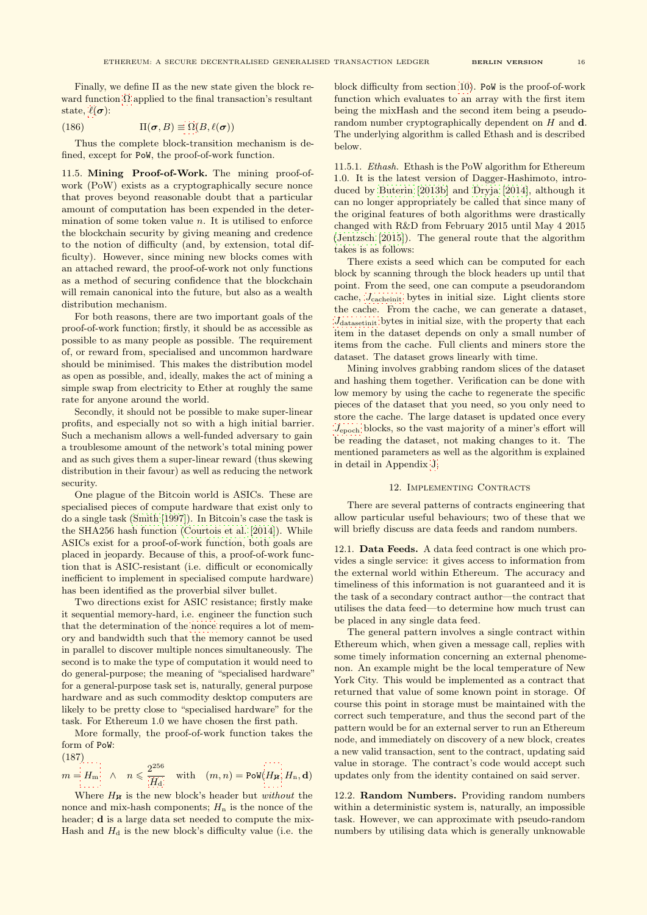<span id="page-15-1"></span>Finally, we define Π as the new state given the block reward function  $\Omega$  applied to the final transaction's resultant state,  $\ell(\sigma)$ :

(186) 
$$
\Pi(\boldsymbol{\sigma},B) \equiv \Omega(B,\ell(\boldsymbol{\sigma}))
$$

Thus the complete block-transition mechanism is defined, except for PoW, the proof-of-work function.

<span id="page-15-0"></span>11.5. Mining Proof-of-Work. The mining proof-ofwork (PoW) exists as a cryptographically secure nonce that proves beyond reasonable doubt that a particular amount of computation has been expended in the determination of some token value  $n$ . It is utilised to enforce the blockchain security by giving meaning and credence to the notion of difficulty (and, by extension, total difficulty). However, since mining new blocks comes with an attached reward, the proof-of-work not only functions as a method of securing confidence that the blockchain will remain canonical into the future, but also as a wealth distribution mechanism.

For both reasons, there are two important goals of the proof-of-work function; firstly, it should be as accessible as possible to as many people as possible. The requirement of, or reward from, specialised and uncommon hardware should be minimised. This makes the distribution model as open as possible, and, ideally, makes the act of mining a simple swap from electricity to Ether at roughly the same rate for anyone around the world.

Secondly, it should not be possible to make super-linear profits, and especially not so with a high initial barrier. Such a mechanism allows a well-funded adversary to gain a troublesome amount of the network's total mining power and as such gives them a super-linear reward (thus skewing distribution in their favour) as well as reducing the network security.

One plague of the Bitcoin world is ASICs. These are specialised pieces of compute hardware that exist only to do a single task [\(Smith \[1997\]](#page-17-17)). In Bitcoin's case the task is the SHA256 hash function [\(Courtois et al. \[2014\]](#page-17-18)). While ASICs exist for a proof-of-work function, both goals are placed in jeopardy. Because of this, a proof-of-work function that is ASIC-resistant (i.e. difficult or economically inefficient to implement in specialised compute hardware) has been identified as the proverbial silver bullet.

Two directions exist for ASIC resistance; firstly make it sequential memory-hard, i.e. engineer the function such that the determination of the [nonce](#page-4-6) requires a lot of memory and bandwidth such that the memory cannot be used in parallel to discover multiple nonces simultaneously. The second is to make the type of computation it would need to do general-purpose; the meaning of "specialised hardware" for a general-purpose task set is, naturally, general purpose hardware and as such commodity desktop computers are likely to be pretty close to "specialised hardware" for the task. For Ethereum 1.0 we have chosen the first path.

More formally, the proof-of-work function takes the form of PoW: (187)

$$
m = H_m
$$
  $\wedge$   $n \leq \frac{2^{256}}{H_d}$  with  $(m, n) = \text{PoW}(H_R, H_n, \mathbf{d})$ 

Where  $H<sub>M</sub>$  is the new block's header but *without* the nonce and mix-hash components;  $H_n$  is the nonce of the header; **d** is a large data set needed to compute the mix-Hash and  $H_d$  is the new block's difficulty value (i.e. the

block difficulty from section [10\)](#page-13-0). PoW is the proof-of-work function which evaluates to an array with the first item being the mixHash and the second item being a pseudorandom number cryptographically dependent on H and d. The underlying algorithm is called Ethash and is described below.

11.5.1. Ethash. Ethash is the PoW algorithm for Ethereum 1.0. It is the latest version of Dagger-Hashimoto, introduced by [Buterin \[2013b\]](#page-16-13) and [Dryja \[2014\]](#page-17-19), although it can no longer appropriately be called that since many of the original features of both algorithms were drastically changed with R&D from February 2015 until May 4 2015 [\(Jentzsch \[2015\]](#page-17-20)). The general route that the algorithm takes is as follows:

There exists a seed which can be computed for each block by scanning through the block headers up until that point. From the seed, one can compute a pseudorandom cache, J[cacheinit](#page-38-1) bytes in initial size. Light clients store the cache. From the cache, we can generate a dataset,  $J<sub>datasetinit</sub>$  $J<sub>datasetinit</sub>$  $J<sub>datasetinit</sub>$  bytes in initial size, with the property that each item in the dataset depends on only a small number of items from the cache. Full clients and miners store the dataset. The dataset grows linearly with time.

Mining involves grabbing random slices of the dataset and hashing them together. Verification can be done with low memory by using the cache to regenerate the specific pieces of the dataset that you need, so you only need to store the cache. The large dataset is updated once every J[epoch](#page-38-3) blocks, so the vast majority of a miner's effort will be reading the dataset, not making changes to it. The mentioned parameters as well as the algorithm is explained in detail in Appendix [J.](#page-38-0)

## 12. IMPLEMENTING CONTRACTS

There are several patterns of contracts engineering that allow particular useful behaviours; two of these that we will briefly discuss are data feeds and random numbers.

12.1. Data Feeds. A data feed contract is one which provides a single service: it gives access to information from the external world within Ethereum. The accuracy and timeliness of this information is not guaranteed and it is the task of a secondary contract author—the contract that utilises the data feed—to determine how much trust can be placed in any single data feed.

The general pattern involves a single contract within Ethereum which, when given a message call, replies with some timely information concerning an external phenomenon. An example might be the local temperature of New York City. This would be implemented as a contract that returned that value of some known point in storage. Of course this point in storage must be maintained with the correct such temperature, and thus the second part of the pattern would be for an external server to run an Ethereum node, and immediately on discovery of a new block, creates a new valid transaction, sent to the contract, updating said value in storage. The contract's code would accept such updates only from the identity contained on said server.

12.2. Random Numbers. Providing random numbers within a deterministic system is, naturally, an impossible task. However, we can approximate with pseudo-random numbers by utilising data which is generally unknowable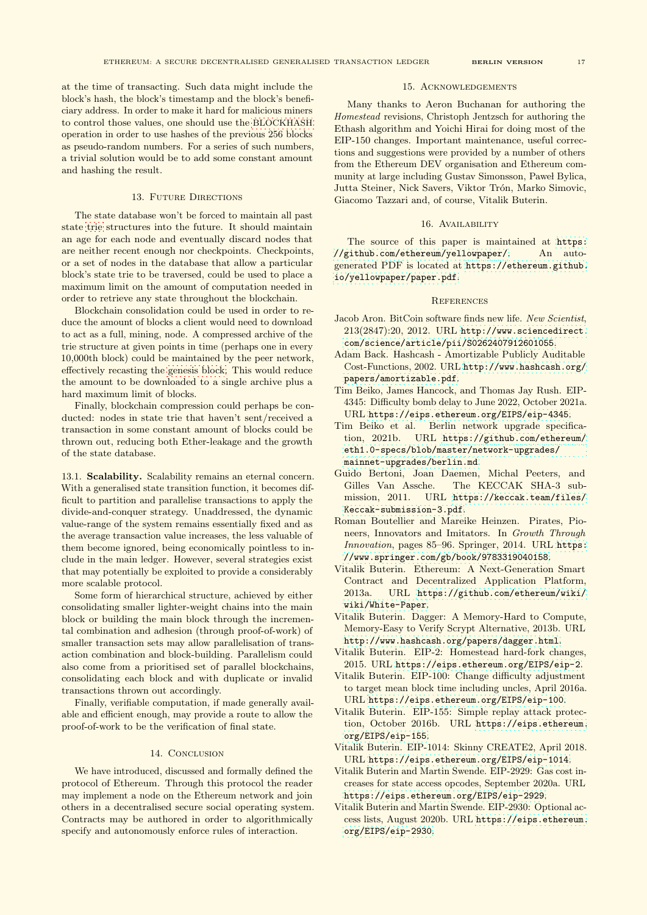at the time of transacting. Such data might include the block's hash, the block's timestamp and the block's beneficiary address. In order to make it hard for malicious miners to control those values, one should use the [BLOCKHASH](#page-32-0) operation in order to use hashes of the previous 256 blocks as pseudo-random numbers. For a series of such numbers, a trivial solution would be to add some constant amount and hashing the result.

## 13. Future Directions

The state database won't be forced to maintain all past state [trie](#page-20-1) structures into the future. It should maintain an age for each node and eventually discard nodes that are neither recent enough nor checkpoints. Checkpoints, or a set of nodes in the database that allow a particular block's state trie to be traversed, could be used to place a maximum limit on the amount of computation needed in order to retrieve any state throughout the blockchain.

Blockchain consolidation could be used in order to reduce the amount of blocks a client would need to download to act as a full, mining, node. A compressed archive of the trie structure at given points in time (perhaps one in every 10,000th block) could be maintained by the peer network, effectively recasting the [genesis block.](#page-37-0) This would reduce the amount to be downloaded to a single archive plus a hard maximum limit of blocks.

Finally, blockchain compression could perhaps be conducted: nodes in state trie that haven't sent/received a transaction in some constant amount of blocks could be thrown out, reducing both Ether-leakage and the growth of the state database.

13.1. Scalability. Scalability remains an eternal concern. With a generalised state transition function, it becomes difficult to partition and parallelise transactions to apply the divide-and-conquer strategy. Unaddressed, the dynamic value-range of the system remains essentially fixed and as the average transaction value increases, the less valuable of them become ignored, being economically pointless to include in the main ledger. However, several strategies exist that may potentially be exploited to provide a considerably more scalable protocol.

Some form of hierarchical structure, achieved by either consolidating smaller lighter-weight chains into the main block or building the main block through the incremental combination and adhesion (through proof-of-work) of smaller transaction sets may allow parallelisation of transaction combination and block-building. Parallelism could also come from a prioritised set of parallel blockchains, consolidating each block and with duplicate or invalid transactions thrown out accordingly.

Finally, verifiable computation, if made generally available and efficient enough, may provide a route to allow the proof-of-work to be the verification of final state.

# 14. CONCLUSION

We have introduced, discussed and formally defined the protocol of Ethereum. Through this protocol the reader may implement a node on the Ethereum network and join others in a decentralised secure social operating system. Contracts may be authored in order to algorithmically specify and autonomously enforce rules of interaction.

## 15. Acknowledgements

Many thanks to Aeron Buchanan for authoring the Homestead revisions, Christoph Jentzsch for authoring the Ethash algorithm and Yoichi Hirai for doing most of the EIP-150 changes. Important maintenance, useful corrections and suggestions were provided by a number of others from the Ethereum DEV organisation and Ethereum community at large including Gustav Simonsson, Paweł Bylica, Jutta Steiner, Nick Savers, Viktor Trón, Marko Simovic, Giacomo Tazzari and, of course, Vitalik Buterin.

## 16. AVAILABILITY

The source of this paper is maintained at [https:](https://github.com/ethereum/yellowpaper/) [//github.com/ethereum/yellowpaper/](https://github.com/ethereum/yellowpaper/). An autogenerated PDF is located at [https://ethereum.github.](https://ethereum.github.io/yellowpaper/paper.pdf) [io/yellowpaper/paper.pdf](https://ethereum.github.io/yellowpaper/paper.pdf).

#### **REFERENCES**

- <span id="page-16-2"></span>Jacob Aron. BitCoin software finds new life. New Scientist, 213(2847):20, 2012. URL [http://www.sciencedirect.](http://www.sciencedirect.com/science/article/pii/S0262407912601055) [com/science/article/pii/S0262407912601055](http://www.sciencedirect.com/science/article/pii/S0262407912601055).
- <span id="page-16-1"></span>Adam Back. Hashcash - Amortizable Publicly Auditable Cost-Functions, 2002. URL [http://www.hashcash.org/](http://www.hashcash.org/papers/amortizable.pdf) [papers/amortizable.pdf](http://www.hashcash.org/papers/amortizable.pdf).
- <span id="page-16-10"></span>Tim Beiko, James Hancock, and Thomas Jay Rush. EIP-4345: Difficulty bomb delay to June 2022, October 2021a. URL <https://eips.ethereum.org/EIPS/eip-4345>.
- <span id="page-16-4"></span>Tim Beiko et al. Berlin network upgrade specification, 2021b. URL [https://github.com/ethereum/](https://github.com/ethereum/eth1.0-specs/blob/master/network-upgrades/mainnet-upgrades/berlin.md) [eth1.0-specs/blob/master/network-upgrades/](https://github.com/ethereum/eth1.0-specs/blob/master/network-upgrades/mainnet-upgrades/berlin.md) [mainnet-upgrades/berlin.md](https://github.com/ethereum/eth1.0-specs/blob/master/network-upgrades/mainnet-upgrades/berlin.md).
- <span id="page-16-6"></span>Guido Bertoni, Joan Daemen, Michal Peeters, and Gilles Van Assche. The KECCAK SHA-3 submission, 2011. URL [https://keccak.team/files/](https://keccak.team/files/Keccak-submission-3.pdf) [Keccak-submission-3.pdf](https://keccak.team/files/Keccak-submission-3.pdf).
- <span id="page-16-3"></span>Roman Boutellier and Mareike Heinzen. Pirates, Pioneers, Innovators and Imitators. In Growth Through Innovation, pages 85–96. Springer, 2014. URL [https:](https://www.springer.com/gb/book/9783319040158) [//www.springer.com/gb/book/9783319040158](https://www.springer.com/gb/book/9783319040158).
- <span id="page-16-0"></span>Vitalik Buterin. Ethereum: A Next-Generation Smart Contract and Decentralized Application Platform, 2013a. URL [https://github.com/ethereum/wiki/](https://github.com/ethereum/wiki/wiki/White-Paper) [wiki/White-Paper](https://github.com/ethereum/wiki/wiki/White-Paper).
- <span id="page-16-13"></span>Vitalik Buterin. Dagger: A Memory-Hard to Compute, Memory-Easy to Verify Scrypt Alternative, 2013b. URL <http://www.hashcash.org/papers/dagger.html>.
- <span id="page-16-8"></span>Vitalik Buterin. EIP-2: Homestead hard-fork changes, 2015. URL <https://eips.ethereum.org/EIPS/eip-2>.
- <span id="page-16-9"></span>Vitalik Buterin. EIP-100: Change difficulty adjustment to target mean block time including uncles, April 2016a. URL <https://eips.ethereum.org/EIPS/eip-100>.
- <span id="page-16-5"></span>Vitalik Buterin. EIP-155: Simple replay attack protection, October 2016b. URL [https://eips.ethereum.](https://eips.ethereum.org/EIPS/eip-155) [org/EIPS/eip-155](https://eips.ethereum.org/EIPS/eip-155).
- <span id="page-16-12"></span>Vitalik Buterin. EIP-1014: Skinny CREATE2, April 2018. URL <https://eips.ethereum.org/EIPS/eip-1014>.
- <span id="page-16-11"></span>Vitalik Buterin and Martin Swende. EIP-2929: Gas cost increases for state access opcodes, September 2020a. URL <https://eips.ethereum.org/EIPS/eip-2929>.
- <span id="page-16-7"></span>Vitalik Buterin and Martin Swende. EIP-2930: Optional access lists, August 2020b. URL [https://eips.ethereum.](https://eips.ethereum.org/EIPS/eip-2930) [org/EIPS/eip-2930](https://eips.ethereum.org/EIPS/eip-2930).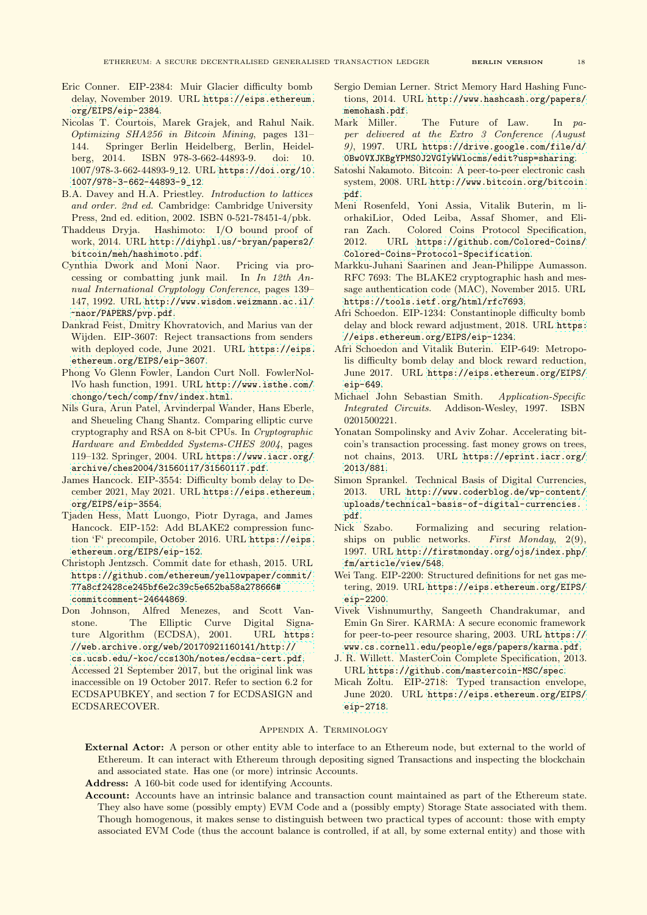- <span id="page-17-13"></span>Eric Conner. EIP-2384: Muir Glacier difficulty bomb delay, November 2019. URL [https://eips.ethereum.](https://eips.ethereum.org/EIPS/eip-2384) [org/EIPS/eip-2384](https://eips.ethereum.org/EIPS/eip-2384).
- <span id="page-17-18"></span>Nicolas T. Courtois, Marek Grajek, and Rahul Naik. Optimizing SHA256 in Bitcoin Mining, pages 131– 144. Springer Berlin Heidelberg, Berlin, Heidelberg, 2014. ISBN 978-3-662-44893-9. doi: 10. 1007/978-3-662-44893-9 12. URL [https://doi.org/10.](https://doi.org/10.1007/978-3-662-44893-9_12) [1007/978-3-662-44893-9\\_12](https://doi.org/10.1007/978-3-662-44893-9_12).
- <span id="page-17-27"></span>B.A. Davey and H.A. Priestley. Introduction to lattices and order. 2nd ed. Cambridge: Cambridge University Press, 2nd ed. edition, 2002. ISBN 0-521-78451-4/pbk.
- <span id="page-17-19"></span>Thaddeus Dryja. Hashimoto: I/O bound proof of work, 2014. URL [http://diyhpl.us/~bryan/papers2/](http://diyhpl.us/~bryan/papers2/bitcoin/meh/hashimoto.pdf) [bitcoin/meh/hashimoto.pdf](http://diyhpl.us/~bryan/papers2/bitcoin/meh/hashimoto.pdf).
- <span id="page-17-0"></span>Cynthia Dwork and Moni Naor. Pricing via processing or combatting junk mail. In In 12th Annual International Cryptology Conference, pages 139– 147, 1992. URL [http://www.wisdom.weizmann.ac.il/](http://www.wisdom.weizmann.ac.il/~naor/PAPERS/pvp.pdf) [~naor/PAPERS/pvp.pdf](http://www.wisdom.weizmann.ac.il/~naor/PAPERS/pvp.pdf).
- <span id="page-17-15"></span>Dankrad Feist, Dmitry Khovratovich, and Marius van der Wijden. EIP-3607: Reject transactions from senders with deployed code, June 2021. URL [https://eips.](https://eips.ethereum.org/EIPS/eip-3607) [ethereum.org/EIPS/eip-3607](https://eips.ethereum.org/EIPS/eip-3607).
- <span id="page-17-26"></span>Phong Vo Glenn Fowler, Landon Curt Noll. FowlerNollVo hash function, 1991. URL [http://www.isthe.com/](http://www.isthe.com/chongo/tech/comp/fnv/index.html) [chongo/tech/comp/fnv/index.html](http://www.isthe.com/chongo/tech/comp/fnv/index.html).
- <span id="page-17-23"></span>Nils Gura, Arun Patel, Arvinderpal Wander, Hans Eberle, and Sheueling Chang Shantz. Comparing elliptic curve cryptography and RSA on 8-bit CPUs. In Cryptographic Hardware and Embedded Systems-CHES 2004, pages 119–132. Springer, 2004. URL [https://www.iacr.org/](https://www.iacr.org/archive/ches2004/31560117/31560117.pdf) [archive/ches2004/31560117/31560117.pdf](https://www.iacr.org/archive/ches2004/31560117/31560117.pdf).
- <span id="page-17-14"></span>James Hancock. EIP-3554: Difficulty bomb delay to December 2021, May 2021. URL [https://eips.ethereum.](https://eips.ethereum.org/EIPS/eip-3554) [org/EIPS/eip-3554](https://eips.ethereum.org/EIPS/eip-3554).
- <span id="page-17-21"></span>Tjaden Hess, Matt Luongo, Piotr Dyraga, and James Hancock. EIP-152: Add BLAKE2 compression function 'F' precompile, October 2016. URL [https://eips.](https://eips.ethereum.org/EIPS/eip-152) [ethereum.org/EIPS/eip-152](https://eips.ethereum.org/EIPS/eip-152).
- <span id="page-17-20"></span>Christoph Jentzsch. Commit date for ethash, 2015. URL [https://github.com/ethereum/yellowpaper/commit/](https://github.com/ethereum/yellowpaper/commit/77a8cf2428ce245bf6e2c39c5e652ba58a278666#commitcomment-24644869) [77a8cf2428ce245bf6e2c39c5e652ba58a278666#](https://github.com/ethereum/yellowpaper/commit/77a8cf2428ce245bf6e2c39c5e652ba58a278666#commitcomment-24644869) [commitcomment-24644869](https://github.com/ethereum/yellowpaper/commit/77a8cf2428ce245bf6e2c39c5e652ba58a278666#commitcomment-24644869).
- <span id="page-17-24"></span>Don Johnson, Alfred Menezes, and Scott Vanstone. The Elliptic Curve Digital Signature Algorithm (ECDSA), 2001. URL [https:](https://web.archive.org/web/20170921160141/http://cs.ucsb.edu/~koc/ccs130h/notes/ecdsa-cert.pdf) [//web.archive.org/web/20170921160141/http://](https://web.archive.org/web/20170921160141/http://cs.ucsb.edu/~koc/ccs130h/notes/ecdsa-cert.pdf) [cs.ucsb.edu/~koc/ccs130h/notes/ecdsa-cert.pdf](https://web.archive.org/web/20170921160141/http://cs.ucsb.edu/~koc/ccs130h/notes/ecdsa-cert.pdf). Accessed 21 September 2017, but the original link was
	- inaccessible on 19 October 2017. Refer to section 6.2 for ECDSAPUBKEY, and section 7 for ECDSASIGN and ECDSARECOVER.
- <span id="page-17-25"></span>Sergio Demian Lerner. Strict Memory Hard Hashing Functions, 2014. URL [http://www.hashcash.org/papers/](http://www.hashcash.org/papers/memohash.pdf) [memohash.pdf](http://www.hashcash.org/papers/memohash.pdf).
- <span id="page-17-7"></span>Mark Miller. The Future of Law. In paper delivered at the Extro 3 Conference (August 9), 1997. URL [https://drive.google.com/file/d/](https://drive.google.com/file/d/0Bw0VXJKBgYPMS0J2VGIyWWlocms/edit?usp=sharing) [0Bw0VXJKBgYPMS0J2VGIyWWlocms/edit?usp=sharing](https://drive.google.com/file/d/0Bw0VXJKBgYPMS0J2VGIyWWlocms/edit?usp=sharing).
- <span id="page-17-2"></span>Satoshi Nakamoto. Bitcoin: A peer-to-peer electronic cash system, 2008. URL [http://www.bitcoin.org/bitcoin.](http://www.bitcoin.org/bitcoin.pdf) [pdf](http://www.bitcoin.org/bitcoin.pdf).
- <span id="page-17-5"></span>Meni Rosenfeld, Yoni Assia, Vitalik Buterin, m liorhakiLior, Oded Leiba, Assaf Shomer, and Eliran Zach. Colored Coins Protocol Specification, 2012. URL [https://github.com/Colored-Coins/](https://github.com/Colored-Coins/Colored-Coins-Protocol-Specification) [Colored-Coins-Protocol-Specification](https://github.com/Colored-Coins/Colored-Coins-Protocol-Specification).
- <span id="page-17-22"></span>Markku-Juhani Saarinen and Jean-Philippe Aumasson. RFC 7693: The BLAKE2 cryptographic hash and message authentication code (MAC), November 2015. URL <https://tools.ietf.org/html/rfc7693>.
- <span id="page-17-12"></span>Afri Schoedon. EIP-1234: Constantinople difficulty bomb delay and block reward adjustment, 2018. URL [https:](https://eips.ethereum.org/EIPS/eip-1234) [//eips.ethereum.org/EIPS/eip-1234](https://eips.ethereum.org/EIPS/eip-1234).
- <span id="page-17-11"></span>Afri Schoedon and Vitalik Buterin. EIP-649: Metropolis difficulty bomb delay and block reward reduction, June 2017. URL [https://eips.ethereum.org/EIPS/](https://eips.ethereum.org/EIPS/eip-649) [eip-649](https://eips.ethereum.org/EIPS/eip-649).
- <span id="page-17-17"></span>Michael John Sebastian Smith. Application-Specific Integrated Circuits. Addison-Wesley, 1997. ISBN 0201500221.
- <span id="page-17-9"></span>Yonatan Sompolinsky and Aviv Zohar. Accelerating bitcoin's transaction processing. fast money grows on trees, not chains, 2013. URL [https://eprint.iacr.org/](https://eprint.iacr.org/2013/881) [2013/881](https://eprint.iacr.org/2013/881).
- <span id="page-17-3"></span>Simon Sprankel. Technical Basis of Digital Currencies, 2013. URL [http://www.coderblog.de/wp-content/](http://www.coderblog.de/wp-content/uploads/technical-basis-of-digital-currencies.pdf) [uploads/technical-basis-of-digital-currencies.](http://www.coderblog.de/wp-content/uploads/technical-basis-of-digital-currencies.pdf) [pdf](http://www.coderblog.de/wp-content/uploads/technical-basis-of-digital-currencies.pdf).
- <span id="page-17-6"></span>Nick Szabo. Formalizing and securing relationships on public networks. First Monday, 2(9), 1997. URL [http://firstmonday.org/ojs/index.php/](http://firstmonday.org/ojs/index.php/fm/article/view/548) [fm/article/view/548](http://firstmonday.org/ojs/index.php/fm/article/view/548).
- <span id="page-17-16"></span>Wei Tang. EIP-2200: Structured definitions for net gas metering, 2019. URL [https://eips.ethereum.org/EIPS/](https://eips.ethereum.org/EIPS/eip-2200) [eip-2200](https://eips.ethereum.org/EIPS/eip-2200).
- <span id="page-17-1"></span>Vivek Vishnumurthy, Sangeeth Chandrakumar, and Emin Gn Sirer. KARMA: A secure economic framework for peer-to-peer resource sharing, 2003. URL [https://](https://www.cs.cornell.edu/people/egs/papers/karma.pdf) [www.cs.cornell.edu/people/egs/papers/karma.pdf](https://www.cs.cornell.edu/people/egs/papers/karma.pdf).
- <span id="page-17-4"></span>J. R. Willett. MasterCoin Complete Specification, 2013. URL <https://github.com/mastercoin-MSC/spec>.
- <span id="page-17-10"></span>Micah Zoltu. EIP-2718: Typed transaction envelope, June 2020. URL [https://eips.ethereum.org/EIPS/](https://eips.ethereum.org/EIPS/eip-2718) [eip-2718](https://eips.ethereum.org/EIPS/eip-2718).

# Appendix A. Terminology

- <span id="page-17-8"></span>External Actor: A person or other entity able to interface to an Ethereum node, but external to the world of Ethereum. It can interact with Ethereum through depositing signed Transactions and inspecting the blockchain and associated state. Has one (or more) intrinsic Accounts.
- Address: A 160-bit code used for identifying Accounts.
- Account: Accounts have an intrinsic balance and transaction count maintained as part of the Ethereum state. They also have some (possibly empty) EVM Code and a (possibly empty) Storage State associated with them. Though homogenous, it makes sense to distinguish between two practical types of account: those with empty associated EVM Code (thus the account balance is controlled, if at all, by some external entity) and those with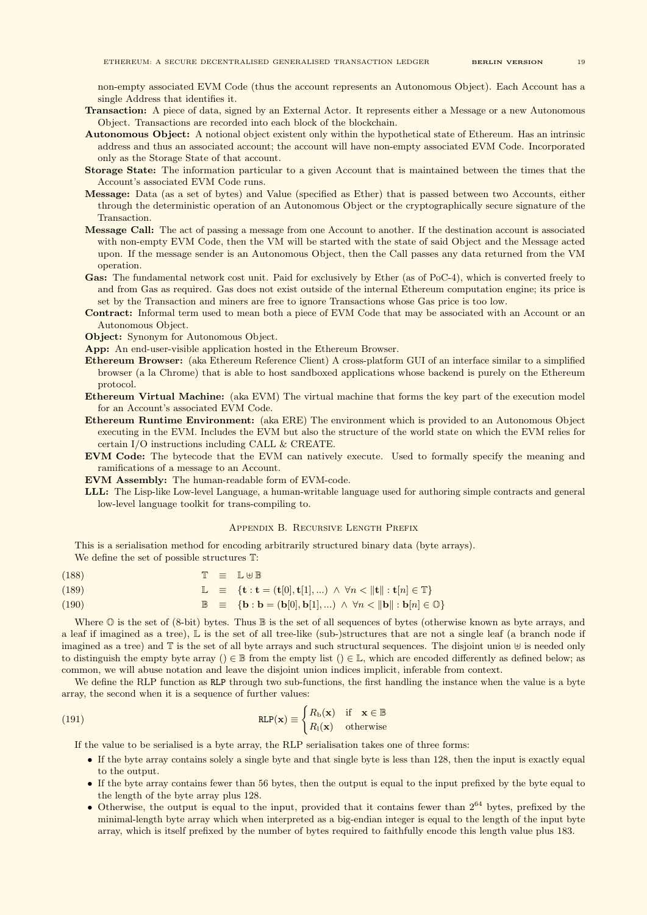non-empty associated EVM Code (thus the account represents an Autonomous Object). Each Account has a single Address that identifies it.

- Transaction: A piece of data, signed by an External Actor. It represents either a Message or a new Autonomous Object. Transactions are recorded into each block of the blockchain.
- Autonomous Object: A notional object existent only within the hypothetical state of Ethereum. Has an intrinsic address and thus an associated account; the account will have non-empty associated EVM Code. Incorporated only as the Storage State of that account.
- Storage State: The information particular to a given Account that is maintained between the times that the Account's associated EVM Code runs.
- Message: Data (as a set of bytes) and Value (specified as Ether) that is passed between two Accounts, either through the deterministic operation of an Autonomous Object or the cryptographically secure signature of the Transaction.
- Message Call: The act of passing a message from one Account to another. If the destination account is associated with non-empty EVM Code, then the VM will be started with the state of said Object and the Message acted upon. If the message sender is an Autonomous Object, then the Call passes any data returned from the VM operation.
- Gas: The fundamental network cost unit. Paid for exclusively by Ether (as of PoC-4), which is converted freely to and from Gas as required. Gas does not exist outside of the internal Ethereum computation engine; its price is set by the Transaction and miners are free to ignore Transactions whose Gas price is too low.
- Contract: Informal term used to mean both a piece of EVM Code that may be associated with an Account or an Autonomous Object.
- Object: Synonym for Autonomous Object.
- App: An end-user-visible application hosted in the Ethereum Browser.
- Ethereum Browser: (aka Ethereum Reference Client) A cross-platform GUI of an interface similar to a simplified browser (a la Chrome) that is able to host sandboxed applications whose backend is purely on the Ethereum protocol.
- Ethereum Virtual Machine: (aka EVM) The virtual machine that forms the key part of the execution model for an Account's associated EVM Code.
- Ethereum Runtime Environment: (aka ERE) The environment which is provided to an Autonomous Object executing in the EVM. Includes the EVM but also the structure of the world state on which the EVM relies for certain I/O instructions including CALL & CREATE.
- EVM Code: The bytecode that the EVM can natively execute. Used to formally specify the meaning and ramifications of a message to an Account.
- EVM Assembly: The human-readable form of EVM-code.
- LLL: The Lisp-like Low-level Language, a human-writable language used for authoring simple contracts and general low-level language toolkit for trans-compiling to.

# Appendix B. Recursive Length Prefix

<span id="page-18-1"></span><span id="page-18-0"></span>This is a serialisation method for encoding arbitrarily structured binary data (byte arrays). We define the set of possible structures T:

$$
(188) \t\t T \equiv \mathbb{L} \oplus \mathbb{B}
$$

(189) 
$$
\mathbb{L} \equiv \{ \mathbf{t} : \mathbf{t} = (\mathbf{t}[0], \mathbf{t}[1], \dots) \; \wedge \; \forall n < \|\mathbf{t}\| : \mathbf{t}[n] \in \mathbb{T} \}
$$

(190)  $\mathbb{B} \equiv {\mathbf{b} : \mathbf{b} = (\mathbf{b}[0], \mathbf{b}[1], \ldots) \land \forall n < ||\mathbf{b}|| : \mathbf{b}[n] \in \mathbb{O}}$ 

Where  $\mathbb O$  is the set of (8-bit) bytes. Thus  $\mathbb B$  is the set of all sequences of bytes (otherwise known as byte arrays, and a leaf if imagined as a tree), L is the set of all tree-like (sub-)structures that are not a single leaf (a branch node if imagined as a tree) and  $\mathbb T$  is the set of all byte arrays and such structural sequences. The disjoint union  $\mathbb \#$  is needed only to distinguish the empty byte array ()  $\in \mathbb{B}$  from the empty list ()  $\in \mathbb{L}$ , which are encoded differently as defined below; as common, we will abuse notation and leave the disjoint union indices implicit, inferable from context.

We define the RLP function as RLP through two sub-functions, the first handling the instance when the value is a byte array, the second when it is a sequence of further values:

(191) 
$$
RLP(\mathbf{x}) \equiv \begin{cases} R_{\mathrm{b}}(\mathbf{x}) & \text{if } \mathbf{x} \in \mathbb{B} \\ R_{\mathrm{l}}(\mathbf{x}) & \text{otherwise} \end{cases}
$$

If the value to be serialised is a byte array, the RLP serialisation takes one of three forms:

- If the byte array contains solely a single byte and that single byte is less than 128, then the input is exactly equal to the output.
- If the byte array contains fewer than 56 bytes, then the output is equal to the input prefixed by the byte equal to the length of the byte array plus 128.
- $\bullet$  Otherwise, the output is equal to the input, provided that it contains fewer than  $2^{64}$  bytes, prefixed by the minimal-length byte array which when interpreted as a big-endian integer is equal to the length of the input byte array, which is itself prefixed by the number of bytes required to faithfully encode this length value plus 183.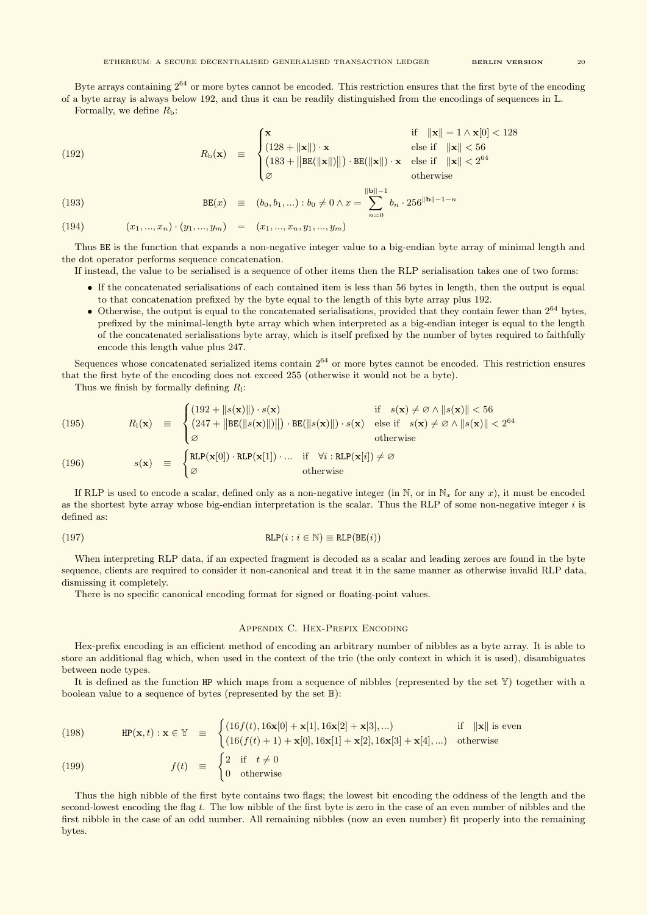Byte arrays containing  $2^{64}$  or more bytes cannot be encoded. This restriction ensures that the first byte of the encoding of a byte array is always below 192, and thus it can be readily distinguished from the encodings of sequences in L.

<span id="page-19-2"></span><span id="page-19-1"></span>Formally, we define  $R<sub>b</sub>$ :

(192) 
$$
R_{\mathrm{b}}(\mathbf{x}) = \begin{cases} \mathbf{x} & \text{if } ||\mathbf{x}|| = 1 \land \mathbf{x}[0] < 128 \\ (128 + ||\mathbf{x}||) \cdot \mathbf{x} & \text{else if } ||\mathbf{x}|| < 56 \\ (183 + ||\mathtt{BE}(||\mathbf{x}||)||) \cdot \mathtt{BE}(||\mathbf{x}||) \cdot \mathbf{x} & \text{else if } ||\mathbf{x}|| < 2^{64} \\ \varnothing & \text{otherwise} \end{cases}
$$

(193) 
$$
BE(x) \equiv (b_0, b_1, \ldots) : b_0 \neq 0 \land x = \sum_{n=0}^{\|\mathbf{b}\| - 1} b_n \cdot 256^{\|\mathbf{b}\| - 1 - n}
$$

(194) 
$$
(x_1, ..., x_n) \cdot (y_1, ..., y_m) = (x_1, ..., x_n, y_1, ..., y_m)
$$

Thus BE is the function that expands a non-negative integer value to a big-endian byte array of minimal length and the dot operator performs sequence concatenation.

If instead, the value to be serialised is a sequence of other items then the RLP serialisation takes one of two forms:

- If the concatenated serialisations of each contained item is less than 56 bytes in length, then the output is equal to that concatenation prefixed by the byte equal to the length of this byte array plus 192.
- $\bullet$  Otherwise, the output is equal to the concatenated serialisations, provided that they contain fewer than  $2^{64}$  bytes, prefixed by the minimal-length byte array which when interpreted as a big-endian integer is equal to the length of the concatenated serialisations byte array, which is itself prefixed by the number of bytes required to faithfully encode this length value plus 247.

Sequences whose concatenated serialized items contain  $2^{64}$  or more bytes cannot be encoded. This restriction ensures that the first byte of the encoding does not exceed 255 (otherwise it would not be a byte).

<span id="page-19-0"></span>Thus we finish by formally defining  $R_1$ :

(195) 
$$
R_{1}(\mathbf{x}) = \begin{cases} (192 + ||s(\mathbf{x})||) \cdot s(\mathbf{x}) & \text{if } s(\mathbf{x}) \neq \emptyset \land ||s(\mathbf{x})|| < 56 \\ (247 + ||BE(||s(\mathbf{x})||)||) \cdot BE(||s(\mathbf{x})||) \cdot s(\mathbf{x}) & \text{else if } s(\mathbf{x}) \neq \emptyset \land ||s(\mathbf{x})|| < 2^{64} \\ \emptyset & \text{otherwise} \end{cases}
$$
  
(196) 
$$
s(\mathbf{x}) = \begin{cases} RLP(\mathbf{x}[0]) \cdot RLP(\mathbf{x}[1]) \cdot ... & \text{if } \forall i : RLP(\mathbf{x}[i]) \neq \emptyset \\ \emptyset & \text{otherwise} \end{cases}
$$

If RLP is used to encode a scalar, defined only as a non-negative integer (in N, or in  $\mathbb{N}_x$  for any x), it must be encoded as the shortest byte array whose big-endian interpretation is the scalar. Thus the RLP of some non-negative integer  $i$  is defined as:

$$
RLP(i : i \in \mathbb{N}) \equiv RLP(BE(i))
$$

When interpreting RLP data, if an expected fragment is decoded as a scalar and leading zeroes are found in the byte sequence, clients are required to consider it non-canonical and treat it in the same manner as otherwise invalid RLP data, dismissing it completely.

There is no specific canonical encoding format for signed or floating-point values.

# Appendix C. Hex-Prefix Encoding

Hex-prefix encoding is an efficient method of encoding an arbitrary number of nibbles as a byte array. It is able to store an additional flag which, when used in the context of the trie (the only context in which it is used), disambiguates between node types.

It is defined as the function HP which maps from a sequence of nibbles (represented by the set  $\mathbb{Y}$ ) together with a boolean value to a sequence of bytes (represented by the set B):

(198) 
$$
\text{HP}(\mathbf{x},t): \mathbf{x} \in \mathbb{Y} \equiv \begin{cases} (16f(t), 16\mathbf{x}[0] + \mathbf{x}[1], 16\mathbf{x}[2] + \mathbf{x}[3], \dots) & \text{if } ||\mathbf{x}|| \text{ is even} \\ (16(f(t) + 1) + \mathbf{x}[0], 16\mathbf{x}[1] + \mathbf{x}[2], 16\mathbf{x}[3] + \mathbf{x}[4], \dots) & \text{otherwise} \end{cases}
$$

(199) 
$$
f(t) \equiv \begin{cases} 2 & \text{if } t \neq 0 \\ 0 & \text{otherwise} \end{cases}
$$

Thus the high nibble of the first byte contains two flags; the lowest bit encoding the oddness of the length and the second-lowest encoding the flag  $t$ . The low nibble of the first byte is zero in the case of an even number of nibbles and the first nibble in the case of an odd number. All remaining nibbles (now an even number) fit properly into the remaining bytes.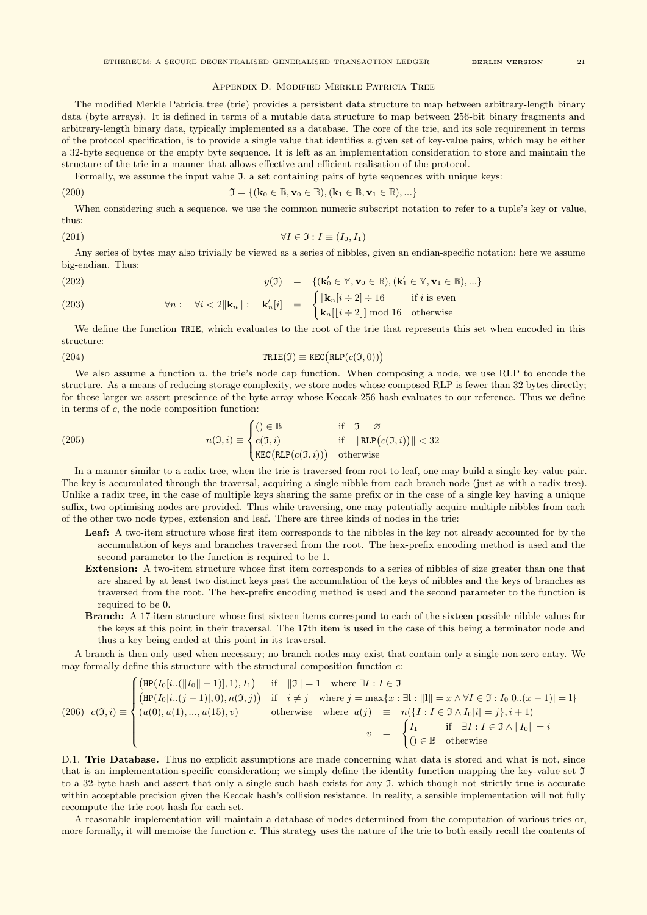#### Appendix D. Modified Merkle Patricia Tree

<span id="page-20-1"></span><span id="page-20-0"></span>The modified Merkle Patricia tree (trie) provides a persistent data structure to map between arbitrary-length binary data (byte arrays). It is defined in terms of a mutable data structure to map between 256-bit binary fragments and arbitrary-length binary data, typically implemented as a database. The core of the trie, and its sole requirement in terms of the protocol specification, is to provide a single value that identifies a given set of key-value pairs, which may be either a 32-byte sequence or the empty byte sequence. It is left as an implementation consideration to store and maintain the structure of the trie in a manner that allows effective and efficient realisation of the protocol.

Formally, we assume the input value  $I$ , a set containing pairs of byte sequences with unique keys:

(200) 
$$
\mathfrak{I} = \{ (\mathbf{k}_0 \in \mathbb{B}, \mathbf{v}_0 \in \mathbb{B}), (\mathbf{k}_1 \in \mathbb{B}, \mathbf{v}_1 \in \mathbb{B}), \ldots \}
$$

When considering such a sequence, we use the common numeric subscript notation to refer to a tuple's key or value, thus:

$$
\forall I \in \mathfrak{I} : I \equiv (I_0, I_1)
$$

Any series of bytes may also trivially be viewed as a series of nibbles, given an endian-specific notation; here we assume big-endian. Thus:

(202) 
$$
y(\mathfrak{I}) = \{ (\mathbf{k}'_0 \in \mathbb{Y}, \mathbf{v}_0 \in \mathbb{B}), (\mathbf{k}'_1 \in \mathbb{Y}, \mathbf{v}_1 \in \mathbb{B}), \dots \}
$$

(203) 
$$
\forall n: \quad \forall i < 2\|\mathbf{k}_n\|: \quad \mathbf{k}'_n[i] \equiv \begin{cases} \lfloor \mathbf{k}_n[i \div 2] \div 16 \rfloor & \text{if } i \text{ is even} \\ \mathbf{k}_n[\lfloor i \div 2 \rfloor] \bmod 16 & \text{otherwise} \end{cases}
$$

We define the function TRIE, which evaluates to the root of the trie that represents this set when encoded in this structure:

(204) 
$$
TRIE(\mathfrak{I}) \equiv KEC(RLP(c(\mathfrak{I},0)))
$$

We also assume a function  $n$ , the trie's node cap function. When composing a node, we use RLP to encode the structure. As a means of reducing storage complexity, we store nodes whose composed RLP is fewer than 32 bytes directly; for those larger we assert prescience of the byte array whose Keccak-256 hash evaluates to our reference. Thus we define in terms of c, the node composition function:

(205) 
$$
n(\mathfrak{I},i) \equiv \begin{cases} () \in \mathbb{B} & \text{if } \mathfrak{I} = \varnothing \\ c(\mathfrak{I},i) & \text{if } \|\text{RLP}(c(\mathfrak{I},i))\| < 32 \\ \text{KEC}(\text{RLP}(c(\mathfrak{I},i))) & \text{otherwise} \end{cases}
$$

In a manner similar to a radix tree, when the trie is traversed from root to leaf, one may build a single key-value pair. The key is accumulated through the traversal, acquiring a single nibble from each branch node (just as with a radix tree). Unlike a radix tree, in the case of multiple keys sharing the same prefix or in the case of a single key having a unique suffix, two optimising nodes are provided. Thus while traversing, one may potentially acquire multiple nibbles from each of the other two node types, extension and leaf. There are three kinds of nodes in the trie:

- Leaf: A two-item structure whose first item corresponds to the nibbles in the key not already accounted for by the accumulation of keys and branches traversed from the root. The hex-prefix encoding method is used and the second parameter to the function is required to be 1.
- Extension: A two-item structure whose first item corresponds to a series of nibbles of size greater than one that are shared by at least two distinct keys past the accumulation of the keys of nibbles and the keys of branches as traversed from the root. The hex-prefix encoding method is used and the second parameter to the function is required to be 0.
- Branch: A 17-item structure whose first sixteen items correspond to each of the sixteen possible nibble values for the keys at this point in their traversal. The 17th item is used in the case of this being a terminator node and thus a key being ended at this point in its traversal.

A branch is then only used when necessary; no branch nodes may exist that contain only a single non-zero entry. We may formally define this structure with the structural composition function  $c$ :

$$
(206) \ c(3,i) \equiv \begin{cases} (\text{HP}(I_0[i...(\|I_0\|-1)],1), I_1) & \text{if } ||3|| = 1 & \text{where } \exists I : I \in \mathfrak{I} \\ (\text{HP}(I_0[i...(j-1)],0), n(3,j)) & \text{if } i \neq j & \text{where } j = \max\{x : \exists I : ||1|| = x \land \forall I \in \mathfrak{I} : I_0[0...(x-1)] = 1\} \\ (u(0), u(1), ..., u(15), v) & \text{otherwise} & \text{where } u(j) \equiv n(\{I : I \in \mathfrak{I} \land I_0[i] = j\}, i+1) \\ v = \begin{cases} I_1 & \text{if } \exists I : I \in \mathfrak{I} \land ||I_0|| = i \\ (\} \in \mathbb{B} & \text{otherwise} \end{cases} \end{cases}
$$

D.1. Trie Database. Thus no explicit assumptions are made concerning what data is stored and what is not, since that is an implementation-specific consideration; we simply define the identity function mapping the key-value set J to a 32-byte hash and assert that only a single such hash exists for any I, which though not strictly true is accurate within acceptable precision given the Keccak hash's collision resistance. In reality, a sensible implementation will not fully recompute the trie root hash for each set.

A reasonable implementation will maintain a database of nodes determined from the computation of various tries or, more formally, it will memoise the function c. This strategy uses the nature of the trie to both easily recall the contents of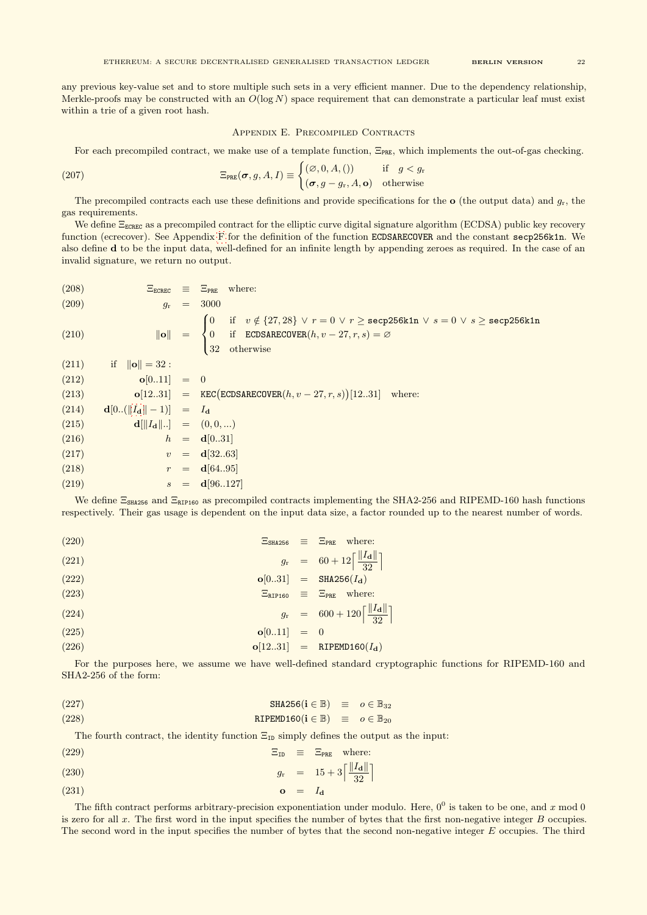any previous key-value set and to store multiple such sets in a very efficient manner. Due to the dependency relationship, Merkle-proofs may be constructed with an  $O(\log N)$  space requirement that can demonstrate a particular leaf must exist within a trie of a given root hash.

#### <span id="page-21-2"></span>Appendix E. Precompiled Contracts

<span id="page-21-0"></span>For each precompiled contract, we make use of a template function,  $\Xi_{\text{PRE}}$ , which implements the out-of-gas checking.

(207) 
$$
\Xi_{PRE}(\sigma, g, A, I) \equiv \begin{cases} (\varnothing, 0, A, ()) & \text{if } g < g_{\text{r}} \\ (\sigma, g - g_{\text{r}}, A, \mathbf{o}) & \text{otherwise} \end{cases}
$$

The precompiled contracts each use these definitions and provide specifications for the  $\alpha$  (the output data) and  $q_r$ , the gas requirements.

We define  $\Xi_{\text{ECREG}}$  as a precompiled contract for the elliptic curve digital signature algorithm (ECDSA) public key recovery function (ecrecover). See Appendix [F](#page-25-0) for the definition of the function ECDSARECOVER and the constant secp256k1n. We also define d to be the input data, well-defined for an infinite length by appending zeroes as required. In the case of an invalid signature, we return no output.

<span id="page-21-1"></span>
$$
(208) \t\t \t\t\t\t\t\Xi_{\text{ECREC}} \equiv \Xi_{\text{PRE}} \t\t\t\t\t\t\t\t\t\t\t\t\t\t\t\t\t\t\t\t\t\t\t\t\t\Xi_{\text{ECREC}}
$$

$$
(209) \qquad \qquad g_{\rm r} = 3000
$$

 $\|\mathbf{o}\|$  $\sqrt{ }$  $\int$  $\mathcal{L}$ if  $v \notin \{27, 28\}$  ∨  $r = 0$  ∨  $r \ge$  secp256k1n ∨  $s = 0$  ∨  $s \ge$  secp256k1n 0 if ECDSARECOVER $(h, v - 27, r, s) = \varnothing$ 32 otherwise (210)

|       | (211) if $\ \mathbf{o}\  = 32$ :                       |                                                                        |
|-------|--------------------------------------------------------|------------------------------------------------------------------------|
| (212) | $o[011] = 0$                                           |                                                                        |
| (213) |                                                        | $\mathbf{o}[1231]$ = KEC(ECDSARECOVER $(h, v - 27, r, s)[1231]$ where: |
| (214) | $\mathbf{d}[0(  I_{\mathbf{d}}  -1)] = I_{\mathbf{d}}$ |                                                                        |
| (215) | $\mathbf{d}[\ I_{\mathbf{d}}\ ] = (0,0,)$              |                                                                        |
| (216) |                                                        | $h = d[031]$                                                           |
| (217) |                                                        | $v = d[3263]$                                                          |
| (218) |                                                        | $r = d[6495]$                                                          |
| (219) |                                                        | $s = d[96127]$                                                         |

We define  $\Xi_{\text{SH}256}$  and  $\Xi_{\text{RIP160}}$  as precompiled contracts implementing the SHA2-256 and RIPEMD-160 hash functions respectively. Their gas usage is dependent on the input data size, a factor rounded up to the nearest number of words.

m

m

| (220) | $E_{\text{SHA256}} \equiv E_{\text{PRE}}$ where: |  |  |  |
|-------|--------------------------------------------------|--|--|--|
|-------|--------------------------------------------------|--|--|--|

(221) 
$$
g_{\rm r} = 60 + 12 \left[ \frac{\|I_{\rm d}\|}{32} \right]
$$

$$
\mathbf{o}[0..31] = \text{SHA256}(I_{\mathbf{d}})
$$

$$
\Xi_{\text{RIP160}} \equiv \Xi_{\text{PRE}} \text{ where:}
$$

(224) 
$$
g_{\rm r} = 600 + 120 \left[ \frac{\|I_{\rm d}\|}{32} \right]
$$

$$
\mathbf{o}[0..11] = 0
$$

$$
\mathbf{o}[12..31] = \text{RIPEMD160}(I_{\mathbf{d}})
$$

For the purposes here, we assume we have well-defined standard cryptographic functions for RIPEMD-160 and SHA2-256 of the form:

$$
\text{SHA256}(\mathbf{i} \in \mathbb{B}) \equiv o \in \mathbb{B}_{32}
$$

$$
\text{RIPEMD160}(\mathbf{i} \in \mathbb{B}) \equiv o \in \mathbb{B}_{20}
$$

The fourth contract, the identity function  $\Xi_{\text{ID}}$  simply defines the output as the input:

$$
\Xi_{\text{ID}} \equiv \Xi_{\text{PRE}} \text{ where:}
$$

(230) 
$$
g_{\rm r} = 15 + 3 \left[ \frac{\|I_{\rm d}\|}{32} \right]
$$

$$
(231) \qquad \qquad \mathbf{O} = I_{\mathbf{d}}
$$

The fifth contract performs arbitrary-precision exponentiation under modulo. Here,  $0^0$  is taken to be one, and x mod 0 is zero for all x. The first word in the input specifies the number of bytes that the first non-negative integer B occupies. The second word in the input specifies the number of bytes that the second non-negative integer E occupies. The third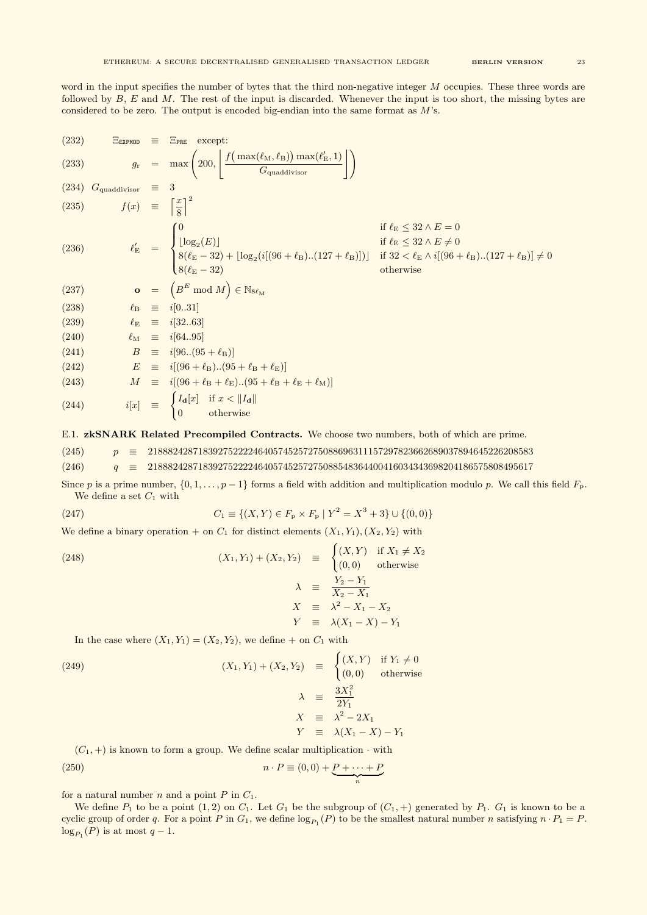word in the input specifies the number of bytes that the third non-negative integer M occupies. These three words are followed by  $B$ ,  $E$  and  $M$ . The rest of the input is discarded. Whenever the input is too short, the missing bytes are considered to be zero. The output is encoded big-endian into the same format as  $M$ 's.

(232) 
$$
\Xi_{\text{EXPMD}} \equiv \Xi_{\text{PRE}} \text{ except:}
$$
  
\n(233)  $g_r = \max \left( 200, \left[ \frac{f(\max(\ell_M, \ell_B)) \max(\ell'_E, 1)}{G_{\text{quaddivisor}}} \right] \right)$   
\n(234)  $G_{\text{quaddivisor}} \equiv 3$   
\n(235)  $f(x) \equiv \left[ \frac{x}{8} \right]^2$   
\n(236)  $e'_E = \begin{cases} 0 & \text{if } \ell_E \leq 32 \land E = 0 \\ \lfloor \log_2(E) \rfloor & \text{if } \ell_E \leq 32 \land E \neq 0 \\ 8(\ell_E - 32) + \lfloor \log_2(i[(96 + \ell_B)...(127 + \ell_B)]) \rfloor & \text{if } 32 < \ell_E \land i[(96 + \ell_B)...(127 + \ell_B)] \neq 0 \\ 8(\ell_E - 32) & \text{otherwise} \end{cases}$   
\n(237)  $\mathbf{o} = \begin{pmatrix} B^E \mod M \\ \lfloor 6(\ell_E - 32) \rfloor \end{pmatrix}$   
\n(238)  $e_B \equiv i[0..31]$   
\n(239)  $e_E \equiv i[32..63]$   
\n(240)  $e_M \equiv i[96..(95 + \ell_B)]$   
\n(241)  $B \equiv i[96..(95 + \ell_B + \ell_E)]$   
\n(242)  $E \equiv i[(96 + \ell_B)..(95 + \ell_B + \ell_E + \ell_M)]$   
\n(243)  $M \equiv i[(96 + \ell_B + \ell_E)..(95 + \ell_B + \ell_E + \ell_M)]$   
\n(244)  $i[x] \equiv \begin{cases} I_d[x] & \text{if } x < ||I_d|| \\ 0 & \text{otherwise} \end{cases}$ 

E.1. zkSNARK Related Precompiled Contracts. We choose two numbers, both of which are prime.

 $p \equiv 2188824287183927522246405745257275088696311157297823662689037894645226208583$ 

 $(246)$  q  $\equiv$  21888242871839275222246405745257275088548364400416034343698204186575808495617

Since p is a prime number,  $\{0, 1, \ldots, p-1\}$  forms a field with addition and multiplication modulo p. We call this field  $F_p$ . We define a set  $C_1$  with

(247) 
$$
C_1 \equiv \{(X, Y) \in F_{\rm p} \times F_{\rm p} \mid Y^2 = X^3 + 3\} \cup \{(0, 0)\}
$$

We define a binary operation + on  $C_1$  for distinct elements  $(X_1, Y_1), (X_2, Y_2)$  with

<span id="page-22-0"></span>(248)  
\n
$$
(X_1, Y_1) + (X_2, Y_2) \equiv \begin{cases} (X, Y) & \text{if } X_1 \neq X_2 \\ (0, 0) & \text{otherwise} \end{cases}
$$
\n
$$
\lambda \equiv \frac{Y_2 - Y_1}{X_2 - X_1}
$$
\n
$$
X \equiv \lambda^2 - X_1 - X_2
$$
\n
$$
Y \equiv \lambda (X_1 - X) - Y_1
$$

<span id="page-22-1"></span>In the case where  $(X_1, Y_1) = (X_2, Y_2)$ , we define  $+$  on  $C_1$  with

(249)  
\n
$$
(X_1, Y_1) + (X_2, Y_2) \equiv \begin{cases} (X, Y) & \text{if } Y_1 \neq 0 \\ (0, 0) & \text{otherwise} \end{cases}
$$
\n
$$
\lambda \equiv \frac{3X_1^2}{2Y_1}
$$
\n
$$
X \equiv \lambda^2 - 2X_1
$$
\n
$$
Y \equiv \lambda(X_1 - X) - Y_1
$$

<span id="page-22-2"></span> $(C_1, +)$  is known to form a group. We define scalar multiplication  $\cdot$  with

(250) 
$$
n \cdot P \equiv (0,0) + \underbrace{P + \dots + P}_{n}
$$

for a natural number n and a point  $P$  in  $C_1$ .

We define  $P_1$  to be a point  $(1, 2)$  on  $C_1$ . Let  $G_1$  be the subgroup of  $(C_1, +)$  generated by  $P_1$ .  $G_1$  is known to be a cyclic group of order q. For a point P in  $G_1$ , we define  $log_{P_1}(P)$  to be the smallest natural number n satisfying  $n \cdot P_1 = P$ .  $\log_{P_1}(P)$  is at most  $q-1$ .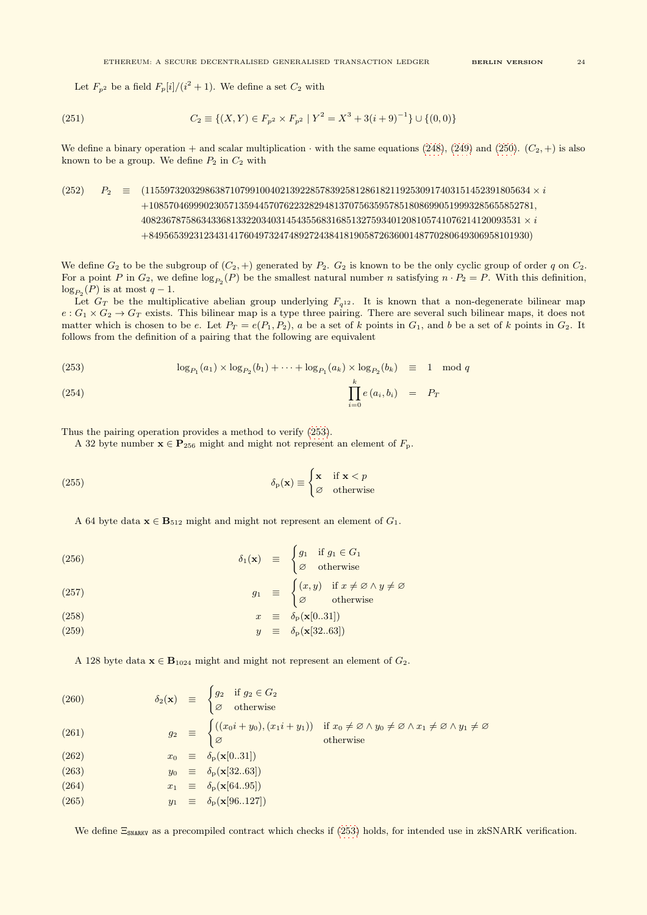Let  $F_{p^2}$  be a field  $F_p[i]/(i^2+1)$ . We define a set  $C_2$  with

(251) 
$$
C_2 \equiv \{(X, Y) \in F_{p^2} \times F_{p^2} \mid Y^2 = X^3 + 3(i+9)^{-1}\} \cup \{(0, 0)\}
$$

We define a binary operation + and scalar multiplication  $\cdot$  with the same equations [\(248\)](#page-22-0), [\(249\)](#page-22-1) and [\(250\)](#page-22-2). ( $C_2$ , +) is also known to be a group. We define  $P_2$  in  $C_2$  with

 $(252)$   $P_2 \equiv (11559732032986387107991004021392285783925812861821192530917403151452391805634 \times i$ +10857046999023057135944570762232829481370756359578518086990519993285655852781,  $4082367875863433681332203403145435568316851327593401208105741076214120093531 \times i$ +8495653923123431417604973247489272438418190587263600148770280649306958101930)

We define  $G_2$  to be the subgroup of  $(C_2, +)$  generated by  $P_2$ .  $G_2$  is known to be the only cyclic group of order q on  $C_2$ . For a point P in  $G_2$ , we define  $\log_{P_2}(P)$  be the smallest natural number n satisfying  $n \cdot P_2 = P$ . With this definition,  $\log_{P_2}(P)$  is at most  $q-1$ .

Let  $G_T$  be the multiplicative abelian group underlying  $F_q$ 12. It is known that a non-degenerate bilinear map  $e: G_1 \times G_2 \to G_T$  exists. This bilinear map is a type three pairing. There are several such bilinear maps, it does not matter which is chosen to be e. Let  $P_T = e(P_1, P_2)$ , a be a set of k points in  $G_1$ , and b be a set of k points in  $G_2$ . It follows from the definition of a pairing that the following are equivalent

<span id="page-23-0"></span>(253) 
$$
\log_{P_1}(a_1) \times \log_{P_2}(b_1) + \cdots + \log_{P_1}(a_k) \times \log_{P_2}(b_k) \equiv 1 \mod q
$$

$$
\prod_{i=0}^{k} e(a_i, b_i) = P_T
$$

Thus the pairing operation provides a method to verify [\(253\)](#page-23-0).

A 32 byte number  $x \in P_{256}$  might and might not represent an element of  $F_p$ .

(255) 
$$
\delta_{\mathbf{p}}(\mathbf{x}) \equiv \begin{cases} \mathbf{x} & \text{if } \mathbf{x} < p \\ \varnothing & \text{otherwise} \end{cases}
$$

A 64 byte data  $\mathbf{x} \in \mathbf{B}_{512}$  might and might not represent an element of  $G_1$ .

(256) 
$$
\delta_1(\mathbf{x}) = \begin{cases} g_1 & \text{if } g_1 \in G_1 \\ \varnothing & \text{otherwise} \end{cases}
$$

(257) 
$$
g_1 \equiv \begin{cases} (x, y) & \text{if } x \neq \emptyset \land y \neq \emptyset \\ \emptyset & \text{otherwise} \end{cases}
$$

(258) 
$$
x \equiv \delta_{\rm p}(\mathbf{x}[0..31])
$$

$$
(259) \t\t y \t \equiv \t \delta_{\rm p}(\mathbf{x}[32..63])
$$

A 128 byte data  $\mathbf{x} \in \mathbf{B}_{1024}$  might and might not represent an element of  $G_2$ .

| (260) |  | $\delta_2(\mathbf{x}) = \begin{cases} g_2 & \text{if } g_2 \in G_2 \\ \varnothing & \text{otherwise} \end{cases}$ |                                                                                                                                                                                                                  |
|-------|--|-------------------------------------------------------------------------------------------------------------------|------------------------------------------------------------------------------------------------------------------------------------------------------------------------------------------------------------------|
| (261) |  |                                                                                                                   | $g_2 \equiv \begin{cases} ((x_0 i + y_0), (x_1 i + y_1)) & \text{if } x_0 \neq \emptyset \land y_0 \neq \emptyset \land x_1 \neq \emptyset \land y_1 \neq \emptyset \\ \emptyset & \text{otherwise} \end{cases}$ |
| (262) |  | $x_0 \equiv \delta_{\rm p}(\mathbf{x}[031])$                                                                      |                                                                                                                                                                                                                  |
| (263) |  | $y_0 \equiv \delta_{\rm p}(\mathbf{x}[3263])$                                                                     |                                                                                                                                                                                                                  |
| (264) |  | $x_1 \equiv \delta_p(x[6495])$                                                                                    |                                                                                                                                                                                                                  |
| (265) |  | $y_1 \equiv \delta_p(x[96127])$                                                                                   |                                                                                                                                                                                                                  |

We define Ξ<sub>SNARK</sub> as a precompiled contract which checks if [\(253\)](#page-23-0) holds, for intended use in zkSNARK verification.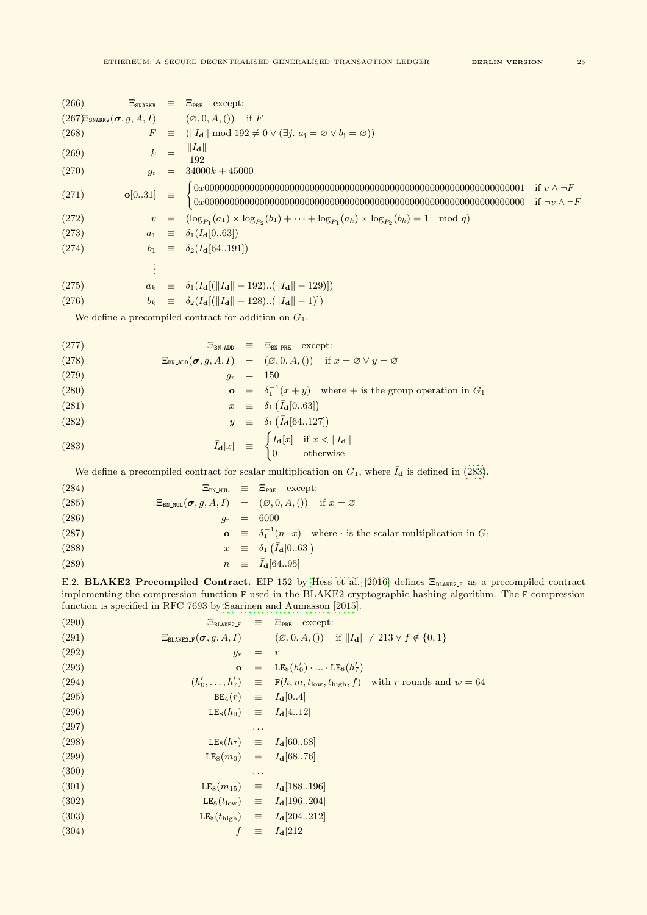$(266)$   $\Xi_{\text{SNARKV}} \equiv \Xi_{\text{PRE}}$  except:  $(267\mathbb{E}_{\text{SNARKV}}(\boldsymbol{\sigma}, q, A, I)) = (\emptyset, 0, A, ())$  if F (268)  $F \equiv (||I_{\mathbf{d}}|| \bmod 192 \neq 0 \vee (\exists j. a_j = \emptyset \vee b_j = \emptyset))$  $k = \frac{\|I_{\mathbf{d}}\|}{100}$ 192 (269) (270)  $g_r = 34000k + 45000$  $o[0..31]$   $\equiv$ ( 0x0000000000000000000000000000000000000000000000000000000000000001 if v ∧ ¬F 0x0000000000000000000000000000000000000000000000000000000000000000 if ¬v ∧ ¬F (271) (272)  $v \equiv (\log_{P_1}(a_1) \times \log_{P_2}(b_1) + \cdots + \log_{P_1}(a_k) \times \log_{P_2}(b_k) \equiv 1 \mod q)$ (273)  $a_1 \equiv \delta_1(I_{\mathbf{d}}[0..63])$ (274)  $b_1 \equiv \delta_2(I_{\mathbf{d}}[64..191])$ . . .

(275) 
$$
a_k \equiv \delta_1 (I_{\mathbf{d}}[(\|I_{\mathbf{d}}\| - 192)..(\|I_{\mathbf{d}}\| - 129)])
$$

$$
b_k \equiv \delta_2 (I_{\mathbf{d}}[(\|I_{\mathbf{d}}\| - 128)..(\|I_{\mathbf{d}}\| - 1)])
$$

<span id="page-24-0"></span>We define a precompiled contract for addition on  $G_1$ .

 $\Xi_{\text{BN}\_\text{ADD}} \equiv \Xi_{\text{BN}\_\text{PRE}} \text{except:}$ (278)  $\Xi_{\text{BNADD}}(\sigma, g, A, I) = (\emptyset, 0, A, () )$  if  $x = \emptyset \lor y = \emptyset$ (279)  $g_r = 150$ (280) **o**  $\equiv \delta_1^{-1}(x+y)$  where + is the group operation in  $G_1$ 

$$
(281) \t\t x \t \equiv \t \delta_1 \left( \bar{I}_{\mathbf{d}}[0..63] \right)
$$

$$
(282) \t\t y \equiv \delta_1 \left( \bar{I}_d[64..127] \right)
$$

(283) 
$$
\bar{I}_{\mathbf{d}}[x] = \begin{cases} I_{\mathbf{d}}[x] & \text{if } x < ||I_{\mathbf{d}}|| \\ 0 & \text{otherwise} \end{cases}
$$

We define a precompiled contract for scalar multiplication on  $G_1$ , where  $\bar{I}_{d}$  is defined in [\(283\)](#page-24-0).

| (284) |  | $E_{BN-MUI.} \equiv E_{PRE}$ except:                                                     |
|-------|--|------------------------------------------------------------------------------------------|
| (285) |  | $E_{BN_MUL}(\sigma, g, A, I) = (\emptyset, 0, A, () )$ if $x = \emptyset$                |
| (286) |  | $q_{\rm r} = 6000$                                                                       |
| (287) |  | $\mathbf{o} \equiv \delta_1^{-1}(n \cdot x)$ where is the scalar multiplication in $G_1$ |
| (288) |  | $x \equiv \delta_1 (\bar{I}_{\rm d}[063])$                                               |
| (289) |  | $n \equiv \bar{I}_{d}$ [6495]                                                            |
|       |  |                                                                                          |

E.2. **BLAKE2 Precompiled Contract.** EIP-152 by [Hess et al. \[2016\]](#page-17-21) defines  $\Xi_{\text{BLAKE2-F}}$  as a precompiled contract implementing the compression function F used in the BLAKE2 cryptographic hashing algorithm. The F compression function is specified in RFC 7693 by [Saarinen and Aumasson \[2015\]](#page-17-22).

|                      | $E_{BLAKE2.F} \equiv E_{PRE}$ except:                                                                                     |
|----------------------|---------------------------------------------------------------------------------------------------------------------------|
|                      | $\Xi_{\text{BLAKE2-F}}(\sigma, g, A, I) = (\emptyset, 0, A, () )$ if $  I_{\mathbf{d}}   \neq 213 \vee f \notin \{0, 1\}$ |
| $g_r = r$            |                                                                                                                           |
|                      | $\mathbf{o} \equiv \text{LE}_8(h'_0) \cdot  \cdot \text{LE}_8(h'_7)$                                                      |
|                      | $(h'_0, \ldots, h'_7) \equiv \mathbf{F}(h, m, t_{\text{low}}, t_{\text{high}}, f)$ with r rounds and $w = 64$             |
|                      | $BE_4(r) \equiv I_d[04]$                                                                                                  |
|                      | $LE_8(h_0) \equiv I_d[412]$                                                                                               |
| $\ddot{\phantom{0}}$ |                                                                                                                           |
|                      | $LE_8(h_7) \equiv I_d[6068]$                                                                                              |
|                      | $LE_8(m_0) \equiv I_d[6876]$                                                                                              |
| $\ddots$             |                                                                                                                           |
|                      | $LE_8(m_{15}) = I_d[188196]$                                                                                              |
|                      | $LE_8(t_{\text{low}}) \equiv I_d[196204]$                                                                                 |
|                      | $LE_8(t_{\text{high}}) \equiv I_d[204212]$                                                                                |
|                      | $f \equiv I_{\mathbf{d}}[212]$                                                                                            |
|                      |                                                                                                                           |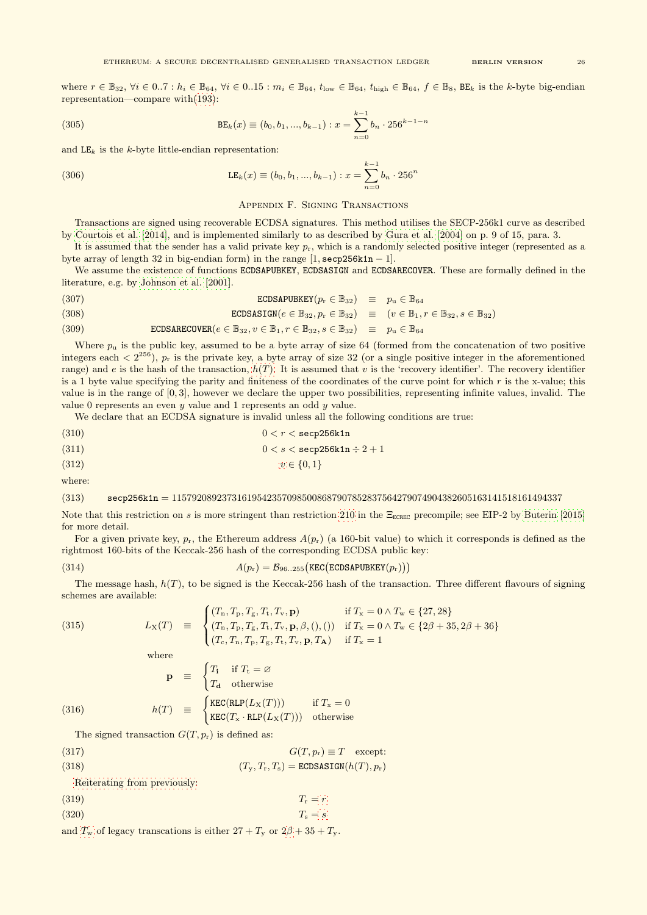where  $r \in \mathbb{B}_{32}$ ,  $\forall i \in 0..7 : h_i \in \mathbb{B}_{64}$ ,  $\forall i \in 0..15 : m_i \in \mathbb{B}_{64}$ ,  $t_{\text{low}} \in \mathbb{B}_{64}$ ,  $t_{\text{high}} \in \mathbb{B}_{64}$ ,  $f \in \mathbb{B}_{8}$ ,  $\text{BE}_k$  is the k-byte big-endian representation—compare with[\(193\)](#page-19-2):

(305) 
$$
BE_k(x) \equiv (b_0, b_1, ..., b_{k-1}) : x = \sum_{n=0}^{k-1} b_n \cdot 256^{k-1-n}
$$

and  $LE_k$  is the k-byte little-endian representation:

(306) 
$$
LE_k(x) \equiv (b_0, b_1, ..., b_{k-1}) : x = \sum_{n=0}^{k-1} b_n \cdot 256^n
$$

## <span id="page-25-3"></span>Appendix F. Signing Transactions

<span id="page-25-0"></span>Transactions are signed using recoverable ECDSA signatures. This method utilises the SECP-256k1 curve as described by [Courtois et al. \[2014\]](#page-17-18), and is implemented similarly to as described by [Gura et al. \[2004\]](#page-17-23) on p. 9 of 15, para. 3.

It is assumed that the sender has a valid private key  $p_r$ , which is a randomly selected positive integer (represented as a byte array of length 32 in big-endian form) in the range  $[1, \text{secp256k1n} - 1]$ .

We assume the existence of functions ECDSAPUBKEY, ECDSASIGN and ECDSARECOVER. These are formally defined in the literature, e.g. by [Johnson et al. \[2001\]](#page-17-24).

(307) **ECDSAPUBKEY** 
$$
(p_r \in \mathbb{B}_{32}) \equiv p_u \in \mathbb{B}_{64}
$$

(308) **ECDSASIGN** $(e \in \mathbb{B}_{32}, p_r \in \mathbb{B}_{32}) \equiv (v \in \mathbb{B}_1, r \in \mathbb{B}_{32}, s \in \mathbb{B}_{32})$ 

(309) 
$$
\mathsf{ECDSAREC OVER}(e \in \mathbb{B}_{32}, v \in \mathbb{B}_1, r \in \mathbb{B}_{32}, s \in \mathbb{B}_{32}) \equiv p_u \in \mathbb{B}_{64}
$$

Where  $p_u$  is the public key, assumed to be a byte array of size 64 (formed from the concatenation of two positive integers each  $\langle 2^{256} \rangle$ ,  $p_r$  is the private key, a byte array of size 32 (or a single positive integer in the aforementioned range) and e is the hash of the transaction,  $h(T)$  $h(T)$  $h(T)$ . It is assumed that v is the 'recovery identifier'. The recovery identifier is a 1 byte value specifying the parity and finiteness of the coordinates of the curve point for which  $r$  is the x-value; this value is in the range of [0, 3], however we declare the upper two possibilities, representing infinite values, invalid. The value  $0$  represents an even  $y$  value and  $1$  represents an odd  $y$  value.

<span id="page-25-4"></span><span id="page-25-1"></span>We declare that an ECDSA signature is invalid unless all the following conditions are true:

(310)  $0 < r <$  secp256k1n

$$
(311) \t\t 0 < s < \text{seep256k1n} \div 2 + 1
$$

$$
(312) \t\t v \in \{0,1\}
$$

where:

(313) secp256k1n = 115792089237316195423570985008687907852837564279074904382605163141518161494337

Note that this restriction on s is more stringent than restriction [210](#page-21-1) in the  $\Xi_{\text{EREC}}$  precompile; see EIP-2 by [Buterin \[2015\]](#page-16-8) for more detail.

For a given private key,  $p_r$ , the Ethereum address  $A(p_r)$  (a 160-bit value) to which it corresponds is defined as the rightmost 160-bits of the Keccak-256 hash of the corresponding ECDSA public key:

(314) 
$$
A(p_{r}) = \mathcal{B}_{96..255}(\text{KEC}(\text{ECDSAPUBKEY}(p_{r})))
$$

 $T \cdot T$ 

<span id="page-25-2"></span>The message hash,  $h(T)$ , to be signed is the Keccak-256 hash of the transaction. Three different flavours of signing schemes are available:

(315) 
$$
L_{\rm X}(T) \equiv \begin{cases} (T_{\rm n}, T_{\rm p}, T_{\rm g}, T_{\rm t}, T_{\rm v}, \mathbf{p}) & \text{if } T_{\rm x} = 0 \wedge T_{\rm w} \in \{27, 28\} \\ (T_{\rm n}, T_{\rm p}, T_{\rm g}, T_{\rm t}, T_{\rm v}, \mathbf{p}, \beta, (),()) & \text{if } T_{\rm x} = 0 \wedge T_{\rm w} \in \{2\beta + 35, 2\beta + 36\} \\ (T_{\rm c}, T_{\rm n}, T_{\rm p}, T_{\rm g}, T_{\rm t}, T_{\rm v}, \mathbf{p}, T_{\mathbf{A}}) & \text{if } T_{\rm x} = 1 \end{cases}
$$

where

(316)  
\n
$$
\mathbf{p} = \begin{cases}\n\mathbf{r}_1 & \text{if } \mathbf{r}_1 = \mathbf{y} \\
T_{\mathbf{d}} & \text{otherwise}\n\end{cases}
$$
\n
$$
h(T) = \begin{cases}\n\text{KEC}(RLP(L_X(T))) & \text{if } T_{\mathbf{x}} = 0 \\
\text{KEC}(T_{\mathbf{x}} \cdot RLP(L_{\mathbf{x}}(T))) & \text{otherwise}\n\end{cases}
$$

 $\sqrt{n}$ 

The signed transaction  $G(T, p<sub>r</sub>)$  is defined as:

$$
G(T, p_{r}) \equiv T \quad \text{except:}
$$

(318) 
$$
(T_{\rm y}, T_{\rm r}, T_{\rm s}) =
$$
 ECDSASIGN $(h(T), p_{\rm r})$ 

[Reiterating from previously:](#page-3-7)

$$
(319) \t\t T_{\rm r} = r
$$

$$
(320) \t\t Ts = s
$$

and  $T_w$  $T_w$  of legacy transcations is either  $27 + T_v$  or  $2\beta + 35 + T_v$ .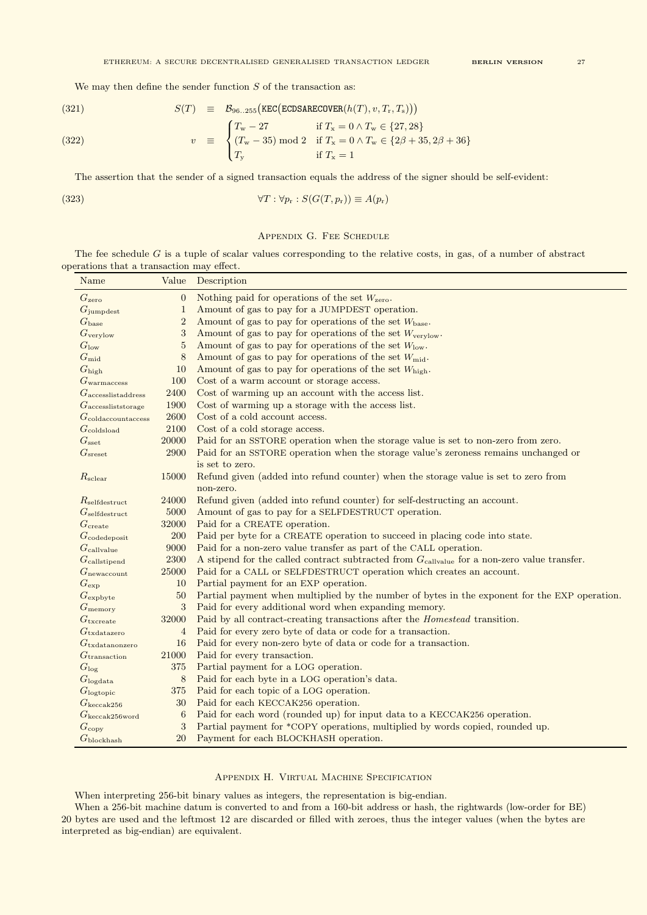We may then define the sender function  $S$  of the transaction as:

(321) 
$$
S(T) \equiv \mathcal{B}_{96..255}(\text{KEC}(\text{ECDSAREC OVER}(h(T), v, T_r, T_s)))
$$

(322) 
$$
v \equiv \begin{cases} T_{\rm w} - 27 & \text{if } T_{\rm x} = 0 \wedge T_{\rm w} \in \{27, 28\} \\ (T_{\rm w} - 35) \bmod 2 & \text{if } T_{\rm x} = 0 \wedge T_{\rm w} \in \{2\beta + 35, 2\beta + 36\} \\ T_{\rm y} & \text{if } T_{\rm x} = 1 \end{cases}
$$

The assertion that the sender of a signed transaction equals the address of the signer should be self-evident:

(323) 
$$
\forall T : \forall p_{r} : S(G(T, p_{r})) \equiv A(p_{r})
$$

# Appendix G. Fee Schedule

<span id="page-26-0"></span>The fee schedule  $G$  is a tuple of scalar values corresponding to the relative costs, in gas, of a number of abstract operations that a transaction may effect.

<span id="page-26-6"></span><span id="page-26-5"></span>

| Name                           | Value          | Description                                                                                             |
|--------------------------------|----------------|---------------------------------------------------------------------------------------------------------|
| $G_{\rm zero}$                 | $\overline{0}$ | Nothing paid for operations of the set $W_{\text{zero}}$ .                                              |
| $G_{\text{jumpdest}}$          | 1              | Amount of gas to pay for a JUMPDEST operation.                                                          |
| $G_{base}$                     | $\overline{2}$ | Amount of gas to pay for operations of the set $W_{\text{base}}$ .                                      |
| $G_{\text{verylow}}$           | 3              | Amount of gas to pay for operations of the set $W_{\text{verylow}}$ .                                   |
| $G_{\rm low}$                  | $\overline{5}$ | Amount of gas to pay for operations of the set $W_{\text{low}}$ .                                       |
| $G_{\rm mid}$                  | 8              | Amount of gas to pay for operations of the set $W_{mid}$ .                                              |
| $G_{\text{high}}$              | 10             | Amount of gas to pay for operations of the set $W_{\text{high}}$ .                                      |
| $G_{\rm warmaccess}$           | 100            | Cost of a warm account or storage access.                                                               |
| $G_{\text{accesslistaddress}}$ | 2400           | Cost of warming up an account with the access list.                                                     |
| $G_{\text{accessliststorage}}$ | 1900           | Cost of warming up a storage with the access list.                                                      |
| $G_{\rm cold account access}$  | 2600           | Cost of a cold account access.                                                                          |
| $G_{\rm coldsload}$            | 2100           | Cost of a cold storage access.                                                                          |
| $G_{\mathrm{sset}}$            | 20000          | Paid for an SSTORE operation when the storage value is set to non-zero from zero.                       |
| $G_{\rm sreset}$               | 2900           | Paid for an SSTORE operation when the storage value's zeroness remains unchanged or                     |
|                                |                | is set to zero.                                                                                         |
| $R_{\rm sclear}$               | 15000          | Refund given (added into refund counter) when the storage value is set to zero from                     |
|                                |                | non-zero.                                                                                               |
| $R_{\rm selfdestruct}$         | 24000          | Refund given (added into refund counter) for self-destructing an account.                               |
| $G_{\rm selfdestruct}$         | 5000           | Amount of gas to pay for a SELFDESTRUCT operation.                                                      |
| $G_{\rm create}$               | 32000          | Paid for a CREATE operation.                                                                            |
| $G_{\rm codedeposit}$          | <b>200</b>     | Paid per byte for a CREATE operation to succeed in placing code into state.                             |
| $G_{\text{calivalue}}$         | 9000           | Paid for a non-zero value transfer as part of the CALL operation.                                       |
| $G_{\text{calisticpend}}$      | 2300           | A stipend for the called contract subtracted from G <sub>callvalue</sub> for a non-zero value transfer. |
| $G_{\text{newaccount}}$        | 25000          | Paid for a CALL or SELFDESTRUCT operation which creates an account.                                     |
| $G_{\rm exp}$                  | 10             | Partial payment for an EXP operation.                                                                   |
| $G_{\rm expbyte}$              | 50             | Partial payment when multiplied by the number of bytes in the exponent for the EXP operation.           |
| $G_{\rm memory}$               | 3              | Paid for every additional word when expanding memory.                                                   |
| $G_{\text{txcreate}}$          | 32000          | Paid by all contract-creating transactions after the <i>Homestead</i> transition.                       |
| $G_{\rm{txdatazero}}$          | 4              | Paid for every zero byte of data or code for a transaction.                                             |
| $G_{\rm txdatano nzero}$       | 16             | Paid for every non-zero byte of data or code for a transaction.                                         |
| G <sub>transaction</sub>       | 21000          | Paid for every transaction.                                                                             |
| $G_{\log}$                     | 375            | Partial payment for a LOG operation.                                                                    |
| $G_{\text{logdata}}$           | 8              | Paid for each byte in a LOG operation's data.                                                           |
| $G_{\text{logtopic}}$          | 375            | Paid for each topic of a LOG operation.                                                                 |
| $G_{\rm keccak 256}$           | 30             | Paid for each KECCAK256 operation.                                                                      |
| $G_{\rm keccak256word}$        | 6              | Paid for each word (rounded up) for input data to a KECCAK256 operation.                                |
| $G_{\rm copy}$                 | 3              | Partial payment for *COPY operations, multiplied by words copied, rounded up.                           |
| $G_{\rm blockhash}$            | 20             | Payment for each BLOCKHASH operation.                                                                   |
|                                |                |                                                                                                         |

Appendix H. Virtual Machine Specification

<span id="page-26-8"></span><span id="page-26-7"></span><span id="page-26-4"></span><span id="page-26-3"></span><span id="page-26-2"></span><span id="page-26-1"></span>When interpreting 256-bit binary values as integers, the representation is big-endian.

When a 256-bit machine datum is converted to and from a 160-bit address or hash, the rightwards (low-order for BE) 20 bytes are used and the leftmost 12 are discarded or filled with zeroes, thus the integer values (when the bytes are interpreted as big-endian) are equivalent.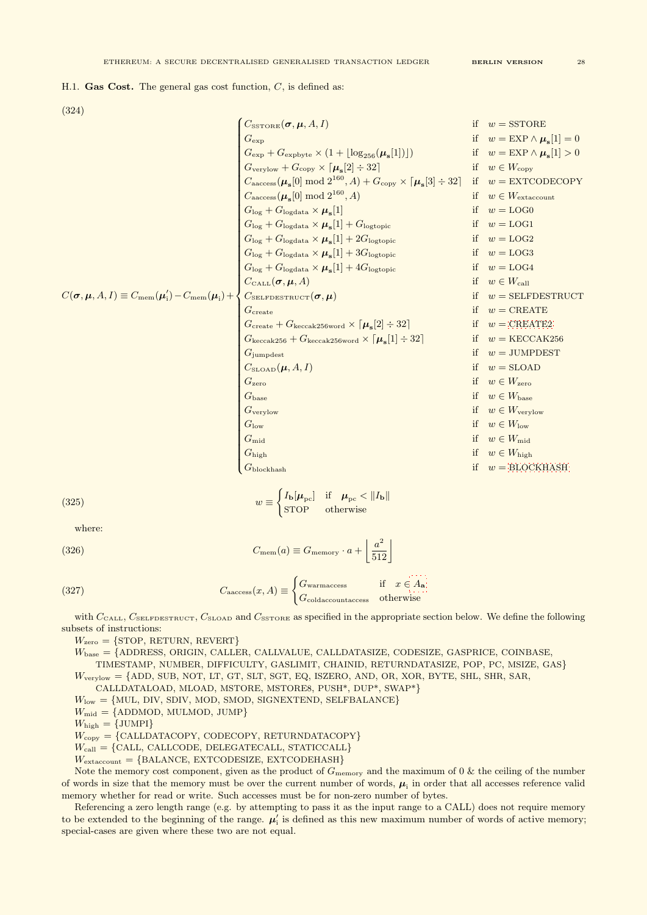# H.1. Gas Cost. The general gas cost function,  $C$ , is defined as:

$$
(324)
$$

$$
C(\sigma, \mu, A, I) \equiv C_{\text{mem}}(\mu_{i}') - C_{\text{mem}}(\mu_{i}, A, I)
$$
\n
$$
G_{\text{even}} + G_{\text{exphyte}} \times (1 + \lfloor \log_{256}(\mu_{\rm s}[1]) \rfloor) \qquad \text{if} \quad w = \text{EXP} \land \mu_{\rm s}[1] = 0
$$
\n
$$
G_{\text{exylow}} + G_{\text{copy}} \times \lceil \mu_{\rm s}[2] \div 32 \rceil \qquad \text{if} \quad w = \text{EXP} \land \mu_{\rm s}[1] > 0
$$
\n
$$
G_{\text{access}}(\mu_{\rm s}[0] \bmod 2^{160}, A) + G_{\text{copy}} \times \lceil \mu_{\rm s}[3] \div 32 \rceil \qquad \text{if} \quad w = \text{EXRODOECOPY}
$$
\n
$$
G_{\text{nosg}} + G_{\text{logdata}} \times \mu_{\rm s}[1] + G_{\text{logtopic}}
$$
\n
$$
G_{\text{log}} + G_{\text{logdata}} \times \mu_{\rm s}[1] + G_{\text{logtopic}}
$$
\n
$$
G_{\text{log}} + G_{\text{logdata}} \times \mu_{\rm s}[1] + 3G_{\text{logtopic}}
$$
\n
$$
G_{\text{log}} + G_{\text{logdata}} \times \mu_{\rm s}[1] + 4G_{\text{logtopic}}
$$
\n
$$
G_{\text{log}} + G_{\text{logdata}} \times \mu_{\rm s}[1] + 4G_{\text{logtopic}}
$$
\n
$$
G_{\text{log}} + G_{\text{logdata}} \times \mu_{\rm s}[1] + 4G_{\text{logtopic}}
$$
\n
$$
G_{\text{for}} \quad \text{if} \quad w = \text{LOG1}
$$
\n
$$
G_{\text{reg}} + G_{\text{regdata}} \times \mu_{\rm s}[1] + 4G_{\text{logtopic}}
$$
\n
$$
G_{\text{for}} \quad \text{if} \quad w = \text{SLEPDESTRUCT}
$$
\n
$$
G_{\text{recat}} \rightarrow G_{\text{back256}} \rightarrow G_{\text{back256}} \rightarrow G_{\text{back256}} \rightarrow G_{\text{back256
$$

(325) 
$$
w \equiv \begin{cases} I_{\mathbf{b}}[\boldsymbol{\mu}_{\mathrm{pc}}] & \text{if } \boldsymbol{\mu}_{\mathrm{pc}} < ||I_{\mathbf{b}}|| \\ \text{STOP} & \text{otherwise} \end{cases}
$$

<span id="page-27-0"></span>where:

(326) 
$$
C_{\text{mem}}(a) \equiv G_{\text{memory}} \cdot a + \left\lfloor \frac{a^2}{512} \right\rfloor
$$

(327) 
$$
C_{\text{access}}(x, A) \equiv \begin{cases} G_{\text{warmaccess}} & \text{if } x \in A_{\mathbf{a}} \\ G_{\text{coldaccountaccess}} & \text{otherwise} \end{cases}
$$

with  $C_{\text{CALL}}$ ,  $C_{\text{SELECT}}$ ,  $C_{\text{SLOAD}}$  and  $C_{\text{STORE}}$  as specified in the appropriate section below. We define the following subsets of instructions:

 $W_{\text{zero}} = \{\text{STOP, RETURN, REVERT}\}\$ 

 $W_{\text{base}} = \{\text{ADDRESS}, \text{ORIGIN}, \text{CALLER}, \text{CALLVALUEL}, \text{CALDATASIZE}, \text{CODESIZE}, \text{GASPRICE}, \text{COMBASE}, \text{COINBASE}, \text{COINBASSE}, \text{COINBASSE}, \text{COISBASSE}, \text{COISBASSE}, \text{COISBASSE}, \text{COISBASSE}, \text{COISBASSE}, \text{COISBASSE}, \text{COISBASSE}, \text{COISBASSE}, \text{COISBASSE}, \text{COISBASSE}, \text{COISBASSE}, \text{COISBASSE}, \text{COISBASSE}, \text{COISBASSE$ TIMESTAMP, NUMBER, DIFFICULTY, GASLIMIT, CHAINID, RETURNDATASIZE, POP, PC, MSIZE, GAS}

 $W_{\text{verylow}} = \{\text{ADD}, \text{SUB}, \text{NOT}, \text{LT}, \text{GT}, \text{SLT}, \text{SGT}, \text{EQ}, \text{ISZERO}, \text{AND}, \text{OR}, \text{XOR}, \text{BYTE}, \text{SHL}, \text{SHR}, \text{SAR}, \text{SAR}, \text{SAR}, \text{SAR}, \text{SAR}, \text{SAR}, \text{SAR}, \text{SAR}, \text{SAR}, \text{SAR}, \text{SAR}, \text{SAR}, \text{SAR}, \text{SAR}, \text{SAR}, \text{SAR}, \text{SAR}, \text{SAR}, \text{SAR}, \text{SAR}, \text{SAR}, \$ 

CALLDATALOAD, MLOAD, MSTORE, MSTORE8, PUSH\*, DUP\*, SWAP\*}

 $W_{\text{low}} = \{\text{MUL}, \text{DIV}, \text{SDIV}, \text{MOD}, \text{SMOD}, \text{SIGNEXTEND}, \text{SELFBALANCE}\}\$ 

 $W_{mid} = \{ADDMOD, MULMOD, JUMP\}$ 

 $W_{\text{high}} = \{\text{JUMPI}\}\$ 

 $W_{copy} = \{CALDDATACOPY, CODECOPY, RETURNDATACOPY\}$ 

 $W_{\text{call}} = \{\text{CALL}, \text{CALLOODE}, \text{ DELEGATECALL}, \text{STATICCALL}\}$ 

 $W_{\text{extaccount}} = \{\text{BALANCE}, \text{EXTCODESIZE}, \text{EXTCODEHASH}\}$ 

Note the memory cost component, given as the product of  $G_{\text{memory}}$  and the maximum of 0  $\&$  the ceiling of the number of words in size that the memory must be over the current number of words,  $\mu_i$  in order that all accesses reference valid memory whether for read or write. Such accesses must be for non-zero number of bytes.

Referencing a zero length range (e.g. by attempting to pass it as the input range to a CALL) does not require memory to be extended to the beginning of the range.  $\mu'_i$  is defined as this new maximum number of words of active memory; special-cases are given where these two are not equal.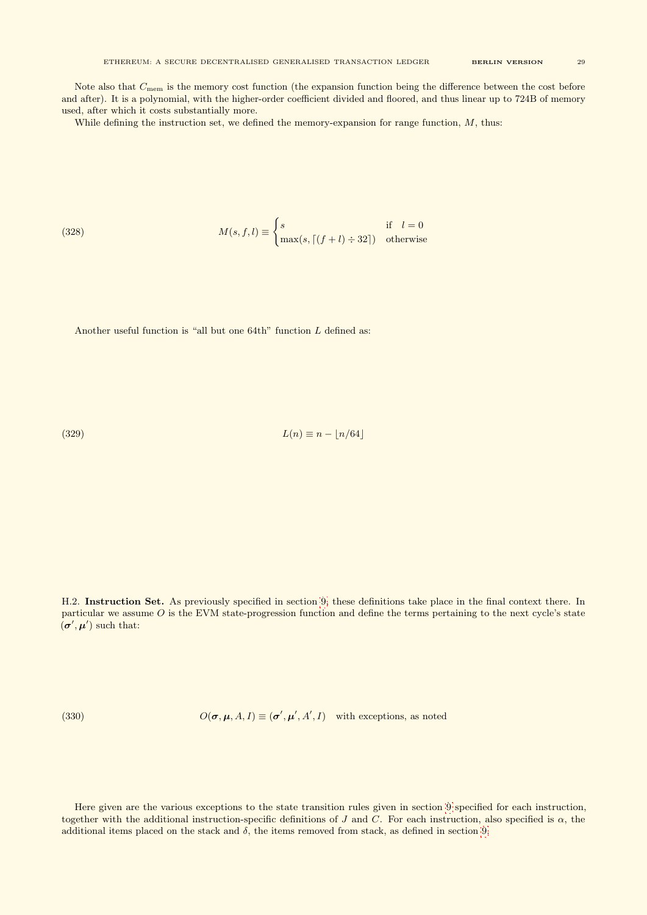Note also that  $C_{\text{mem}}$  is the memory cost function (the expansion function being the difference between the cost before and after). It is a polynomial, with the higher-order coefficient divided and floored, and thus linear up to 724B of memory used, after which it costs substantially more.

While defining the instruction set, we defined the memory-expansion for range function,  $M$ , thus:

(328) 
$$
M(s, f, l) \equiv \begin{cases} s & \text{if } l = 0\\ \max(s, \lceil (f+l) \div 32 \rceil) & \text{otherwise} \end{cases}
$$

Another useful function is "all but one  $64th$ " function  $L$  defined as:

<span id="page-28-1"></span>(329)  $L(n) \equiv n - |n/64|$ 

<span id="page-28-0"></span>H.2. Instruction Set. As previously specified in section [9,](#page-11-1) these definitions take place in the final context there. In particular we assume  $O$  is the EVM state-progression function and define the terms pertaining to the next cycle's state  $(\boldsymbol{\sigma}', \boldsymbol{\mu}')$  such that:

(330) 
$$
O(\sigma, \mu, A, I) \equiv (\sigma', \mu', A', I) \text{ with exceptions, as noted}
$$

Here given are the various exceptions to the state transition rules given in section [9](#page-11-1) specified for each instruction, together with the additional instruction-specific definitions of J and C. For each instruction, also specified is  $\alpha$ , the additional items placed on the stack and  $\delta$ , the items removed from stack, as defined in section [9.](#page-11-1)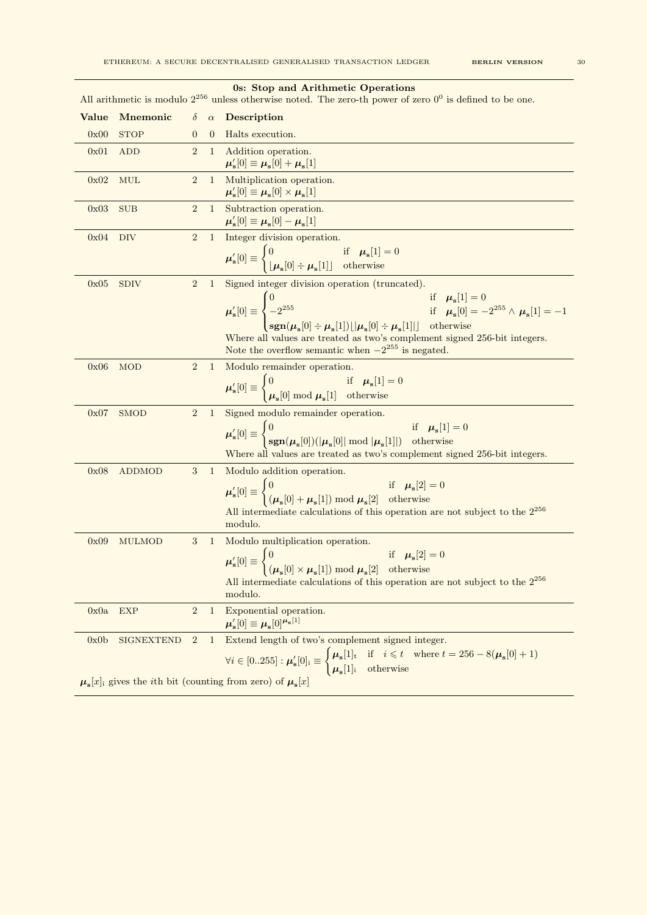<span id="page-29-0"></span>

|                                                                                                                                                                                                                                                                                                                                                                                                                                                                                                                        | 0s: Stop and Arithmetic Operations<br>All arithmetic is modulo $2^{256}$ unless otherwise noted. The zero-th power of zero $0^0$ is defined to be one. |                |                |                                                                                                                                                                                                                                                                                                                                                                                                                                                                                                                                  |  |  |
|------------------------------------------------------------------------------------------------------------------------------------------------------------------------------------------------------------------------------------------------------------------------------------------------------------------------------------------------------------------------------------------------------------------------------------------------------------------------------------------------------------------------|--------------------------------------------------------------------------------------------------------------------------------------------------------|----------------|----------------|----------------------------------------------------------------------------------------------------------------------------------------------------------------------------------------------------------------------------------------------------------------------------------------------------------------------------------------------------------------------------------------------------------------------------------------------------------------------------------------------------------------------------------|--|--|
| <b>Value</b><br>Mnemonic<br>Description<br>$\delta$<br>$\alpha$                                                                                                                                                                                                                                                                                                                                                                                                                                                        |                                                                                                                                                        |                |                |                                                                                                                                                                                                                                                                                                                                                                                                                                                                                                                                  |  |  |
| 0x00                                                                                                                                                                                                                                                                                                                                                                                                                                                                                                                   | <b>STOP</b>                                                                                                                                            | $\theta$       | $\overline{0}$ | Halts execution.                                                                                                                                                                                                                                                                                                                                                                                                                                                                                                                 |  |  |
| 0x01                                                                                                                                                                                                                                                                                                                                                                                                                                                                                                                   | ADD                                                                                                                                                    | $\overline{2}$ | $\mathbf{1}$   | Addition operation.<br>$\mu'_s[0] \equiv \mu_s[0] + \mu_s[1]$                                                                                                                                                                                                                                                                                                                                                                                                                                                                    |  |  |
| 0x02                                                                                                                                                                                                                                                                                                                                                                                                                                                                                                                   | <b>MUL</b>                                                                                                                                             | $\overline{2}$ | $\mathbf{1}$   | Multiplication operation.<br>$\mu'_{\rm s}[0] \equiv \mu_{\rm s}[0] \times \mu_{\rm s}[1]$                                                                                                                                                                                                                                                                                                                                                                                                                                       |  |  |
| 0x03                                                                                                                                                                                                                                                                                                                                                                                                                                                                                                                   | <b>SUB</b>                                                                                                                                             | $\overline{2}$ |                | 1 Subtraction operation.<br>$\mu'_{\rm s}[0] \equiv \mu_{\rm s}[0] - \mu_{\rm s}[1]$                                                                                                                                                                                                                                                                                                                                                                                                                                             |  |  |
| 0x04                                                                                                                                                                                                                                                                                                                                                                                                                                                                                                                   | <b>DIV</b>                                                                                                                                             | 2              | $\mathbf{1}$   | Integer division operation.<br>$\mu'_s[0] \equiv \begin{cases} 0 & \text{if } \mu_s[1] = 0 \\ \lfloor \mu_s[0] \div \mu_s[1] \rfloor & \text{otherwise} \end{cases}$                                                                                                                                                                                                                                                                                                                                                             |  |  |
| 0x05                                                                                                                                                                                                                                                                                                                                                                                                                                                                                                                   | <b>SDIV</b>                                                                                                                                            | $\overline{2}$ | $\mathbf{1}$   | Signed integer division operation (truncated).<br>$\mu_{\mathbf{s}}'[0] \equiv \begin{cases} 0 & \text{if} \quad \mu_{\mathbf{s}}[1] = 0 \\ -2^{255} & \text{if} \quad \mu_{\mathbf{s}}[0] = -2^{255} \wedge \mu_{\mathbf{s}}[1] = -1 \\ \text{sgn}(\mu_{\mathbf{s}}[0] \div \mu_{\mathbf{s}}[1]) \lfloor  \mu_{\mathbf{s}}[0] \div \mu_{\mathbf{s}}[1] ] & \text{otherwise} \end{cases}$<br>Where all values are treated as two's complement signed 256-bit integers.<br>Note the overflow semantic when $-2^{255}$ is negated. |  |  |
| 0x06                                                                                                                                                                                                                                                                                                                                                                                                                                                                                                                   | <b>MOD</b>                                                                                                                                             | $\sqrt{2}$     | $\mathbf{1}$   | Modulo remainder operation.<br>$\pmb{\mu}_\mathbf{s}'[0] \equiv \begin{cases} 0 & \text{if} \quad \pmb{\mu}_\mathbf{s}[1] = 0 \\ \pmb{\mu}_\mathbf{s}[0] \bmod \pmb{\mu}_\mathbf{s}[1] & \text{otherwise} \end{cases}$                                                                                                                                                                                                                                                                                                           |  |  |
| 0x07                                                                                                                                                                                                                                                                                                                                                                                                                                                                                                                   | <b>SMOD</b>                                                                                                                                            | $\overline{2}$ | $\mathbf{1}$   | Signed modulo remainder operation.<br>$\boldsymbol{\mu}_s'[0] \equiv \begin{cases} 0 & \text{if} \quad \boldsymbol{\mu}_s[1] = 0 \\ \mathrm{\mathbf{sgn}}(\boldsymbol{\mu}_s[0]) ( \boldsymbol{\mu}_s[0]  \bmod  \boldsymbol{\mu}_s[1] ) & \text{otherwise} \end{cases}$<br>Where all values are treated as two's complement signed 256-bit integers.                                                                                                                                                                            |  |  |
| 0x08                                                                                                                                                                                                                                                                                                                                                                                                                                                                                                                   | <b>ADDMOD</b>                                                                                                                                          | 3              | $\mathbf{1}$   | Modulo addition operation.<br>$\pmb{\mu}_\mathbf{s}'[0] \equiv \begin{cases} 0 & \text{if} \quad \pmb{\mu}_\mathbf{s}[2] = 0 \\ (\pmb{\mu}_\mathbf{s}[0] + \pmb{\mu}_\mathbf{s}[1]) \bmod \pmb{\mu}_\mathbf{s}[2] & \text{otherwise} \end{cases}$<br>All intermediate calculations of this operation are not subject to the $2^{256}$<br>modulo.                                                                                                                                                                                 |  |  |
| 0x09                                                                                                                                                                                                                                                                                                                                                                                                                                                                                                                   | <b>MULMOD</b>                                                                                                                                          | 3              | $\mathbf{1}$   | Modulo multiplication operation.<br>$\pmb{\mu}_\mathbf{s}'[0] \equiv \begin{cases} 0 & \text{if} \quad \pmb{\mu}_\mathbf{s}[2] = 0 \\ (\pmb{\mu}_\mathbf{s}[0] \times \pmb{\mu}_\mathbf{s}[1]) \bmod \pmb{\mu}_\mathbf{s}[2] & \text{otherwise} \end{cases}$<br>All intermediate calculations of this operation are not subject to the $2^{256}$<br>modulo.                                                                                                                                                                      |  |  |
| 0x0a                                                                                                                                                                                                                                                                                                                                                                                                                                                                                                                   | <b>EXP</b>                                                                                                                                             | $\sqrt{2}$     | $\mathbf{1}$   | Exponential operation.<br>$\mu'_s[0] \equiv \mu_s[0]^{\mu_s[1]}$                                                                                                                                                                                                                                                                                                                                                                                                                                                                 |  |  |
| Extend length of two's complement signed integer.<br>0x0b<br>$\overline{2}$<br><b>SIGNEXTEND</b><br>$\mathbf{1}$<br>$\forall i \in [0255] : \boldsymbol{\mu}'_\mathbf{s}[0]_i \equiv \begin{cases} \boldsymbol{\mu}_\mathbf{s}[1]_\mathbf{t} & \text{if} \quad i \leqslant t \quad \text{where} \ t = 256 - 8(\boldsymbol{\mu}_\mathbf{s}[0] + 1) \\ \boldsymbol{\mu}_\mathbf{s}[1]_i & \text{otherwise} \end{cases}$<br>$\mu_{\mathbf{s}}[x]$ gives the <i>i</i> th bit (counting from zero) of $\mu_{\mathbf{s}}[x]$ |                                                                                                                                                        |                |                |                                                                                                                                                                                                                                                                                                                                                                                                                                                                                                                                  |  |  |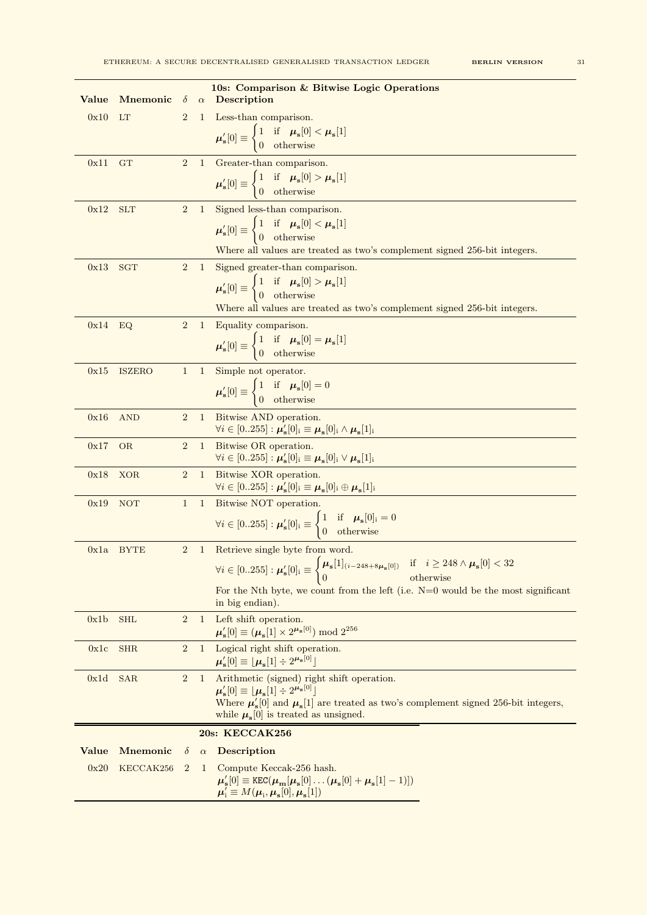| <b>Value</b> | Mnemonic      | $\delta$       | $\alpha$     | 10s: Comparison & Bitwise Logic Operations<br>Description                                                                                                                                                                                                                        |
|--------------|---------------|----------------|--------------|----------------------------------------------------------------------------------------------------------------------------------------------------------------------------------------------------------------------------------------------------------------------------------|
| 0x10         | LT            | $\overline{2}$ | 1            | Less-than comparison.                                                                                                                                                                                                                                                            |
|              |               |                |              | $\mu'_s[0] \equiv \begin{cases} 1 & \text{if } \mu_s[0] < \mu_s[1] \\ 0 & \text{otherwise} \end{cases}$                                                                                                                                                                          |
| 0x11         | GT            | $\overline{2}$ | $\mathbf{1}$ | Greater-than comparison.<br>$\mu'_{s}[0] \equiv \begin{cases} 1 & \text{if } \mu_{s}[0] > \mu_{s}[1] \\ 0 & \text{otherwise} \end{cases}$                                                                                                                                        |
| 0x12         | <b>SLT</b>    | 2              | $\mathbf{1}$ | Signed less-than comparison.                                                                                                                                                                                                                                                     |
|              |               |                |              | $\mu'_s[0] \equiv \begin{cases} 1 & \text{if } \mu_s[0] < \mu_s[1] \\ 0 & \text{otherwise} \end{cases}$<br>Where all values are treated as two's complement signed 256-bit integers.                                                                                             |
| 0x13         | SGT           | $\overline{2}$ | 1            | Signed greater-than comparison.                                                                                                                                                                                                                                                  |
|              |               |                |              | $\mu'_{s}[0] \equiv \begin{cases} 1 & \text{if } \mu_{s}[0] > \mu_{s}[1] \\ 0 & \text{otherwise} \end{cases}$<br>Where all values are treated as two's complement signed 256-bit integers.                                                                                       |
| 0x14         | EQ            | $\overline{2}$ | 1            | Equality comparison                                                                                                                                                                                                                                                              |
|              |               |                |              | $\mu'_{s}[0] \equiv \begin{cases} 1 & \text{if } \mu_{s}[0] = \mu_{s}[1] \\ 0 & \text{otherwise} \end{cases}$                                                                                                                                                                    |
| 0x15         | <b>ISZERO</b> | $\mathbf{1}$   | 1            | Simple not operator.<br>$\mu'_s[0] \equiv \begin{cases} 1 & \text{if } \mu_s[0] = 0 \\ 0 & \text{otherwise} \end{cases}$                                                                                                                                                         |
| 0x16         | <b>AND</b>    | $\overline{2}$ | $\mathbf{1}$ | Bitwise AND operation.<br>$\forall i \in [0255] : \boldsymbol{\mu}_s'[0]_i \equiv \boldsymbol{\mu}_s[0]_i \wedge \boldsymbol{\mu}_s[1]_i$                                                                                                                                        |
| 0x17         | <b>OR</b>     | $\overline{2}$ | $\mathbf{1}$ | Bitwise OR operation.<br>$\forall i \in [0255] : \boldsymbol{\mu}'_{\mathbf{s}}[0]_i \equiv \boldsymbol{\mu}_\mathbf{s}[0]_i \vee \boldsymbol{\mu}_\mathbf{s}[1]_i$                                                                                                              |
| 0x18         | <b>XOR</b>    | $\overline{2}$ | $\mathbf 1$  | Bitwise XOR operation.<br>$\forall i \in [0255] : \boldsymbol{\mu}'_{\mathbf{s}}[0]_i \equiv \boldsymbol{\mu}_\mathbf{s}[0]_i \oplus \boldsymbol{\mu}_\mathbf{s}[1]_i$                                                                                                           |
| 0x19         | <b>NOT</b>    | $\mathbf{1}$   | 1            | Bitwise NOT operation.                                                                                                                                                                                                                                                           |
|              |               |                |              | $\forall i \in [0255] : \mu'_{s}[0]_i \equiv \begin{cases} 1 & \text{if } \mu_{s}[0]_i = 0 \\ 0 & \text{otherwise} \end{cases}$                                                                                                                                                  |
| 0x1a         | <b>BYTE</b>   | $\overline{2}$ | $\mathbf{1}$ | Retrieve single byte from word.                                                                                                                                                                                                                                                  |
|              |               |                |              | $\forall i \in [0255] : \boldsymbol{\mu}'_{\mathbf{s}}[0]_i \equiv \begin{cases} \boldsymbol{\mu}_\mathbf{s}[1]_{(i-248+8\mu_\mathbf{s}[0])} & \text{if } \hspace{0.1cm} i \geq 248 \wedge \boldsymbol{\mu}_\mathbf{s}[0] < 32 \\ 0 & \text{otherwise} \end{cases}$<br>otherwise |
|              |               |                |              | For the Nth byte, we count from the left (i.e. $N=0$ would be the most significant<br>in big endian).                                                                                                                                                                            |
| 0x1b         | <b>SHL</b>    | $\overline{2}$ | 1            | Left shift operation.                                                                                                                                                                                                                                                            |
|              |               |                |              | $\pmb{\mu}_\mathbf{s}'[0] \equiv (\pmb{\mu}_\mathbf{s}[1] \times 2^{\pmb{\mu}_\mathbf{s}[0]}) \bmod 2^{256}$                                                                                                                                                                     |
| 0x1c         | <b>SHR</b>    | $\overline{2}$ | 1            | Logical right shift operation.<br>$\mu'_{s}[0] \equiv  \mu_{s}[1] \div 2^{\mu_{s}[0]} $                                                                                                                                                                                          |
| 0x1d         | <b>SAR</b>    | $\overline{2}$ | 1            | Arithmetic (signed) right shift operation.<br>$\mu_{\rm s}'[0] \equiv  \mu_{\rm s}[1] \div 2^{\mu_{\rm s}[0]} $<br>Where $\mu'_{s}[0]$ and $\mu_{s}[1]$ are treated as two's complement signed 256-bit integers,<br>while $\mu_{\rm s}[0]$ is treated as unsigned.               |
|              |               |                |              | 20s: KECCAK256                                                                                                                                                                                                                                                                   |
| <b>Value</b> | Mnemonic      | $\delta$       | $\alpha$     | <b>Description</b>                                                                                                                                                                                                                                                               |
| 0x20         | KECCAK256     | $\overline{2}$ | 1            | Compute Keccak-256 hash.                                                                                                                                                                                                                                                         |
|              |               |                |              | $\boldsymbol{\mu}_s'[0] \equiv \text{KEC}(\boldsymbol{\mu}_m[\boldsymbol{\mu}_s[0] \dots (\boldsymbol{\mu}_s[0] + \boldsymbol{\mu}_s[1]-1)])$<br>$\mu'_i \equiv M(\mu_i, \mu_s[0], \mu_s[1])$                                                                                    |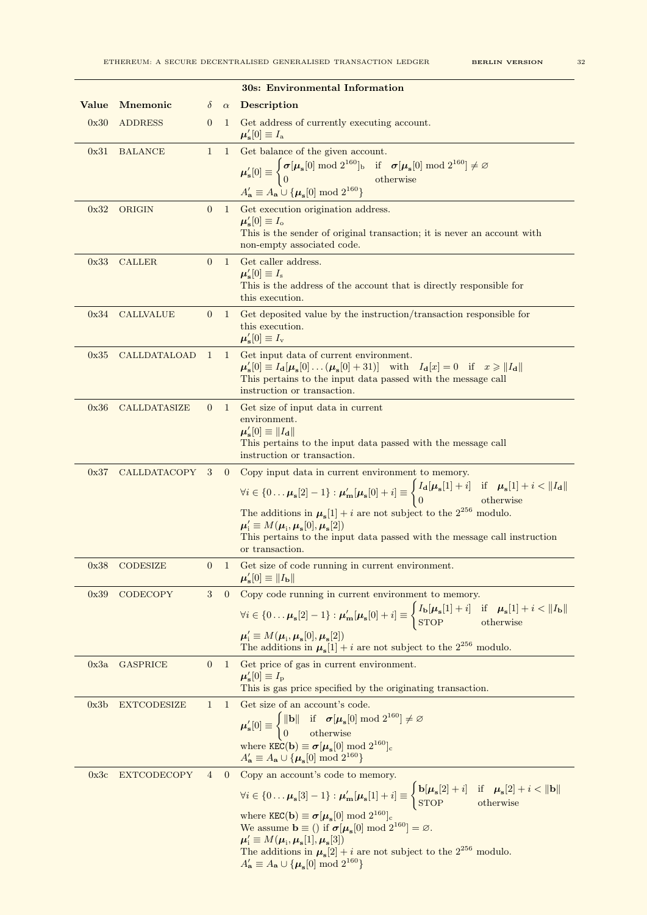|              |                     |                |                | 30s: Environmental Information                                                                                                                                                                                                                                                                                                                                                                                                                                                                                                                                                                                                                                                                                              |
|--------------|---------------------|----------------|----------------|-----------------------------------------------------------------------------------------------------------------------------------------------------------------------------------------------------------------------------------------------------------------------------------------------------------------------------------------------------------------------------------------------------------------------------------------------------------------------------------------------------------------------------------------------------------------------------------------------------------------------------------------------------------------------------------------------------------------------------|
| <b>Value</b> | Mnemonic            | δ              | $\alpha$       | <b>Description</b>                                                                                                                                                                                                                                                                                                                                                                                                                                                                                                                                                                                                                                                                                                          |
| 0x30         | <b>ADDRESS</b>      | $\overline{0}$ | $\mathbf{1}$   | Get address of currently executing account.<br>$\mu'_{\rm s}[0] \equiv I_{\rm a}$                                                                                                                                                                                                                                                                                                                                                                                                                                                                                                                                                                                                                                           |
| 0x31         | <b>BALANCE</b>      | $\mathbf{1}$   | $\mathbf{1}$   | Get balance of the given account.<br>$\boldsymbol{\mu}_s'[0] \equiv \begin{cases} \boldsymbol{\sigma}[\boldsymbol{\mu}_s[0] \bmod 2^{160}]_b & \text{if } \boldsymbol{\sigma}[\boldsymbol{\mu}_s[0] \bmod 2^{160}] \neq \varnothing \\ 0 & \text{otherwise} \end{cases}$<br>$A'_a \equiv A_a \cup {\mu_s[0] \bmod 2^{160}}$                                                                                                                                                                                                                                                                                                                                                                                                 |
| 0x32         | ORIGIN              | $\overline{0}$ | $\mathbf{1}$   | Get execution origination address.<br>$\mu'_{\rm s}[0] \equiv I_{\rm o}$<br>This is the sender of original transaction; it is never an account with<br>non-empty associated code.                                                                                                                                                                                                                                                                                                                                                                                                                                                                                                                                           |
| 0x33         | <b>CALLER</b>       | $\overline{0}$ | $\mathbf{1}$   | Get caller address.<br>$\mu'_{\rm s}[0] \equiv I_{\rm s}$<br>This is the address of the account that is directly responsible for<br>this execution.                                                                                                                                                                                                                                                                                                                                                                                                                                                                                                                                                                         |
| 0x34         | <b>CALLVALUE</b>    | $\overline{0}$ | $\mathbf{1}$   | Get deposited value by the instruction/transaction responsible for<br>this execution.<br>$\mu'_{\rm s}[0] \equiv I_{\rm v}$                                                                                                                                                                                                                                                                                                                                                                                                                                                                                                                                                                                                 |
| 0x35         | CALLDATALOAD        | 1              | 1              | Get input data of current environment.<br>$\mu'_{\mathbf{s}}[0] \equiv I_{\mathbf{d}}[\mu_{\mathbf{s}}[0] \dots (\mu_{\mathbf{s}}[0] + 31)]$ with $I_{\mathbf{d}}[x] = 0$ if $x \ge   I_{\mathbf{d}}  $<br>This pertains to the input data passed with the message call<br>instruction or transaction.                                                                                                                                                                                                                                                                                                                                                                                                                      |
| 0x36         | CALLDATASIZE        | $\overline{0}$ | 1              | Get size of input data in current<br>environment.<br>$\mu'_{\rm s}[0] \equiv   I_{\rm d}  $<br>This pertains to the input data passed with the message call<br>instruction or transaction.                                                                                                                                                                                                                                                                                                                                                                                                                                                                                                                                  |
| 0x37         | <b>CALLDATACOPY</b> | 3              | $\theta$       | Copy input data in current environment to memory.<br>$\forall i \in \{0 \ldots \boldsymbol{\mu}_\mathbf{s}[2]-1\}: \boldsymbol{\mu}_\mathbf{m}'[\boldsymbol{\mu}_\mathbf{s}[0]+i] \equiv \begin{cases} I_\mathbf{d}[\boldsymbol{\mu}_\mathbf{s}[1]+i] & \text{if} \quad \boldsymbol{\mu}_\mathbf{s}[1]+i<\ I_\mathbf{d}\  \\ 0 & \text{otherwise} \end{cases}$<br>The additions in $\mu_s[1] + i$ are not subject to the $2^{256}$ modulo.<br>$\mu'_i \equiv M(\mu_i, \mu_s[0], \mu_s[2])$<br>This pertains to the input data passed with the message call instruction<br>or transaction.                                                                                                                                   |
| 0x38         | <b>CODESIZE</b>     |                |                | Get size of code running in current environment.<br>$\mu'_{\rm s}[0] \equiv   I_{\rm b}  $                                                                                                                                                                                                                                                                                                                                                                                                                                                                                                                                                                                                                                  |
| 0x39         | <b>CODECOPY</b>     | 3              | $\overline{0}$ | Copy code running in current environment to memory.<br>$\forall i \in \{0 \ldots \boldsymbol{\mu_{\mathrm{s}}}[2]-1\}: \boldsymbol{\mu_{\mathrm{m}^{'}}}[\boldsymbol{\mu_{\mathrm{s}}}[0]+i] \equiv \begin{cases} I_{\mathrm{b}}[\boldsymbol{\mu_{\mathrm{s}}}[1]+i] & \text{if} \quad \boldsymbol{\mu_{\mathrm{s}}}[1]+i < \ I_{\mathrm{b}}\  \\ \text{STOP} & \text{otherwise} \end{cases}$<br>$\mu'_i \equiv M(\mu_i, \mu_s[0], \mu_s[2])$<br>The additions in $\mu_s[1] + i$ are not subject to the $2^{256}$ modulo.                                                                                                                                                                                                   |
| 0x3a         | <b>GASPRICE</b>     | $\overline{0}$ | 1              | Get price of gas in current environment.<br>$\mu'_{\rm s}[0] \equiv I_{\rm p}$<br>This is gas price specified by the originating transaction.                                                                                                                                                                                                                                                                                                                                                                                                                                                                                                                                                                               |
| 0x3b         | <b>EXTCODESIZE</b>  | $\mathbf{1}$   | 1              | Get size of an account's code.<br>$\boldsymbol{\mu}_s'[0] \equiv \begin{cases} \ \mathbf{b}\  & \text{if } \sigma[\boldsymbol{\mu}_s[0] \bmod 2^{160}] \neq \varnothing \\ 0 & \text{otherwise} \end{cases}$<br>$\begin{array}{l} {\rm where} \,\, \texttt{KEC}({\bf b}) \equiv \boldsymbol{\sigma}[\boldsymbol{\mu_s}[0] \,\, \text{mod}\,\, 2^{160}]_{\rm c} \\ A^\prime_{\bf a} \equiv A_{\bf a} \cup \{\boldsymbol{\mu_s}[0] \,\, \text{mod}\,\, 2^{160}\} \end{array}$                                                                                                                                                                                                                                                 |
| 0x3c         | <b>EXTCODECOPY</b>  | 4              | $\overline{0}$ | Copy an account's code to memory.<br>$\forall i \in \{0 \dots \boldsymbol{\mu_s}[3]-1\}: \boldsymbol{\mu_m'}[\boldsymbol{\mu_s}[1]+i] \equiv \begin{cases} \mathbf{b}[\boldsymbol{\mu_s}[2]+i] & \text{if} \quad \boldsymbol{\mu_s}[2]+i < \ \mathbf{b}\  \\ \text{STOP} & \text{otherwise} \end{cases}$<br>where $\text{KEC}(\mathbf{b}) \equiv \boldsymbol{\sigma}[\boldsymbol{\mu}_{\mathbf{s}}[0] \bmod 2^{160}]_c$<br>We assume $\mathbf{b} \equiv$ () if $\boldsymbol{\sigma}[\boldsymbol{\mu}_s[0] \bmod 2^{160}] = \varnothing$ .<br>$\mu'_i \equiv M(\mu_i, \mu_s[1], \mu_s[3])$<br>The additions in $\mu_s[2] + i$ are not subject to the $2^{256}$ modulo.<br>$A'_a \equiv A_a \cup \{\mu_s[0] \bmod 2^{160}\}\$ |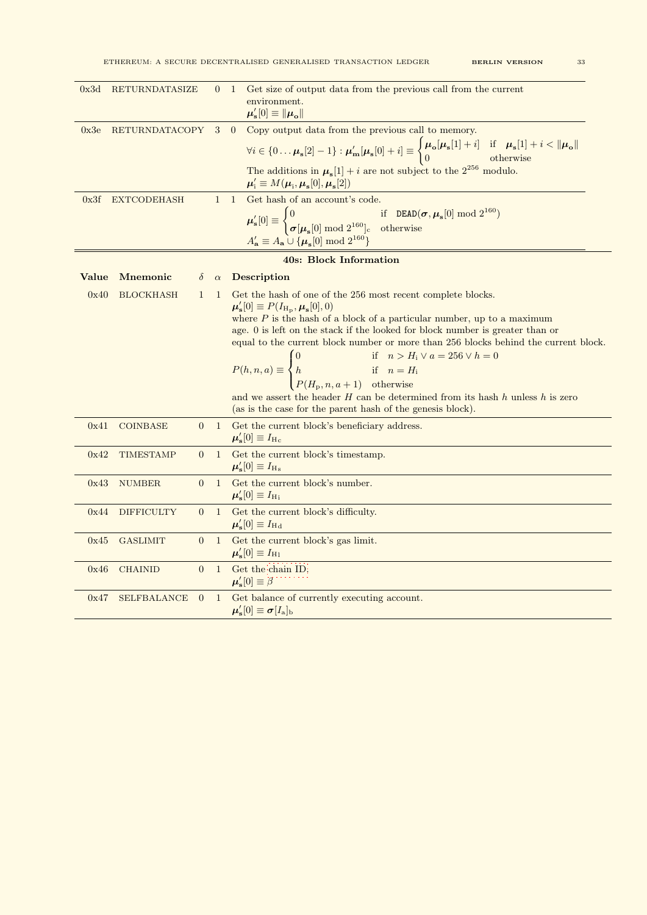<span id="page-32-0"></span>

| 0x3d  | RETURNDATASIZE        |                | $\overline{0}$ |                | 1 Get size of output data from the previous call from the current<br>environment.<br>$\mu'_{\rm s}[0] \equiv \ \mu_{\rm o}\ $                                                                                                                                                                                                                                                                                                                                                                                                                                                                                                                                                                                                                                    |
|-------|-----------------------|----------------|----------------|----------------|------------------------------------------------------------------------------------------------------------------------------------------------------------------------------------------------------------------------------------------------------------------------------------------------------------------------------------------------------------------------------------------------------------------------------------------------------------------------------------------------------------------------------------------------------------------------------------------------------------------------------------------------------------------------------------------------------------------------------------------------------------------|
| 0x3e  | <b>RETURNDATACOPY</b> |                | 3              | $\overline{0}$ | Copy output data from the previous call to memory.                                                                                                                                                                                                                                                                                                                                                                                                                                                                                                                                                                                                                                                                                                               |
|       |                       |                |                |                | $\forall i \in \{0 \dots \mu_s[2]-1\}: \mu'_m[\mu_s[0]+i] \equiv \begin{cases} \mu_o[\mu_s[1]+i] & \text{if} \quad \mu_s[1]+i < \ \mu_o\  \\ 0 & \text{otherwise} \end{cases}$<br>The additions in $\mu_s[1]+i$ are not subject to the<br>$2^{256}$ modulo.                                                                                                                                                                                                                                                                                                                                                                                                                                                                                                      |
|       |                       |                |                |                | $\boldsymbol{\mu}'_i \equiv M(\boldsymbol{\mu}_i, \boldsymbol{\mu}_s[0], \boldsymbol{\mu}_s[2])$                                                                                                                                                                                                                                                                                                                                                                                                                                                                                                                                                                                                                                                                 |
| 0x3f  | <b>EXTCODEHASH</b>    |                | $\mathbf{1}$   | $\mathbf{1}$   | Get hash of an account's code.<br>$\begin{array}{l} {\pmb{\mu}}'_{\mathbf{s}}[0] \equiv \begin{cases} 0 & \text{if} \quad \mathtt{DEAD}({\pmb{\sigma}},{\pmb{\mu}}_{\mathbf{s}}[0]\bmod 2^{160}) \\ {\pmb{\sigma}}[{\pmb{\mu}}_{\mathbf{s}}[0]\bmod 2^{160}]_{\rm c} & \text{otherwise} \end{cases} \\ A'_{\mathbf{a}} \equiv A_{\mathbf{a}} \cup \{ {\pmb{\mu}}_{\mathbf{s}}[0]\bmod 2^{160}\} \end{array} \label{eq:4}$                                                                                                                                                                                                                                                                                                                                        |
|       |                       |                |                |                | 40s: Block Information                                                                                                                                                                                                                                                                                                                                                                                                                                                                                                                                                                                                                                                                                                                                           |
| Value | Mnemonic              | δ              | $\alpha$       |                | Description                                                                                                                                                                                                                                                                                                                                                                                                                                                                                                                                                                                                                                                                                                                                                      |
| 0x40  | <b>BLOCKHASH</b>      | $\mathbf{1}$   | $\mathbf{1}$   |                | Get the hash of one of the 256 most recent complete blocks.<br>$\mu_{\mathbf{s}}'[0] \equiv P(I_{\mathrm{H}_{\mathrm{p}}}, \mu_{\mathbf{s}}[0], 0)$<br>where $P$ is the hash of a block of a particular number, up to a maximum<br>age. 0 is left on the stack if the looked for block number is greater than or<br>equal to the current block number or more than 256 blocks behind the current block.<br>$P(h,n,a) \equiv \begin{cases} 0 & \text{if} \quad n>H_{\mathrm{i}} \vee a = 256 \vee h = 0 \\ h & \text{if} \quad n = H_{\mathrm{i}} \\ P(H_{\mathrm{p}},n,a+1) & \text{otherwise} \end{cases}$<br>and we assert the header $H$ can be determined from its hash $h$ unless $h$ is zero<br>(as is the case for the parent hash of the genesis block). |
| 0x41  | <b>COINBASE</b>       | $\overline{0}$ |                |                | 1 Get the current block's beneficiary address.<br>$\mu'_{\rm s}[0] \equiv I_{\rm He}$                                                                                                                                                                                                                                                                                                                                                                                                                                                                                                                                                                                                                                                                            |
| 0x42  | <b>TIMESTAMP</b>      | $\overline{0}$ | $\overline{1}$ |                | Get the current block's timestamp.<br>$\mu'_{\rm s}[0] \equiv I_{\rm H_s}$                                                                                                                                                                                                                                                                                                                                                                                                                                                                                                                                                                                                                                                                                       |
| 0x43  | <b>NUMBER</b>         | $\Omega$       | $\mathbf{1}$   |                | Get the current block's number.<br>$\mu'_{\rm s}[0] \equiv I_{\rm Hi}$                                                                                                                                                                                                                                                                                                                                                                                                                                                                                                                                                                                                                                                                                           |
| 0x44  | <b>DIFFICULTY</b>     | $\Omega$       | $\overline{1}$ |                | Get the current block's difficulty.<br>$\mu_{\rm s}'[0] \equiv I_{\rm Hd}$                                                                                                                                                                                                                                                                                                                                                                                                                                                                                                                                                                                                                                                                                       |
| 0x45  | <b>GASLIMIT</b>       | $\overline{0}$ | $\overline{1}$ |                | Get the current block's gas limit.<br>$\mu_{\rm s}'[0] \equiv I_{\rm H1}$                                                                                                                                                                                                                                                                                                                                                                                                                                                                                                                                                                                                                                                                                        |
| 0x46  | <b>CHAINID</b>        | $\overline{0}$ | $\mathbf{1}$   |                | Get the chain ID.<br>$\mu'_s[0] \equiv \beta$                                                                                                                                                                                                                                                                                                                                                                                                                                                                                                                                                                                                                                                                                                                    |
| 0x47  | <b>SELFBALANCE</b>    | $\overline{0}$ | 1              |                | Get balance of currently executing account.<br>$\mu'_s[0] \equiv \sigma[I_a]_b$                                                                                                                                                                                                                                                                                                                                                                                                                                                                                                                                                                                                                                                                                  |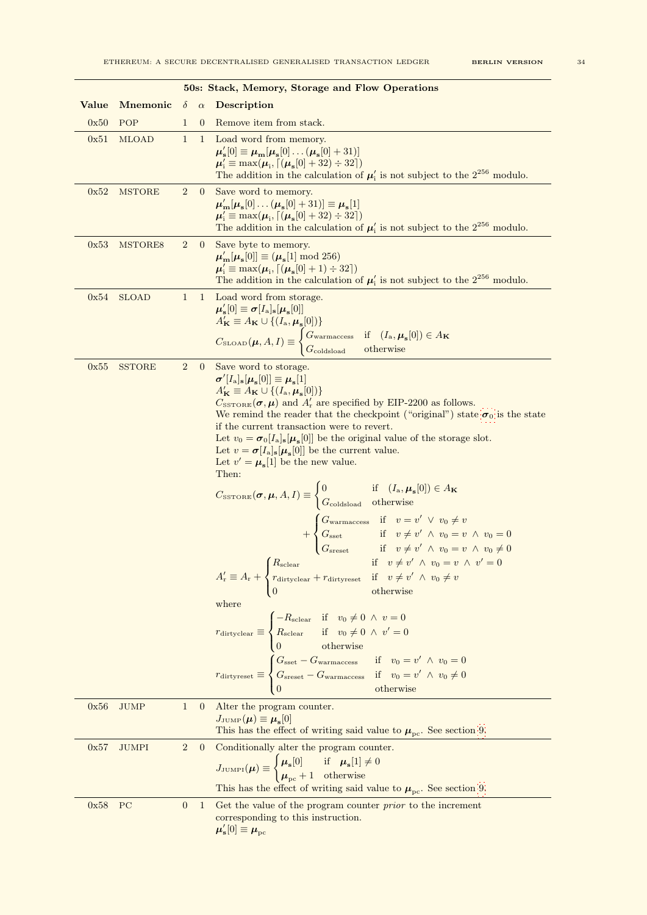<span id="page-33-3"></span><span id="page-33-2"></span><span id="page-33-1"></span><span id="page-33-0"></span>

|              |                           | 50s: Stack, Memory, Storage and Flow Operations |                |                                                                                                                                                                                                                                                                                                                                                                                                                                                                                                                                                                                                                                                                                                                                                                                                                                                                                                                                                                                                                                                                                                                                                                                                                                                                                                                                                                                                                                                                                                                                                                                                                                                                                                                                                                                                                                                                                                                                                 |  |  |
|--------------|---------------------------|-------------------------------------------------|----------------|-------------------------------------------------------------------------------------------------------------------------------------------------------------------------------------------------------------------------------------------------------------------------------------------------------------------------------------------------------------------------------------------------------------------------------------------------------------------------------------------------------------------------------------------------------------------------------------------------------------------------------------------------------------------------------------------------------------------------------------------------------------------------------------------------------------------------------------------------------------------------------------------------------------------------------------------------------------------------------------------------------------------------------------------------------------------------------------------------------------------------------------------------------------------------------------------------------------------------------------------------------------------------------------------------------------------------------------------------------------------------------------------------------------------------------------------------------------------------------------------------------------------------------------------------------------------------------------------------------------------------------------------------------------------------------------------------------------------------------------------------------------------------------------------------------------------------------------------------------------------------------------------------------------------------------------------------|--|--|
| <b>Value</b> | <b>M</b> nemonic $\delta$ |                                                 | $\alpha$       | Description                                                                                                                                                                                                                                                                                                                                                                                                                                                                                                                                                                                                                                                                                                                                                                                                                                                                                                                                                                                                                                                                                                                                                                                                                                                                                                                                                                                                                                                                                                                                                                                                                                                                                                                                                                                                                                                                                                                                     |  |  |
| 0x50         | <b>POP</b>                | 1                                               | $\theta$       | Remove item from stack.                                                                                                                                                                                                                                                                                                                                                                                                                                                                                                                                                                                                                                                                                                                                                                                                                                                                                                                                                                                                                                                                                                                                                                                                                                                                                                                                                                                                                                                                                                                                                                                                                                                                                                                                                                                                                                                                                                                         |  |  |
| 0x51         | <b>MLOAD</b>              | $\mathbf{1}$                                    | $\mathbf{1}$   | Load word from memory.<br>$\mu'_s[0] \equiv \mu_{\rm m}[\mu_s[0] \dots (\mu_s[0] + 31)]$<br>$\mu'_i \equiv \max(\mu_i, \lceil (\mu_s[0] + 32) \div 32 \rceil)$<br>The addition in the calculation of $\mu'_i$ is not subject to the $2^{256}$ modulo.                                                                                                                                                                                                                                                                                                                                                                                                                                                                                                                                                                                                                                                                                                                                                                                                                                                                                                                                                                                                                                                                                                                                                                                                                                                                                                                                                                                                                                                                                                                                                                                                                                                                                           |  |  |
| 0x52         | <b>MSTORE</b>             | $\overline{2}$                                  | $\overline{0}$ | Save word to memory.<br>$\mu'_{\mathbf{m}}[\mu_{\mathbf{s}}[0] \dots (\mu_{\mathbf{s}}[0] + 31)] \equiv \mu_{\mathbf{s}}[1]$<br>$\mu'_i \equiv \max(\mu_i, \lceil (\mu_s[0] + 32) \div 32 \rceil)$<br>The addition in the calculation of $\mu'_i$ is not subject to the $2^{256}$ modulo.                                                                                                                                                                                                                                                                                                                                                                                                                                                                                                                                                                                                                                                                                                                                                                                                                                                                                                                                                                                                                                                                                                                                                                                                                                                                                                                                                                                                                                                                                                                                                                                                                                                       |  |  |
| 0x53         | MSTORE8                   | $\overline{2}$                                  | $\overline{0}$ | Save byte to memory.<br>$\mu'_{\rm m}[\mu_{\rm s}[0]] \equiv (\mu_{\rm s}[1] \bmod 256)$<br>$\mu'_i \equiv \max(\mu_i, \lceil (\mu_s[0]+1) \div 32 \rceil)$<br>The addition in the calculation of $\mu'_i$ is not subject to the $2^{256}$ modulo.                                                                                                                                                                                                                                                                                                                                                                                                                                                                                                                                                                                                                                                                                                                                                                                                                                                                                                                                                                                                                                                                                                                                                                                                                                                                                                                                                                                                                                                                                                                                                                                                                                                                                              |  |  |
| 0x54         | <b>SLOAD</b>              | 1                                               | $\mathbf{1}$   | Load word from storage.<br>$\mu'_s[0] \equiv \sigma[I_a]_s[\mu_s[0]]$<br>$A'_{\mathbf{K}} \equiv A_{\mathbf{K}} \cup \{(I_{\mathbf{a}}, \mu_{\mathbf{s}}[0])\}$<br>$C_{\text{SLOAD}}(\mu, A, I) \equiv \begin{cases} G_{\text{warmaccess}} & \text{if} \quad (I_{\text{a}}, \mu_{\text{s}}[0]) \in A_{\text{K}} \\ G_{\text{coldsload}} & \text{otherwise} \end{cases}$                                                                                                                                                                                                                                                                                                                                                                                                                                                                                                                                                                                                                                                                                                                                                                                                                                                                                                                                                                                                                                                                                                                                                                                                                                                                                                                                                                                                                                                                                                                                                                         |  |  |
| 0x55         | <b>SSTORE</b>             | $\overline{2}$                                  | $\overline{0}$ | Save word to storage.<br>$\sigma'[I_{\rm a}]_{\rm s}[\mu_{\rm s}[0]] \equiv \mu_{\rm s}[1]$<br>$A'_{\mathbf{K}} \equiv A_{\mathbf{K}} \cup \{(I_{\mathbf{a}}, \boldsymbol{\mu}_{\mathbf{s}}[0])\}$<br>$C_{\text{SSTORE}}(\sigma, \mu)$ and $A'_{\text{r}}$ are specified by EIP-2200 as follows.<br>We remind the reader that the checkpoint ("original") state $\sigma_0$ is the state<br>if the current transaction were to revert.<br>Let $v_0 = \sigma_0[I_{\rm a}]$ , $[\mu_{\rm s}[0]]$ be the original value of the storage slot.<br>Let $v = \sigma[I_{\rm a}]_{\rm s}[\mu_{\rm s}[0]]$ be the current value.<br>Let $v' = \mu_{s}[1]$ be the new value.<br>Then:<br>$C_{\text{SSTORE}}(\sigma, \mu, A, I) \equiv \begin{cases} 0 & \text{if} \quad (I_{\mathbf{a}}, \mu_{\mathbf{s}}[0]) \in A_{\mathbf{K}} \\ G_{\text{cold}} & \text{otherwise} \end{cases}$<br>$+ \begin{cases} G_{\text{warmaccess}} & \text{if} \quad v = v' \ \lor \ v_0 \neq v \\ G_{\text{sset}} & \text{if} \quad v \neq v' \ \land \ v_0 = v \ \land \ v_0 = 0 \\ G_{\text{sreset}} & \text{if} \quad v \neq v' \ \land \ v_0 = v \ \land \ v_0 \neq 0 \end{cases}$<br>if $v \neq v' \wedge v_0 = v \wedge v' = 0$<br>$A'_{\rm r} \equiv A_{\rm r} + \begin{cases} R_{\rm sclear} & \text{if} \quad v \neq v' \ \wedge \ v_0 = v \\ r_{\rm dirtyclear} + r_{\rm dirtyreset} & \text{if} \quad v \neq v' \ \wedge \ v_0 \neq v \\ 0 & \text{otherwise} \end{cases}$<br>where<br>$\label{eq:1} r_{\rm{dirtyclear}} \equiv \begin{cases} -R_{\rm{scalar}} & \text{if} \quad v_0 \neq 0 \ \wedge \ v = 0 \\ R_{\rm{scalar}} & \text{if} \quad v_0 \neq 0 \ \wedge \ v' = 0 \\ 0 & \text{otherwise} \end{cases}$ $\label{eq:1} r_{\rm{dirtyreset}} \equiv \begin{cases} G_{\rm{sset}} - G_{\rm{warmaccess}} & \text{if} \quad v_0 = v' \ \wedge \ v_0 = 0 \\ G_{\rm{sreset}} - G_{\rm{warmaccess}} & \text{if} \quad v_0 = v' \ \wedge \ v_0 \neq 0 \\ 0 & \text$ |  |  |
| 0x56         | <b>JUMP</b>               | $\mathbf{1}$                                    | $\mathbf{0}$   | Alter the program counter.<br>$J_{\text{JUMP}}(\mu) \equiv \mu_{\mathbf{s}}[0]$<br>This has the effect of writing said value to $\mu_{\rm pc}$ . See section 9.                                                                                                                                                                                                                                                                                                                                                                                                                                                                                                                                                                                                                                                                                                                                                                                                                                                                                                                                                                                                                                                                                                                                                                                                                                                                                                                                                                                                                                                                                                                                                                                                                                                                                                                                                                                 |  |  |
| 0x57         | <b>JUMPI</b>              | $\sqrt{2}$                                      | $\mathbf{0}$   | Conditionally alter the program counter.<br>$J_{\text{JUMPI}}(\mu) \equiv \begin{cases} \mu_{\mathbf{s}}[0] & \text{if } \mu_{\mathbf{s}}[1] \neq 0 \\ \mu_{\text{pc}} + 1 & \text{otherwise} \end{cases}$<br>This has the effect of writing said value to $\mu_{\rm pc}$ . See section 9.                                                                                                                                                                                                                                                                                                                                                                                                                                                                                                                                                                                                                                                                                                                                                                                                                                                                                                                                                                                                                                                                                                                                                                                                                                                                                                                                                                                                                                                                                                                                                                                                                                                      |  |  |
| 0x58         | $_{\rm PC}$               | $\overline{0}$                                  | 1              | Get the value of the program counter <i>prior</i> to the increment<br>corresponding to this instruction.<br>$\mu_{\rm s}'[0] \equiv \mu_{\rm pc}$                                                                                                                                                                                                                                                                                                                                                                                                                                                                                                                                                                                                                                                                                                                                                                                                                                                                                                                                                                                                                                                                                                                                                                                                                                                                                                                                                                                                                                                                                                                                                                                                                                                                                                                                                                                               |  |  |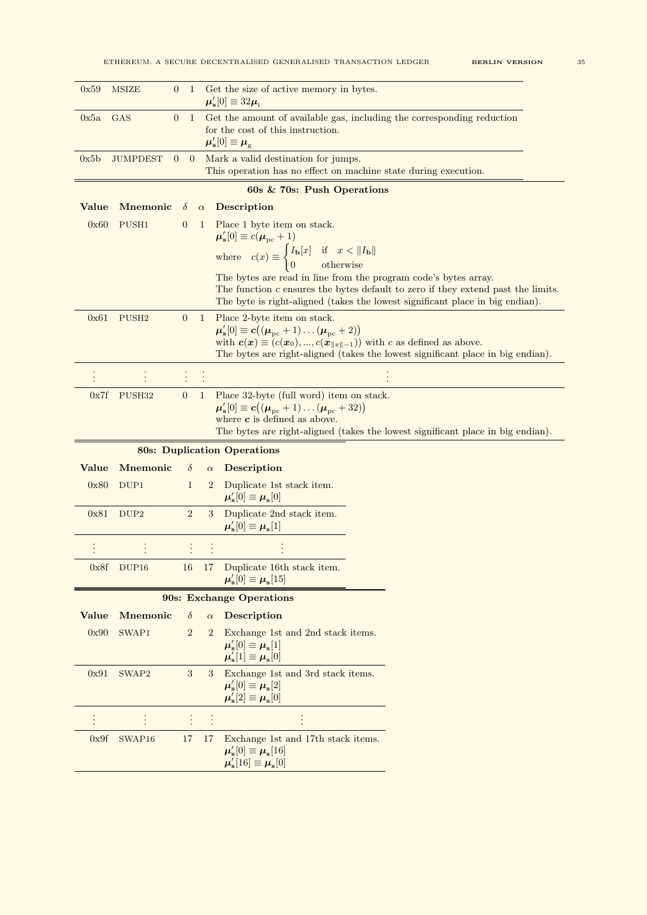|       |                   | $\theta$                       |                |                                                                                                                                                                                                                                                                                                                                                      |
|-------|-------------------|--------------------------------|----------------|------------------------------------------------------------------------------------------------------------------------------------------------------------------------------------------------------------------------------------------------------------------------------------------------------------------------------------------------------|
| 0x59  | <b>MSIZE</b>      | 1                              |                | Get the size of active memory in bytes.<br>$\mu'_{\rm s}[0] \equiv 32\mu_{\rm i}$                                                                                                                                                                                                                                                                    |
| 0x5a  | <b>GAS</b>        | $\overline{0}$<br>1            |                | Get the amount of available gas, including the corresponding reduction<br>for the cost of this instruction.<br>$\mu'_s[0] \equiv \mu_g$                                                                                                                                                                                                              |
| 0x5b  | <b>JUMPDEST</b>   | $\mathbf{0}$<br>$\overline{0}$ |                | Mark a valid destination for jumps.<br>This operation has no effect on machine state during execution.                                                                                                                                                                                                                                               |
|       |                   |                                |                | 60s & 70s: Push Operations                                                                                                                                                                                                                                                                                                                           |
| Value | <b>M</b> nemonic  | $\delta$                       | $\alpha$       | Description                                                                                                                                                                                                                                                                                                                                          |
| 0x60  | PUSH1             | $\overline{0}$                 | 1              | Place 1 byte item on stack.<br>$\mu'_{s}[0] \equiv c(\mu_{pc} + 1)$                                                                                                                                                                                                                                                                                  |
|       |                   |                                |                | where $c(x) \equiv \begin{cases} I_{\mathbf{b}}[x] & \text{if } x <   I_{\mathbf{b}}   \\ 0 & \text{otherwise} \end{cases}$                                                                                                                                                                                                                          |
|       |                   |                                |                | The bytes are read in line from the program code's bytes array.<br>The function $c$ ensures the bytes default to zero if they extend past the limits.<br>The byte is right-aligned (takes the lowest significant place in big endian).                                                                                                               |
| 0x61  | PUSH <sub>2</sub> | $\overline{0}$                 | -1             | Place 2-byte item on stack.<br>$\mu'_{\rm s}[0] \equiv \boldsymbol{c}((\boldsymbol{\mu}_{\rm pc}+1)\dots(\boldsymbol{\mu}_{\rm pc}+2))$<br>with $\mathbf{c}(\mathbf{x}) \equiv (c(\mathbf{x}_0), , c(\mathbf{x}_{\Vert x \Vert -1}))$ with c as defined as above.<br>The bytes are right-aligned (takes the lowest significant place in big endian). |
|       |                   |                                |                |                                                                                                                                                                                                                                                                                                                                                      |
| 0x7f  | PUSH32            | $\mathbf{0}$                   | $\mathbf{1}$   | Place 32-byte (full word) item on stack.                                                                                                                                                                                                                                                                                                             |
|       |                   |                                |                | $\mu'_{s}[0] \equiv c((\mu_{pc} + 1) \dots (\mu_{pc} + 32))$<br>where $c$ is defined as above.                                                                                                                                                                                                                                                       |
|       |                   |                                |                |                                                                                                                                                                                                                                                                                                                                                      |
|       |                   |                                |                | The bytes are right-aligned (takes the lowest significant place in big endian).                                                                                                                                                                                                                                                                      |
|       |                   |                                |                | <b>80s: Duplication Operations</b>                                                                                                                                                                                                                                                                                                                   |
| Value | Mnemonic          | $\delta$                       | $\alpha$       | <b>Description</b>                                                                                                                                                                                                                                                                                                                                   |
| 0x80  | DUP <sub>1</sub>  | 1                              | $\overline{2}$ | Duplicate 1st stack item.<br>$\mu'_s[0] \equiv \mu_s[0]$                                                                                                                                                                                                                                                                                             |
| 0x81  | DUP <sub>2</sub>  | $\overline{2}$                 | 3              | Duplicate 2nd stack item.<br>$\mu'_s[0] \equiv \mu_s[1]$                                                                                                                                                                                                                                                                                             |
|       |                   |                                |                |                                                                                                                                                                                                                                                                                                                                                      |
| 0x8f  | DUP <sub>16</sub> | 16                             | 17             | Duplicate 16th stack item.<br>$\mu'_{\rm s}[0] \equiv \mu_{\rm s}[15]$                                                                                                                                                                                                                                                                               |
|       |                   |                                |                | 90s: Exchange Operations                                                                                                                                                                                                                                                                                                                             |
| Value | Mnemonic          | $\delta$                       | $\alpha$       | <b>Description</b>                                                                                                                                                                                                                                                                                                                                   |
| 0x90  | SWAP1             | $\overline{2}$                 | $\overline{2}$ | Exchange 1st and 2nd stack items.<br>$\mu'_{\rm s}[0] \equiv \mu_{\rm s}[1]$<br>$\mu'_s[1] \equiv \mu_s[0]$                                                                                                                                                                                                                                          |
| 0x91  | SWAP2             | $\boldsymbol{3}$               | 3              | Exchange 1st and 3rd stack items.<br>$\mu'_{\rm s}[0] \equiv \mu_{\rm s}[2]$<br>$\mu'_{\rm s}[2] \equiv \mu_{\rm s}[0]$                                                                                                                                                                                                                              |
|       |                   |                                |                |                                                                                                                                                                                                                                                                                                                                                      |
| 0x9f  | SWAP16            | 17                             | 17             | Exchange 1st and 17th stack items.<br>$\mu'_{\rm s}[0] \equiv \mu_{\rm s}[16]$<br>$\mu'_s[16] \equiv \mu_s[0]$                                                                                                                                                                                                                                       |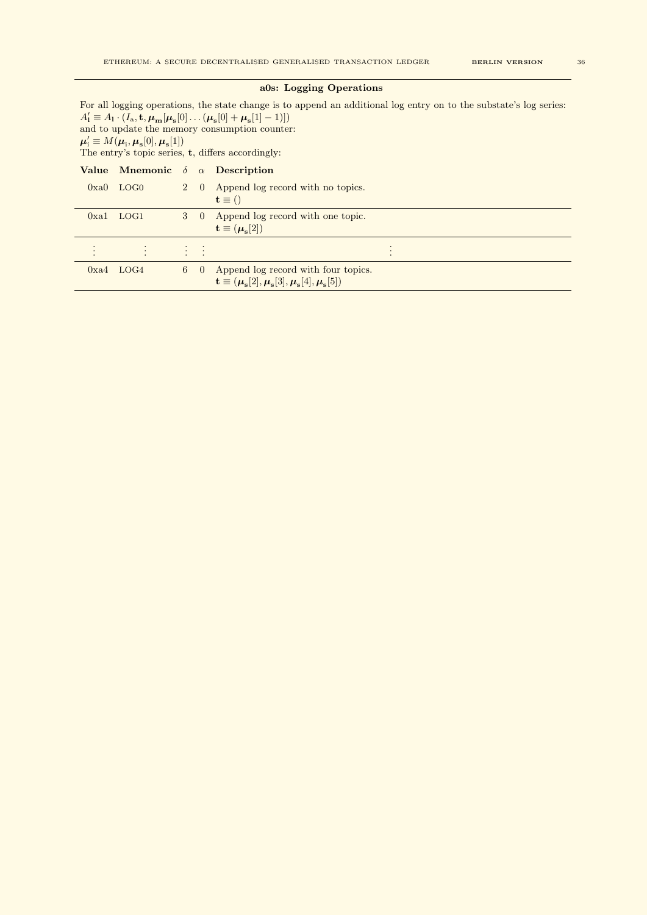# a0s: Logging Operations

For all logging operations, the state change is to append an additional log entry on to the substate's log series:  $A'_1 \equiv A_1 \cdot (I_\mathrm{a}, \mathbf{t}, \boldsymbol{\mu}_\mathbf{m}[\boldsymbol{\mu}_\mathbf{s}[0] \dots (\boldsymbol{\mu}_\mathbf{s}[0] + \boldsymbol{\mu}_\mathbf{s}[1]-1)])$ and to update the memory consumption counter:

 $\boldsymbol{\mu}_i' \equiv M(\boldsymbol{\mu}_i, \boldsymbol{\mu_s}[0], \boldsymbol{\mu_s}[1])$ 

The entry's topic series, **t**, differs accordingly:

|      |                          |   |                   | Value Mnemonic $\delta$ $\alpha$ Description                                                                                                                                                        |  |
|------|--------------------------|---|-------------------|-----------------------------------------------------------------------------------------------------------------------------------------------------------------------------------------------------|--|
| 0xa0 | LOG0                     |   |                   | 2 0 Append log record with no topics.<br>$t \equiv 0$                                                                                                                                               |  |
| 0xa1 | LOG1                     | 3 |                   | 0 Append log record with one topic.<br>$\mathbf{t} \equiv (\boldsymbol{\mu}_{\mathbf{s}}[2])$                                                                                                       |  |
|      | $\mathcal{L}_{\rm{max}}$ |   |                   |                                                                                                                                                                                                     |  |
| 0xa4 | LOG4                     | 6 | $\hspace{0.1em}0$ | Append log record with four topics.<br>$\mathbf{t} \equiv (\boldsymbol{\mu}_{\mathbf{s}}[2], \boldsymbol{\mu}_{\mathbf{s}}[3], \boldsymbol{\mu}_{\mathbf{s}}[4], \boldsymbol{\mu}_{\mathbf{s}}[5])$ |  |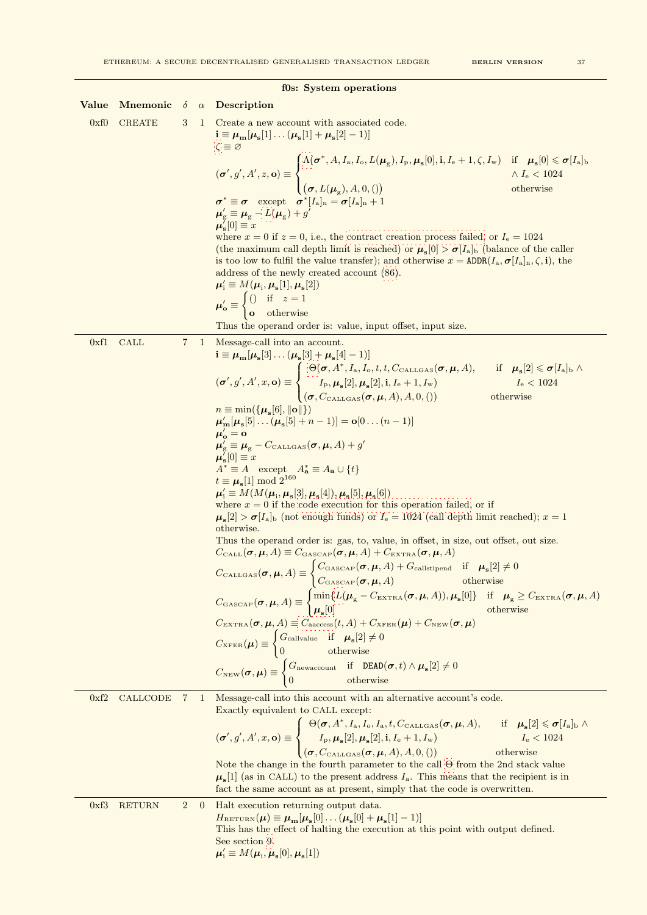<span id="page-36-0"></span>

|                  |               |                |                | f0s: System operations                                                                                                                                                                                                                                                                                                                                                                                                                                                                                                                                                                                                                                                                                                                                                                                                                                                                                                                                                                                                                                                                                                                                                                                                                                                                                                                                                                                                                                                                                                                                                                                                                                                                                                                                                                                                                                                                                                                                                                                                                                                                                         |
|------------------|---------------|----------------|----------------|----------------------------------------------------------------------------------------------------------------------------------------------------------------------------------------------------------------------------------------------------------------------------------------------------------------------------------------------------------------------------------------------------------------------------------------------------------------------------------------------------------------------------------------------------------------------------------------------------------------------------------------------------------------------------------------------------------------------------------------------------------------------------------------------------------------------------------------------------------------------------------------------------------------------------------------------------------------------------------------------------------------------------------------------------------------------------------------------------------------------------------------------------------------------------------------------------------------------------------------------------------------------------------------------------------------------------------------------------------------------------------------------------------------------------------------------------------------------------------------------------------------------------------------------------------------------------------------------------------------------------------------------------------------------------------------------------------------------------------------------------------------------------------------------------------------------------------------------------------------------------------------------------------------------------------------------------------------------------------------------------------------------------------------------------------------------------------------------------------------|
| Value            | Mnemonic      | $\delta$       | $\alpha$       | Description                                                                                                                                                                                                                                                                                                                                                                                                                                                                                                                                                                                                                                                                                                                                                                                                                                                                                                                                                                                                                                                                                                                                                                                                                                                                                                                                                                                                                                                                                                                                                                                                                                                                                                                                                                                                                                                                                                                                                                                                                                                                                                    |
| 0xf0             | <b>CREATE</b> | 3              | -1             | Create a new account with associated code.<br>$\mathbf{i} \equiv \boldsymbol{\mu}_{\mathbf{m}}[\boldsymbol{\mu}_{\mathbf{s}}[1] \dots (\boldsymbol{\mu}_{\mathbf{s}}[1] + \boldsymbol{\mu}_{\mathbf{s}}[2] - 1)]$<br>$\zeta \equiv \varnothing$                                                                                                                                                                                                                                                                                                                                                                                                                                                                                                                                                                                                                                                                                                                                                                                                                                                                                                                                                                                                                                                                                                                                                                                                                                                                                                                                                                                                                                                                                                                                                                                                                                                                                                                                                                                                                                                                |
|                  |               |                |                | $(\sigma', g', A', z, \mathbf{o}) \equiv \begin{cases} \Lambda(\sigma^*, A, I_a, I_o, L(\boldsymbol{\mu_g}), I_p, \boldsymbol{\mu_s}[0], \mathbf{i}, I_e + 1, \zeta, I_w) & \text{if } \boldsymbol{\mu_s}[0] \leq \sigma[I_a]_b \\ (\sigma, L(\boldsymbol{\mu_g}), A, 0, ()) & \wedge I_e < 1024 \\ \sigma^* \equiv \sigma & \text{except } \sigma^*[I_a]_n = \sigma[I_a]_n + 1 \end{cases}$                                                                                                                                                                                                                                                                                                                                                                                                                                                                                                                                                                                                                                                                                                                                                                                                                                                                                                                                                                                                                                                                                                                                                                                                                                                                                                                                                                                                                                                                                                                                                                                                                                                                                                                   |
|                  |               |                |                | $\mu'_{\rm g} \equiv \mu_{\rm g} - L(\mu_{\rm g}) + g'$<br>$\mu'_{\rm s}[0] \equiv x$<br>where $x = 0$ if $z = 0$ , i.e., the contract creation process failed, or $I_e = 1024$<br>(the maximum call depth limit is reached) or $\mu_s[0] > \sigma[I_a]_b$ (balance of the caller<br>is too low to fulfil the value transfer); and otherwise $x = \text{ADDR}(I_{\rm a}, \sigma[I_{\rm a}]_{\rm n}, \zeta, i)$ , the<br>address of the newly created account (86).<br>$\mu'_i \equiv M(\mu_i, \mu_s[1], \mu_s[2])$<br>$\mu'_{\mathbf{o}} \equiv \begin{cases} () & \text{if } z = 1 \\ \mathbf{o} & \text{otherwise} \end{cases}$                                                                                                                                                                                                                                                                                                                                                                                                                                                                                                                                                                                                                                                                                                                                                                                                                                                                                                                                                                                                                                                                                                                                                                                                                                                                                                                                                                                                                                                                              |
|                  |               |                |                | Thus the operand order is: value, input offset, input size.                                                                                                                                                                                                                                                                                                                                                                                                                                                                                                                                                                                                                                                                                                                                                                                                                                                                                                                                                                                                                                                                                                                                                                                                                                                                                                                                                                                                                                                                                                                                                                                                                                                                                                                                                                                                                                                                                                                                                                                                                                                    |
| 0xf1             | <b>CALL</b>   | $\overline{7}$ | -1             | Message-call into an account.<br>$\mathbf{i} \equiv \boldsymbol{\mu}_{\mathbf{m}}[\boldsymbol{\mu}_{\mathbf{s}}[3]\dots(\boldsymbol{\mu}_{\mathbf{s}}[3]+\boldsymbol{\mu}_{\mathbf{s}}[4]-1)]$<br>$(\pmb{\sigma}^{\prime},g^{\prime},A^{\prime},x,\mathbf{o})\equiv\left\{\begin{array}{ll} \Theta(\pmb{\sigma},A^{*},I_{\mathrm{a}},I_{\mathrm{o}},t,t,C_{\mathrm{CALGAS}}(\pmb{\sigma},\pmb{\mu},A), & \text{if} \quad \pmb{\mu}_\mathrm{s}[2]\leqslant \pmb{\sigma}[I_{\mathrm{a}}]_{\mathrm{b}} \wedge \\ I_{\mathrm{p}},\pmb{\mu}_\mathrm{s}[2],\pmb{\mu}_\mathrm{s}[2],\mathbf{i},I_{\mathrm{e}}+1,I_{\mathrm{w}}) & I_{\mathrm{e}}<1024 \\ (\pmb{\sigma},C_{\mathrm{CALGAS}}(\p$<br>$n \equiv \min(\{\mu_{\mathbf{s}}[6], \ \mathbf{o}\ \})$<br>$\mu'_{\mathbf{m}}[\mu_{\mathbf{s}}[5] \dots (\mu_{\mathbf{s}}[5] + n - 1)] = \mathbf{o}[0 \dots (n - 1)]$<br>$\mu'_{0} = 0$<br>$\mu_{\rm g}^{\prime} \equiv \mu_{\rm g} - C_{\rm CALLGAS}(\sigma, \mu, A) + g^{\prime}$<br>$\mu_{\rm s}^{\prime}[0] \equiv x$<br>$A^* \equiv A$ except $A^*_{\rm a} \equiv A_{\rm a} \cup \{t\}$<br>$t \equiv \mu_{\rm s}[1] \bmod{2^{160}}$<br>$\boldsymbol{\mu}_{i}' \equiv M(M(\boldsymbol{\mu}_{i},\boldsymbol{\mu_{s}}[3],\boldsymbol{\mu_{s}}[4]),\boldsymbol{\mu_{s}}[5],\boldsymbol{\mu_{s}}[6])$<br>where $x = 0$ if the code execution for this operation failed, or if<br>$\mu_{\rm s}[2] > \sigma[I_{\rm a}]_{\rm b}$ (not enough funds) or $I_{\rm e} = 1024$ (call depth limit reached); $x = 1$<br>otherwise.<br>Thus the operand order is: gas, to, value, in offset, in size, out offset, out size.<br>$C_{\text{CALL}}(\sigma, \mu, A) \equiv C_{\text{GASCAP}}(\sigma, \mu, A) + C_{\text{EXTRA}}(\sigma, \mu, A)$<br>CCALLGAS( $\sigma$ , $\mu$ , $A$ ) = CGASCAP( $\sigma$ , $\mu$ , $A$ ) + CEXTRA( $\sigma$ , $\mu$ , $A$ )<br>CCALLGAS( $\sigma$ , $\mu$ , $A$ ) = $\begin{cases} C_{\text{GASCAP}}(\sigma, \mu, A) + C_{\text{calistipend}} & \text{if } \mu_s[2] \neq 0 \\ C_{\text{GASCAP}}(\sigma, \mu, A) & \text{otherwise} \end{cases}$<br>CGASCAP( $\sigma$ , $\mu$ , $A$ ) = $\begin$ |
| 0xf2             | CALLCODE      | $\mathbf{7}$   | 1              | Message-call into this account with an alternative account's code.<br>Exactly equivalent to CALL except:<br>$(\pmb{\sigma}^{\prime},g^{\prime},A^{\prime},x,\mathbf{o})\equiv \left\{ \begin{array}{ll} \Theta(\pmb{\sigma},A^*,I_{\text{a}},I_{\text{o}},I_{\text{a}},t,C_{\text{CALGAS}}(\pmb{\sigma},\pmb{\mu},A), & \text{if} \quad \pmb{\mu}_\text{s}[2]\leqslant \pmb{\sigma}[I_{\text{a}}]_{\text{b}} \wedge \\ I_{\text{p}},\pmb{\mu}_\text{s}[2],\pmb{\mu}_\text{s}[2],\text{i},I_{\text{e}}+1,I_{\text{w}}) & I_{\text{e}}<1024 \\ (\pmb{\sigma},C_{\text{CAL$<br>Note the change in the fourth parameter to the call $\Theta$ from the 2nd stack value<br>$\mu_{s}[1]$ (as in CALL) to the present address $I_{a}$ . This means that the recipient is in<br>fact the same account as at present, simply that the code is overwritten.                                                                                                                                                                                                                                                                                                                                                                                                                                                                                                                                                                                                                                                                                                                                                                                                                                                                                                                                                                                                                                                                                                                                                                                                                                                               |
| 0 <sub>xf3</sub> | <b>RETURN</b> | $\overline{2}$ | $\overline{0}$ | Halt execution returning output data.<br>$H_{\text{RETURN}}(\boldsymbol{\mu}) \equiv \boldsymbol{\mu}_{\mathbf{m}}[\boldsymbol{\mu}_{\mathbf{s}}[0] \dots (\boldsymbol{\mu}_{\mathbf{s}}[0] + \boldsymbol{\mu}_{\mathbf{s}}[1] - 1)]$<br>This has the effect of halting the execution at this point with output defined.<br>See section 9.<br>$\mu'_i \equiv M(\mu_i, \mu_s[0], \mu_s[1])$                                                                                                                                                                                                                                                                                                                                                                                                                                                                                                                                                                                                                                                                                                                                                                                                                                                                                                                                                                                                                                                                                                                                                                                                                                                                                                                                                                                                                                                                                                                                                                                                                                                                                                                     |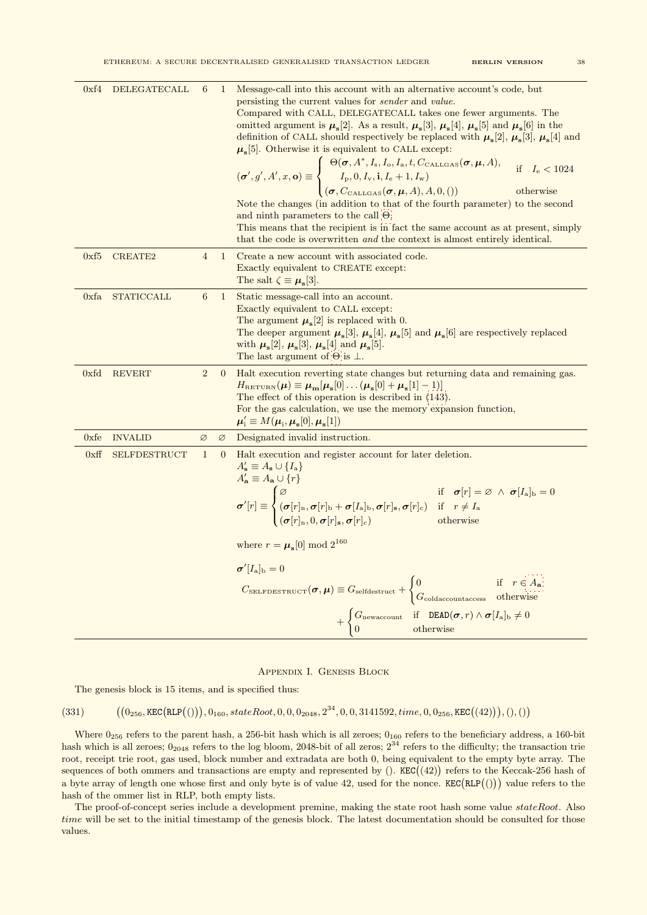<span id="page-37-2"></span><span id="page-37-1"></span>

| 0xf4            | DELEGATECALL        | 6              | $\mathbf{1}$ | Message-call into this account with an alternative account's code, but<br>persisting the current values for <i>sender</i> and <i>value</i> .<br>Compared with CALL, DELEGATECALL takes one fewer arguments. The<br>omitted argument is $\mu_s[2]$ . As a result, $\mu_s[3], \mu_s[4], \mu_s[5]$ and $\mu_s[6]$ in the<br>definition of CALL should respectively be replaced with $\mu_s[2], \mu_s[3], \mu_s[4]$ and<br>$\mu_{\rm s}$ [5]. Otherwise it is equivalent to CALL except:<br>$(\pmb{\sigma}^{\prime},g^{\prime},A^{\prime},x,\mathbf{o})\equiv\left\lbrace\begin{array}{l} \Theta(\pmb{\sigma},A^{*},I_{\mathrm{s}},I_{\mathrm{o}},I_{\mathrm{a}},t,C_{\mathrm{CALLGAS}}(\pmb{\sigma},\pmb{\mu},A),\\ I_{\mathrm{p}},0,I_{\mathrm{v}},\mathbf{i},I_{\mathrm{e}}+1,I_{\mathrm{w}})\\ (\pmb{\sigma},C_{\mathrm{CALLGAS}}(\pmb{\sigma},\pmb{\mu},A),A,0,()) \end{array}\right.$<br>if $I_e < 1024$<br>otherwise<br>Note the changes (in addition to that of the fourth parameter) to the second<br>and ninth parameters to the call $\Theta$ .<br>This means that the recipient is in fact the same account as at present, simply<br>that the code is overwritten and the context is almost entirely identical. |
|-----------------|---------------------|----------------|--------------|-------------------------------------------------------------------------------------------------------------------------------------------------------------------------------------------------------------------------------------------------------------------------------------------------------------------------------------------------------------------------------------------------------------------------------------------------------------------------------------------------------------------------------------------------------------------------------------------------------------------------------------------------------------------------------------------------------------------------------------------------------------------------------------------------------------------------------------------------------------------------------------------------------------------------------------------------------------------------------------------------------------------------------------------------------------------------------------------------------------------------------------------------------------------------------------------------------------------------|
| $0\mathrm{xf5}$ | CREATE2             | $\overline{4}$ | $\mathbf{1}$ | Create a new account with associated code.<br>Exactly equivalent to CREATE except:<br>The salt $\zeta \equiv \mu_{\rm s} [3]$ .                                                                                                                                                                                                                                                                                                                                                                                                                                                                                                                                                                                                                                                                                                                                                                                                                                                                                                                                                                                                                                                                                         |
| 0xfa            | <b>STATICCALL</b>   | 6              | $\mathbf{1}$ | Static message-call into an account.<br>Exactly equivalent to CALL except:<br>The argument $\mu_{s}[2]$ is replaced with 0.<br>The deeper argument $\mu_s[3], \mu_s[4], \mu_s[5]$ and $\mu_s[6]$ are respectively replaced<br>with $\mu_{\rm s}[2], \mu_{\rm s}[3], \mu_{\rm s}[4]$ and $\mu_{\rm s}[5]$ .<br>The last argument of $\Theta$ is $\bot$ .                                                                                                                                                                                                                                                                                                                                                                                                                                                                                                                                                                                                                                                                                                                                                                                                                                                                 |
| 0xfd            | <b>REVERT</b>       | $\overline{2}$ | $\mathbf{0}$ | Halt execution reverting state changes but returning data and remaining gas.<br>$H_{\text{RETUNN}}(\boldsymbol{\mu}) \equiv \boldsymbol{\mu}_{\mathbf{m}}[\boldsymbol{\mu}_{\mathbf{s}}[0] \dots (\boldsymbol{\mu}_{\mathbf{s}}[0] + \boldsymbol{\mu}_{\mathbf{s}}[1]-1)]$<br>The effect of this operation is described in $(143)$ .<br>For the gas calculation, we use the memory expansion function,<br>$\mu'_{\rm i} \equiv M(\mu_{\rm i},\mu_{\rm s}[0],\mu_{\rm s}[1])$                                                                                                                                                                                                                                                                                                                                                                                                                                                                                                                                                                                                                                                                                                                                            |
| $0$ xfe         | <b>INVALID</b>      | Ø              | Ø            | Designated invalid instruction.                                                                                                                                                                                                                                                                                                                                                                                                                                                                                                                                                                                                                                                                                                                                                                                                                                                                                                                                                                                                                                                                                                                                                                                         |
| 0xff            | <b>SELFDESTRUCT</b> | 1              | $\theta$     | Halt execution and register account for later deletion.<br>$A'_{\mathbf{s}} \equiv A_{\mathbf{s}} \cup \{I_{\mathbf{a}}\}$<br>$A'_{\mathbf{a}} \equiv A_{\mathbf{a}} \cup \{r\}$<br>$\pmb{\sigma}'[r] \equiv \begin{cases} \varnothing & \text{if} \quad \pmb{\sigma}[r] = \varnothing \ \wedge \ \pmb{\sigma}[I_{\rm a}]_{\rm b} = 0 \\ (\pmb{\sigma}[r]_{\rm n}, \pmb{\sigma}[r]_{\rm b} + \pmb{\sigma}[I_{\rm a}]_{\rm b}, \pmb{\sigma}[r]_{\rm s}, \pmb{\sigma}[r]_{\rm c}) & \text{if} \quad r \neq I_{\rm a} \\ (\pmb{\sigma}[r]_{\rm n}, 0, \pmb{\sigma}[r]_{\rm s}, \pmb{\sigma}[r]_{\rm c}) & \text{otherwise} \end{cases}$<br>where $r = \mu_{\rm s}[0] \bmod 2^{160}$<br>$\boldsymbol{\sigma}'[I_{\rm a}]_{\rm b}=0$<br>if $r \in A_{\mathbf{a}}$<br>$C_{\text{SELFDESTRUCT}}(\sigma, \mu) \equiv G_{\text{selfdestruct}} + \begin{cases} 0 & \text{if } r \in A_{\epsilon} \\ G_{\text{coldaccountaccess}} & \text{otherwise} \end{cases}$<br>+ $\begin{cases} G_{\text{newaccount}} & \text{if } \text{ DEAD}(\sigma, r) \wedge \sigma[I_{\text{a}}]_{\text{b}} \neq 0 \\ 0 & \text{otherwise} \end{cases}$                                                                                                |

# Appendix I. Genesis Block

<span id="page-37-3"></span><span id="page-37-0"></span>The genesis block is 15 items, and is specified thus:

(331)  $((0_{256}, \text{KEC}(\text{RLP}(\text{)})), 0_{160}, stateRoot, 0, 0, 0_{2048}, 2^{34}, 0, 0, 3141592, time, 0, 0_{256}, \text{KEC}(\text{(42)})), (), ))$ 

Where  $0_{256}$  refers to the parent hash, a 256-bit hash which is all zeroes;  $0_{160}$  refers to the beneficiary address, a 160-bit hash which is all zeroes;  $0_{2048}$  refers to the log bloom, 2048-bit of all zeros;  $2^{34}$  refers to the difficulty; the transaction trie root, receipt trie root, gas used, block number and extradata are both 0, being equivalent to the empty byte array. The sequences of both ommers and transactions are empty and represented by  $()$ . KEC $((42))$  refers to the Keccak-256 hash of a byte array of length one whose first and only byte is of value 42, used for the nonce.  $\texttt{REC}(\texttt{RLP}(\text{(})))$  value refers to the hash of the ommer list in RLP, both empty lists.

The proof-of-concept series include a development premine, making the state root hash some value stateRoot. Also time will be set to the initial timestamp of the genesis block. The latest documentation should be consulted for those values.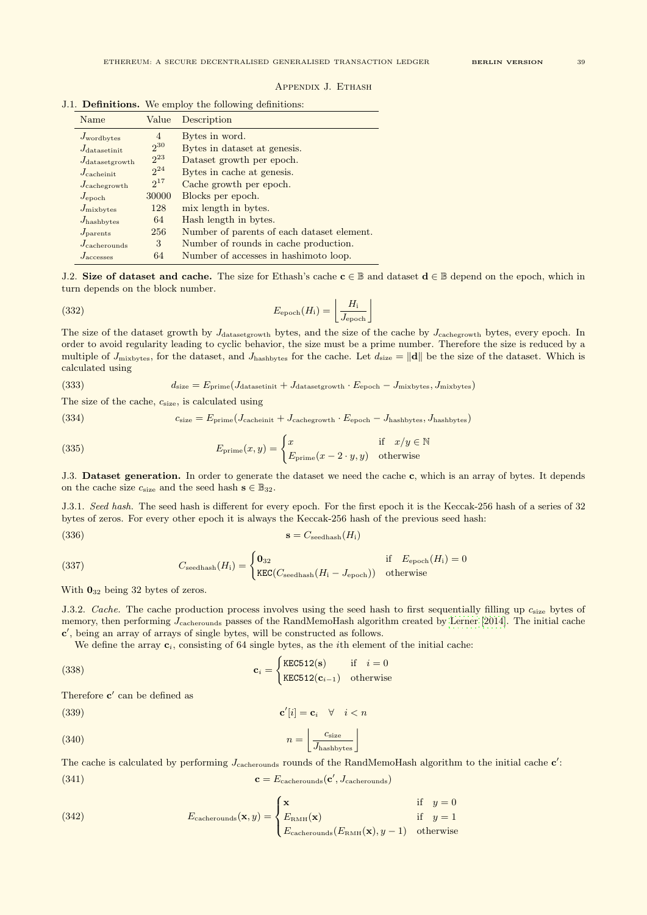<span id="page-38-2"></span><span id="page-38-1"></span>

|                            |          | $\alpha$                                   |
|----------------------------|----------|--------------------------------------------|
| Name                       | Value    | Description                                |
| $J_{\text{wordbytes}}$     | 4        | Bytes in word.                             |
| $J_{\rm datasetinit}$      | $2^{30}$ | Bytes in dataset at genesis.               |
| $J_{\text{dataset}$ growth | $2^{23}$ | Dataset growth per epoch.                  |
| $J_{\text{cacheinit}}$     | $2^{24}$ | Bytes in cache at genesis.                 |
| $J_{\text{cachegrowth}}$   | $2^{17}$ | Cache growth per epoch.                    |
| $J_{\rm epoch}$            | 30000    | Blocks per epoch.                          |
| $J_{\rm mixbytes}$         | 128      | mix length in bytes.                       |
| $J_{\text{hashbytes}}$     | 64       | Hash length in bytes.                      |
| $J_{\text{parents}}$       | 256      | Number of parents of each dataset element. |
| $J_{\rm{cacherounds}}$     | 3        | Number of rounds in cache production.      |
| J <sub>accesses</sub>      | 64       | Number of accesses in hashimoto loop.      |

<span id="page-38-0"></span>J.1. Definitions. We employ the following definitions:

<span id="page-38-3"></span>J.2. Size of dataset and cache. The size for Ethash's cache  $c \in \mathbb{B}$  and dataset  $d \in \mathbb{B}$  depend on the epoch, which in turn depends on the block number.

(332) 
$$
E_{\text{epoch}}(H_i) = \left\lfloor \frac{H_i}{J_{\text{epoch}}} \right\rfloor
$$

The size of the dataset growth by  $J_{\text{dataset}$  growth bytes, and the size of the cache by  $J_{\text{cache}$  growth bytes, every epoch. In order to avoid regularity leading to cyclic behavior, the size must be a prime number. Therefore the size is reduced by a multiple of  $J_{\text{mixbytes}}$ , for the dataset, and  $J_{\text{hashbytes}}$  for the cache. Let  $d_{\text{size}} = ||\mathbf{d}||$  be the size of the dataset. Which is calculated using

(333) 
$$
d_{\text{size}} = E_{\text{prime}}(J_{\text{datasetinit}} + J_{\text{datasetgrowth}} \cdot E_{\text{epoch}} - J_{\text{mixbytes}}, J_{\text{mixbytes}})
$$

The size of the cache,  $c_{size}$ , is calculated using

(334)  $c_{\text{size}} = E_{\text{prime}}(J_{\text{cacheinit}} + J_{\text{cachegrowth}} \cdot E_{\text{epoch}} - J_{\text{hashbytes}}, J_{\text{hashbytes}})$ 

(335) 
$$
E_{\text{prime}}(x, y) = \begin{cases} x & \text{if } x/y \in \mathbb{N} \\ E_{\text{prime}}(x - 2 \cdot y, y) & \text{otherwise} \end{cases}
$$

J.3. Dataset generation. In order to generate the dataset we need the cache c, which is an array of bytes. It depends on the cache size  $c_{size}$  and the seed hash  $s \in \mathbb{B}_{32}$ .

J.3.1. Seed hash. The seed hash is different for every epoch. For the first epoch it is the Keccak-256 hash of a series of 32 bytes of zeros. For every other epoch it is always the Keccak-256 hash of the previous seed hash:

$$
s = C_{\text{seedhash}}(H_i)
$$

(337) 
$$
C_{\text{seedhash}}(H_i) = \begin{cases} \mathbf{0}_{32} & \text{if } E_{\text{epoch}}(H_i) = 0\\ \text{KEC}(C_{\text{seedhash}}(H_i - J_{\text{epoch}})) & \text{otherwise} \end{cases}
$$

With  $\mathbf{0}_{32}$  being 32 bytes of zeros.

J.3.2. Cache. The cache production process involves using the seed hash to first sequentially filling up  $c_{size}$  bytes of memory, then performing J<sub>cacherounds</sub> passes of the RandMemoHash algorithm created by [Lerner \[2014\]](#page-17-25). The initial cache c', being an array of arrays of single bytes, will be constructed as follows.

We define the array  $c_i$ , consisting of 64 single bytes, as the *i*th element of the initial cache:

(338) 
$$
\mathbf{c}_{i} = \begin{cases} \text{KEC512(s)} & \text{if } i = 0\\ \text{KEC512}(\mathbf{c}_{i-1}) & \text{otherwise} \end{cases}
$$

Therefore c' can be defined as

$$
\mathbf{c}'[i] = \mathbf{c}_i \quad \forall \quad i < n
$$

$$
(340) \t\t n = \left\lfloor \frac{c_{\text{size}}}{J_{\text{hashbytes}}} \right\rfloor
$$

The cache is calculated by performing  $J_{\text{cacherounds}}$  rounds of the RandMemoHash algorithm to the initial cache  $\mathbf{c}'$ : (341)  $\mathbf{c} = E_{\text{cacherounds}}(\mathbf{c}', J_{\text{cacherounds}})$ 

(342) 
$$
E_{\text{cacherounds}}(\mathbf{x}, y) = \begin{cases} \mathbf{x} & \text{if } y = 0\\ E_{\text{RMH}}(\mathbf{x}) & \text{if } y = 1\\ E_{\text{cacherounds}}(E_{\text{RMH}}(\mathbf{x}), y - 1) & \text{otherwise} \end{cases}
$$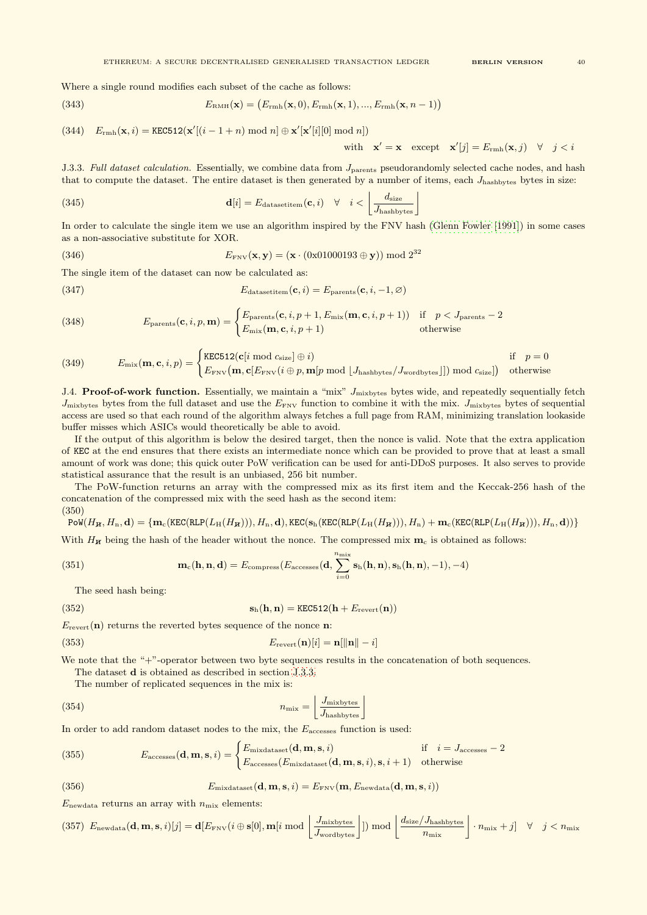Where a single round modifies each subset of the cache as follows:

(343) 
$$
E_{\text{RMH}}(\mathbf{x}) = (E_{\text{rmh}}(\mathbf{x},0), E_{\text{rmh}}(\mathbf{x},1),..., E_{\text{rmh}}(\mathbf{x},n-1))
$$

$$
(344)\quad E_{\text{rm}}(\mathbf{x},i)=\texttt{KEC512}(\mathbf{x}'[(i-1+n)\bmod n]\oplus\mathbf{x}'[\mathbf{x}'[i][0]\bmod n])
$$

with 
$$
\mathbf{x}' = \mathbf{x}
$$
 except  $\mathbf{x}'[j] = E_{\text{rmh}}(\mathbf{x}, j) \forall j < i$ 

<span id="page-39-0"></span>J.3.3. Full dataset calculation. Essentially, we combine data from  $J_{\text{parents}}$  pseudorandomly selected cache nodes, and hash that to compute the dataset. The entire dataset is then generated by a number of items, each  $J_{\text{hashbvtes}}$  bytes in size:

(345) 
$$
\mathbf{d}[i] = E_{\text{datasetitem}}(\mathbf{c}, i) \quad \forall \quad i < \left\lfloor \frac{d_{\text{size}}}{J_{\text{hashbytes}}} \right\rfloor
$$

In order to calculate the single item we use an algorithm inspired by the FNV hash [\(Glenn Fowler \[1991\]](#page-17-26)) in some cases as a non-associative substitute for XOR.

(346) 
$$
E_{\text{FNV}}(\mathbf{x}, \mathbf{y}) = (\mathbf{x} \cdot (0 \times 01000193 \oplus \mathbf{y})) \bmod 2^{32}
$$

The single item of the dataset can now be calculated as:

(347) 
$$
E_{\text{datasetitem}}(\mathbf{c}, i) = E_{\text{parents}}(\mathbf{c}, i, -1, \varnothing)
$$

(348) 
$$
E_{\text{parents}}(\mathbf{c}, i, p, \mathbf{m}) = \begin{cases} E_{\text{parents}}(\mathbf{c}, i, p+1, E_{\text{mix}}(\mathbf{m}, \mathbf{c}, i, p+1)) & \text{if } p < J_{\text{parents}} - 2 \\ E_{\text{mix}}(\mathbf{m}, \mathbf{c}, i, p+1) & \text{otherwise} \end{cases}
$$

(349) 
$$
E_{\text{mix}}(\mathbf{m}, \mathbf{c}, i, p) = \begin{cases} \text{KEC512}(\mathbf{c}[i \text{ mod } c_{\text{size}}] \oplus i) & \text{if } p = 0\\ E_{\text{FNV}}(\mathbf{m}, \mathbf{c}[E_{\text{FNV}}(i \oplus p, \mathbf{m}[p \text{ mod } [J_{\text{hashbytes}}/J_{\text{wordbytes}}]]) \text{ mod } c_{\text{size}}] & \text{otherwise} \end{cases}
$$

J.4. Proof-of-work function. Essentially, we maintain a "mix"  $J_{\text{mixbytes}}$  bytes wide, and repeatedly sequentially fetch  $J_{\text{mixbutes}}$  bytes from the full dataset and use the  $E_{\text{FNV}}$  function to combine it with the mix.  $J_{\text{mixbutes}}$  bytes of sequential access are used so that each round of the algorithm always fetches a full page from RAM, minimizing translation lookaside buffer misses which ASICs would theoretically be able to avoid.

If the output of this algorithm is below the desired target, then the nonce is valid. Note that the extra application of KEC at the end ensures that there exists an intermediate nonce which can be provided to prove that at least a small amount of work was done; this quick outer PoW verification can be used for anti-DDoS purposes. It also serves to provide statistical assurance that the result is an unbiased, 256 bit number.

The PoW-function returns an array with the compressed mix as its first item and the Keccak-256 hash of the concatenation of the compressed mix with the seed hash as the second item: (350)

$$
\text{Pow}(H_{\mathbf{X}}, H_{\mathbf{n}}, \mathbf{d}) = \{ \mathbf{m}_{\mathrm{c}}(\text{KEC}(\text{RLP}(L_{\mathrm{H}}(H_{\mathbf{X}}))), H_{\mathbf{n}}, \mathbf{d}), \text{KEC}(\mathbf{s}_{\mathrm{h}}(\text{KEC}(\text{RLP}(L_{\mathrm{H}}(H_{\mathbf{X}}))), H_{\mathbf{n}}) + \mathbf{m}_{\mathrm{c}}(\text{KEC}(\text{RLP}(L_{\mathrm{H}}(H_{\mathbf{X}}))), H_{\mathbf{n}}, \mathbf{d})) \}
$$

With  $H_{\mathbf{X}}$  being the hash of the header without the nonce. The compressed mix  $\mathbf{m}_c$  is obtained as follows:

(351) 
$$
\mathbf{m}_{c}(\mathbf{h}, \mathbf{n}, \mathbf{d}) = E_{\text{compress}}(E_{\text{accesses}}(\mathbf{d}, \sum_{i=0}^{n_{\text{mix}}} \mathbf{s}_{h}(\mathbf{h}, \mathbf{n}), \mathbf{s}_{h}(\mathbf{h}, \mathbf{n}), -1), -4)
$$

The seed hash being:

(352) 
$$
\mathbf{s}_{h}(\mathbf{h}, \mathbf{n}) = \text{KEC512}(\mathbf{h} + E_{\text{revert}}(\mathbf{n}))
$$

 $E_{\text{revert}}(\mathbf{n})$  returns the reverted bytes sequence of the nonce **n**:

(353) 
$$
E_{\text{revert}}(\mathbf{n})[i] = \mathbf{n}[\|\mathbf{n}\| - i]
$$

We note that the "+"-operator between two byte sequences results in the concatenation of both sequences.

The dataset d is obtained as described in section [J.3.3.](#page-39-0)

The number of replicated sequences in the mix is:

(354) 
$$
n_{\text{mix}} = \left[ \frac{J_{\text{mixbytes}}}{J_{\text{hashbytes}}} \right]
$$

In order to add random dataset nodes to the mix, the  $E_{\text{accesses}}$  function is used:

(355) 
$$
E_{\text{accesses}}(\mathbf{d}, \mathbf{m}, \mathbf{s}, i) = \begin{cases} E_{\text{mixdataset}}(\mathbf{d}, \mathbf{m}, \mathbf{s}, i) & \text{if } i = J_{\text{accesses}} - 2 \\ E_{\text{accesses}}(E_{\text{mixdataset}}(\mathbf{d}, \mathbf{m}, \mathbf{s}, i), \mathbf{s}, i + 1) & \text{otherwise} \end{cases}
$$

(356) 
$$
E_{\text{mixdataset}}(\mathbf{d}, \mathbf{m}, \mathbf{s}, i) = E_{\text{FNV}}(\mathbf{m}, E_{\text{newdata}}(\mathbf{d}, \mathbf{m}, \mathbf{s}, i))
$$

 $E_{\text{newdata}}$  returns an array with  $n_{\text{mix}}$  elements:

$$
(357) \ Enewdata(d, m, s, i)[j] = d[EFNV(i ⊕ s[0], m[i mod  $\left\lfloor \frac{J_{\text{mixbytes}}}{J_{\text{wordbytes}}} \right\rfloor$ ]) mod  $\left\lfloor \frac{d_{\text{size}}/J_{\text{hashbytes}}}{n_{\text{mix}}} \right\rfloor \cdot n_{\text{mix}} + j$ ]  $\forall$   $j < n_{\text{mix}}$
$$